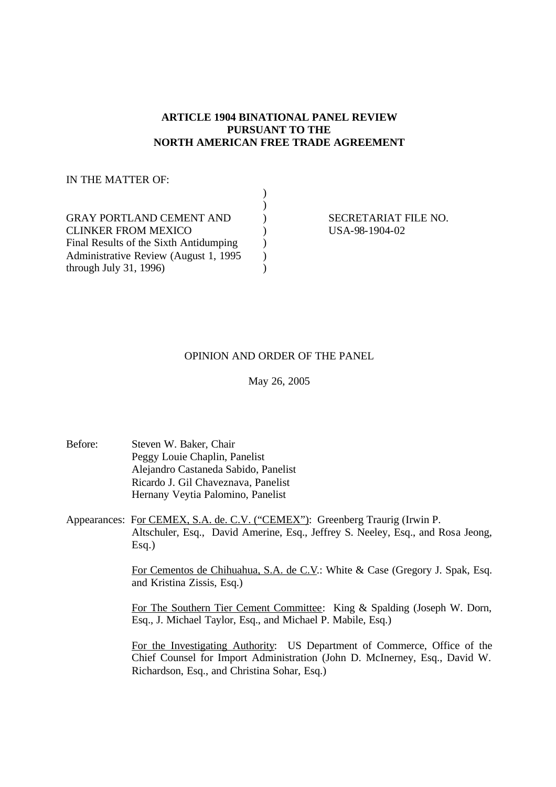# **ARTICLE 1904 BINATIONAL PANEL REVIEW PURSUANT TO THE NORTH AMERICAN FREE TRADE AGREEMENT**

 $\mathbf{v}$ 

# IN THE MATTER OF:

| <b>GRAY PORTLAND CEMENT AND</b>        |  |
|----------------------------------------|--|
| <b>CLINKER FROM MEXICO</b>             |  |
| Final Results of the Sixth Antidumping |  |
| Administrative Review (August 1, 1995) |  |
| through July 31, 1996)                 |  |

SECRETARIAT FILE NO. USA-98-1904-02

# OPINION AND ORDER OF THE PANEL

May 26, 2005

- Before: Steven W. Baker, Chair Peggy Louie Chaplin, Panelist Alejandro Castaneda Sabido, Panelist Ricardo J. Gil Chaveznava, Panelist Hernany Veytia Palomino, Panelist
- Appearances: For CEMEX, S.A. de. C.V. ("CEMEX"): Greenberg Traurig (Irwin P. Altschuler, Esq., David Amerine, Esq., Jeffrey S. Neeley, Esq., and Rosa Jeong, Esq.)

For Cementos de Chihuahua, S.A. de C.V.: White & Case (Gregory J. Spak, Esq. and Kristina Zissis, Esq.)

For The Southern Tier Cement Committee: King & Spalding (Joseph W. Dorn, Esq., J. Michael Taylor, Esq., and Michael P. Mabile, Esq.)

For the Investigating Authority: US Department of Commerce, Office of the Chief Counsel for Import Administration (John D. McInerney, Esq., David W. Richardson, Esq., and Christina Sohar, Esq.)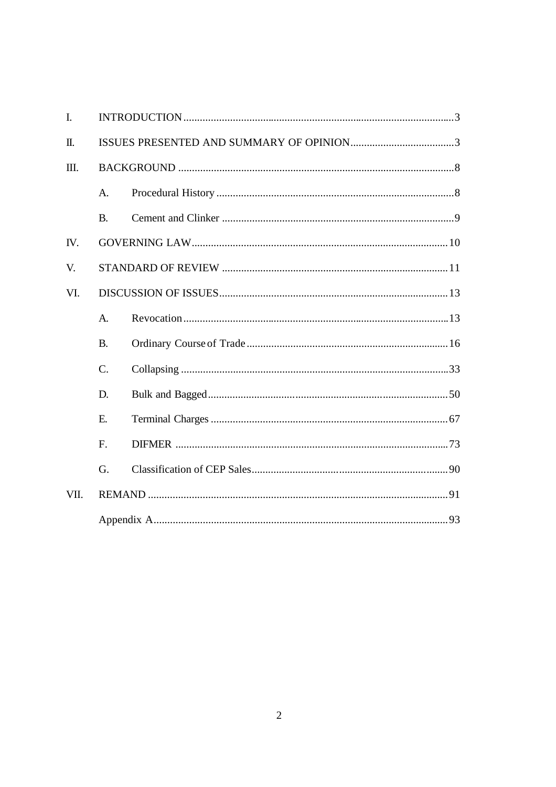| $\mathbf{I}$ . |                  |  |  |  |
|----------------|------------------|--|--|--|
| Π.             |                  |  |  |  |
| Ш.             |                  |  |  |  |
|                | A.               |  |  |  |
|                | <b>B.</b>        |  |  |  |
| IV.            |                  |  |  |  |
| V.             |                  |  |  |  |
| VI.            |                  |  |  |  |
|                | $A_{\cdot}$      |  |  |  |
|                | <b>B.</b>        |  |  |  |
|                | $\overline{C}$ . |  |  |  |
|                | D.               |  |  |  |
|                | E.               |  |  |  |
|                | F.               |  |  |  |
|                | G.               |  |  |  |
| VII.           |                  |  |  |  |
|                |                  |  |  |  |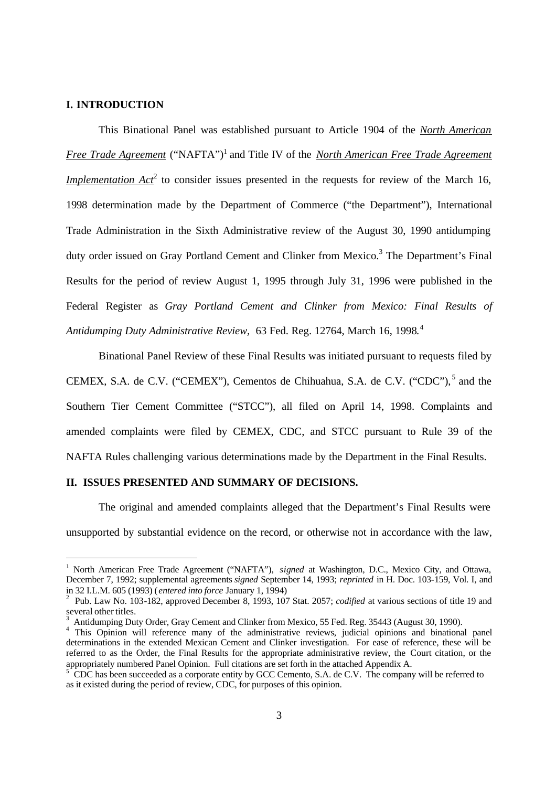### **I. INTRODUCTION**

-

This Binational Panel was established pursuant to Article 1904 of the *North American Free Trade Agreement* ("NAFTA")<sup>1</sup> and Title IV of the *North American Free Trade Agreement Implementation*  $Act^2$  to consider issues presented in the requests for review of the March 16, 1998 determination made by the Department of Commerce ("the Department"), International Trade Administration in the Sixth Administrative review of the August 30, 1990 antidumping duty order issued on Gray Portland Cement and Clinker from Mexico.<sup>3</sup> The Department's Final Results for the period of review August 1, 1995 through July 31, 1996 were published in the Federal Register as *Gray Portland Cement and Clinker from Mexico: Final Results of Antidumping Duty Administrative Review,* 63 Fed. Reg. 12764, March 16, 1998.<sup>4</sup>

Binational Panel Review of these Final Results was initiated pursuant to requests filed by CEMEX, S.A. de C.V. ("CEMEX"), Cementos de Chihuahua, S.A. de C.V. ("CDC"),<sup>5</sup> and the Southern Tier Cement Committee ("STCC"), all filed on April 14, 1998. Complaints and amended complaints were filed by CEMEX, CDC, and STCC pursuant to Rule 39 of the NAFTA Rules challenging various determinations made by the Department in the Final Results.

## **II. ISSUES PRESENTED AND SUMMARY OF DECISIONS.**

The original and amended complaints alleged that the Department's Final Results were unsupported by substantial evidence on the record, or otherwise not in accordance with the law,

<sup>&</sup>lt;sup>1</sup> North American Free Trade Agreement ("NAFTA"), *signed* at Washington, D.C., Mexico City, and Ottawa, December 7, 1992; supplemental agreements *signed* September 14, 1993; *reprinted* in H. Doc. 103-159, Vol. I, and in 32 I.L.M. 605 (1993) ( *entered into force* January 1, 1994)

<sup>2</sup> Pub. Law No. 103-182, approved December 8, 1993, 107 Stat. 2057; *codified* at various sections of title 19 and several other titles.

<sup>3</sup> Antidumping Duty Order, Gray Cement and Clinker from Mexico, 55 Fed. Reg. 35443 (August 30, 1990).

<sup>&</sup>lt;sup>4</sup> This Opinion will reference many of the administrative reviews, judicial opinions and binational panel determinations in the extended Mexican Cement and Clinker investigation. For ease of reference, these will be referred to as the Order, the Final Results for the appropriate administrative review, the Court citation, or the appropriately numbered Panel Opinion. Full citations are set forth in the attached Appendix A.

<sup>5</sup> CDC has been succeeded as a corporate entity by GCC Cemento, S.A. de C.V. The company will be referred to as it existed during the period of review, CDC, for purposes of this opinion.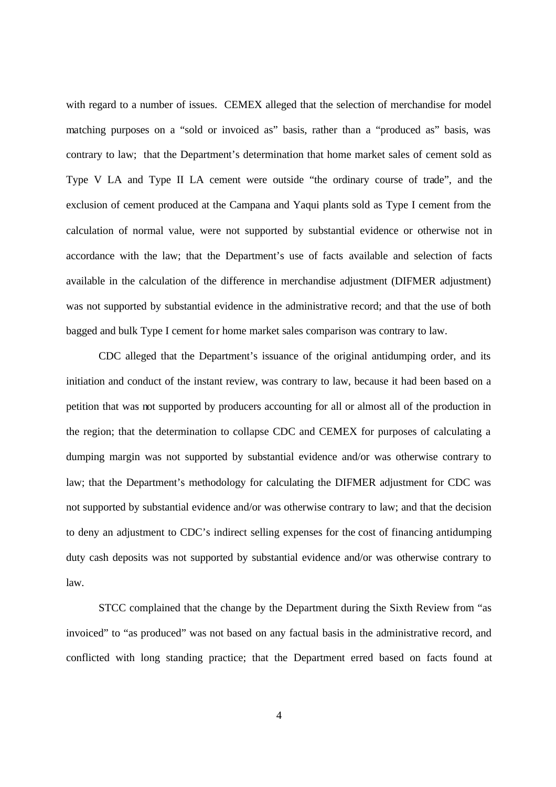with regard to a number of issues. CEMEX alleged that the selection of merchandise for model matching purposes on a "sold or invoiced as" basis, rather than a "produced as" basis, was contrary to law; that the Department's determination that home market sales of cement sold as Type V LA and Type II LA cement were outside "the ordinary course of trade", and the exclusion of cement produced at the Campana and Yaqui plants sold as Type I cement from the calculation of normal value, were not supported by substantial evidence or otherwise not in accordance with the law; that the Department's use of facts available and selection of facts available in the calculation of the difference in merchandise adjustment (DIFMER adjustment) was not supported by substantial evidence in the administrative record; and that the use of both bagged and bulk Type I cement for home market sales comparison was contrary to law.

CDC alleged that the Department's issuance of the original antidumping order, and its initiation and conduct of the instant review, was contrary to law, because it had been based on a petition that was not supported by producers accounting for all or almost all of the production in the region; that the determination to collapse CDC and CEMEX for purposes of calculating a dumping margin was not supported by substantial evidence and/or was otherwise contrary to law; that the Department's methodology for calculating the DIFMER adjustment for CDC was not supported by substantial evidence and/or was otherwise contrary to law; and that the decision to deny an adjustment to CDC's indirect selling expenses for the cost of financing antidumping duty cash deposits was not supported by substantial evidence and/or was otherwise contrary to law.

STCC complained that the change by the Department during the Sixth Review from "as invoiced" to "as produced" was not based on any factual basis in the administrative record, and conflicted with long standing practice; that the Department erred based on facts found at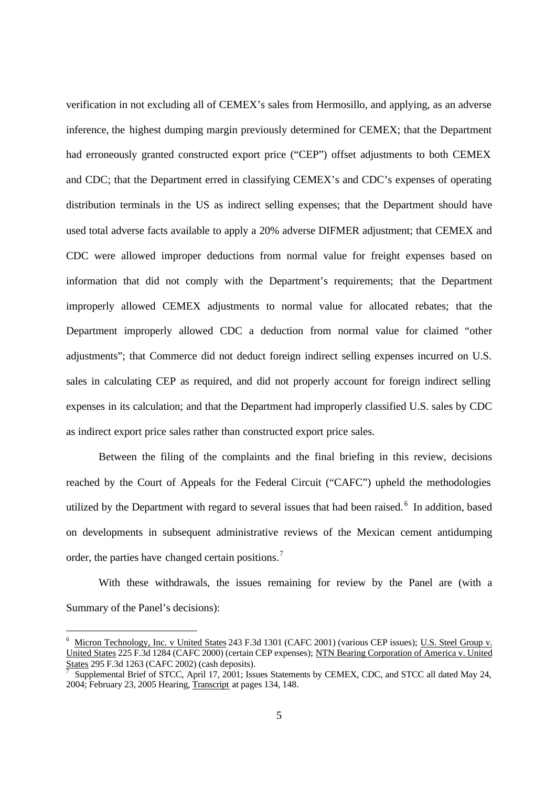verification in not excluding all of CEMEX's sales from Hermosillo, and applying, as an adverse inference, the highest dumping margin previously determined for CEMEX; that the Department had erroneously granted constructed export price ("CEP") offset adjustments to both CEMEX and CDC; that the Department erred in classifying CEMEX's and CDC's expenses of operating distribution terminals in the US as indirect selling expenses; that the Department should have used total adverse facts available to apply a 20% adverse DIFMER adjustment; that CEMEX and CDC were allowed improper deductions from normal value for freight expenses based on information that did not comply with the Department's requirements; that the Department improperly allowed CEMEX adjustments to normal value for allocated rebates; that the Department improperly allowed CDC a deduction from normal value for claimed "other adjustments"; that Commerce did not deduct foreign indirect selling expenses incurred on U.S. sales in calculating CEP as required, and did not properly account for foreign indirect selling expenses in its calculation; and that the Department had improperly classified U.S. sales by CDC as indirect export price sales rather than constructed export price sales.

Between the filing of the complaints and the final briefing in this review, decisions reached by the Court of Appeals for the Federal Circuit ("CAFC") upheld the methodologies utilized by the Department with regard to several issues that had been raised. <sup>6</sup> In addition, based on developments in subsequent administrative reviews of the Mexican cement antidumping order, the parties have changed certain positions.<sup>7</sup>

With these withdrawals, the issues remaining for review by the Panel are (with a Summary of the Panel's decisions):

<sup>6</sup> Micron Technology, Inc. v United States 243 F.3d 1301 (CAFC 2001) (various CEP issues); U.S. Steel Group v. United States 225 F.3d 1284 (CAFC 2000) (certain CEP expenses); NTN Bearing Corporation of America v. United States 295 F.3d 1263 (CAFC 2002) (cash deposits).

<sup>7</sup> Supplemental Brief of STCC, April 17, 2001; Issues Statements by CEMEX, CDC, and STCC all dated May 24, 2004; February 23, 2005 Hearing, Transcript at pages 134, 148.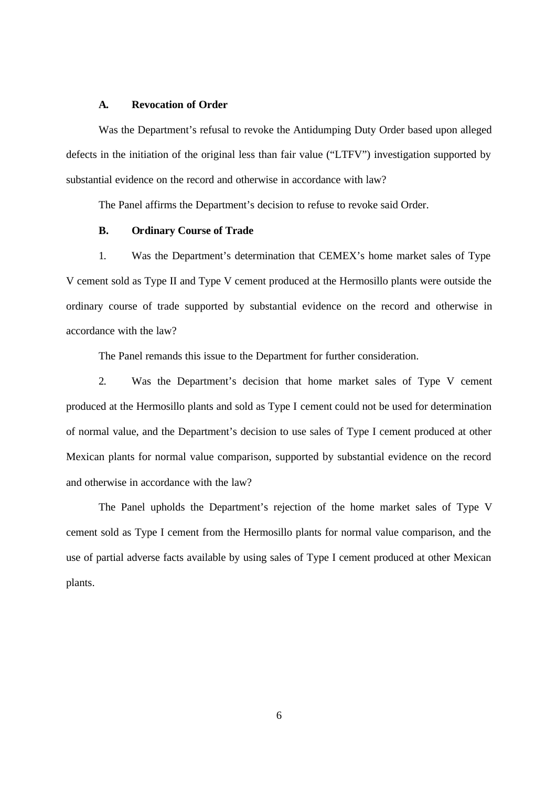### **A. Revocation of Order**

Was the Department's refusal to revoke the Antidumping Duty Order based upon alleged defects in the initiation of the original less than fair value ("LTFV") investigation supported by substantial evidence on the record and otherwise in accordance with law?

The Panel affirms the Department's decision to refuse to revoke said Order.

# **B. Ordinary Course of Trade**

1. Was the Department's determination that CEMEX's home market sales of Type V cement sold as Type II and Type V cement produced at the Hermosillo plants were outside the ordinary course of trade supported by substantial evidence on the record and otherwise in accordance with the law?

The Panel remands this issue to the Department for further consideration.

2. Was the Department's decision that home market sales of Type V cement produced at the Hermosillo plants and sold as Type I cement could not be used for determination of normal value, and the Department's decision to use sales of Type I cement produced at other Mexican plants for normal value comparison, supported by substantial evidence on the record and otherwise in accordance with the law?

The Panel upholds the Department's rejection of the home market sales of Type V cement sold as Type I cement from the Hermosillo plants for normal value comparison, and the use of partial adverse facts available by using sales of Type I cement produced at other Mexican plants.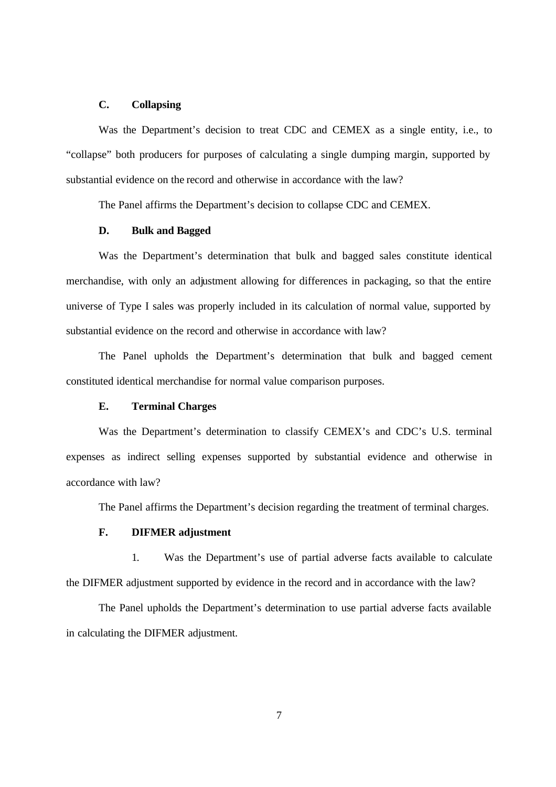## **C. Collapsing**

Was the Department's decision to treat CDC and CEMEX as a single entity, i.e., to "collapse" both producers for purposes of calculating a single dumping margin, supported by substantial evidence on the record and otherwise in accordance with the law?

The Panel affirms the Department's decision to collapse CDC and CEMEX.

## **D. Bulk and Bagged**

Was the Department's determination that bulk and bagged sales constitute identical merchandise, with only an adjustment allowing for differences in packaging, so that the entire universe of Type I sales was properly included in its calculation of normal value, supported by substantial evidence on the record and otherwise in accordance with law?

The Panel upholds the Department's determination that bulk and bagged cement constituted identical merchandise for normal value comparison purposes.

### **E. Terminal Charges**

Was the Department's determination to classify CEMEX's and CDC's U.S. terminal expenses as indirect selling expenses supported by substantial evidence and otherwise in accordance with law?

The Panel affirms the Department's decision regarding the treatment of terminal charges.

# **F. DIFMER adjustment**

1. Was the Department's use of partial adverse facts available to calculate the DIFMER adjustment supported by evidence in the record and in accordance with the law?

The Panel upholds the Department's determination to use partial adverse facts available in calculating the DIFMER adjustment.

7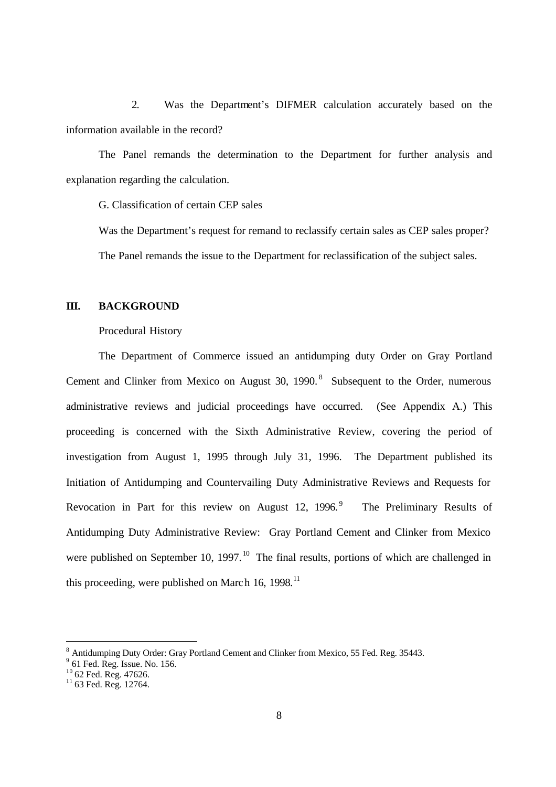2. Was the Department's DIFMER calculation accurately based on the information available in the record?

The Panel remands the determination to the Department for further analysis and explanation regarding the calculation.

G. Classification of certain CEP sales

Was the Department's request for remand to reclassify certain sales as CEP sales proper? The Panel remands the issue to the Department for reclassification of the subject sales.

# **III. BACKGROUND**

Procedural History

The Department of Commerce issued an antidumping duty Order on Gray Portland Cement and Clinker from Mexico on August 30, 1990.<sup>8</sup> Subsequent to the Order, numerous administrative reviews and judicial proceedings have occurred. (See Appendix A.) This proceeding is concerned with the Sixth Administrative Review, covering the period of investigation from August 1, 1995 through July 31, 1996. The Department published its Initiation of Antidumping and Countervailing Duty Administrative Reviews and Requests for Revocation in Part for this review on August 12, 1996.<sup>9</sup> The Preliminary Results of Antidumping Duty Administrative Review: Gray Portland Cement and Clinker from Mexico were published on September 10, 1997.<sup>10</sup> The final results, portions of which are challenged in this proceeding, were published on March 16, 1998.<sup>11</sup>

 $\overline{a}$ 

<sup>&</sup>lt;sup>8</sup> Antidumping Duty Order: Gray Portland Cement and Clinker from Mexico, 55 Fed. Reg. 35443.

<sup>9</sup> 61 Fed. Reg. Issue. No. 156.

 $10$  62 Fed. Reg. 47626.

 $11$  63 Fed. Reg. 12764.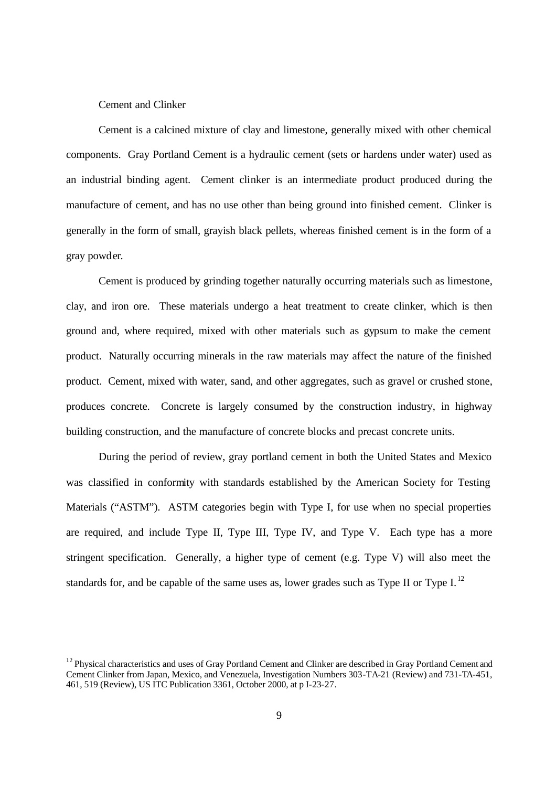### Cement and Clinker

Cement is a calcined mixture of clay and limestone, generally mixed with other chemical components. Gray Portland Cement is a hydraulic cement (sets or hardens under water) used as an industrial binding agent. Cement clinker is an intermediate product produced during the manufacture of cement, and has no use other than being ground into finished cement. Clinker is generally in the form of small, grayish black pellets, whereas finished cement is in the form of a gray powder.

Cement is produced by grinding together naturally occurring materials such as limestone, clay, and iron ore. These materials undergo a heat treatment to create clinker, which is then ground and, where required, mixed with other materials such as gypsum to make the cement product. Naturally occurring minerals in the raw materials may affect the nature of the finished product. Cement, mixed with water, sand, and other aggregates, such as gravel or crushed stone, produces concrete. Concrete is largely consumed by the construction industry, in highway building construction, and the manufacture of concrete blocks and precast concrete units.

During the period of review, gray portland cement in both the United States and Mexico was classified in conformity with standards established by the American Society for Testing Materials ("ASTM"). ASTM categories begin with Type I, for use when no special properties are required, and include Type II, Type III, Type IV, and Type V. Each type has a more stringent specification. Generally, a higher type of cement (e.g. Type V) will also meet the standards for, and be capable of the same uses as, lower grades such as Type II or Type I.<sup>12</sup>

<sup>&</sup>lt;sup>12</sup> Physical characteristics and uses of Gray Portland Cement and Clinker are described in Gray Portland Cement and Cement Clinker from Japan, Mexico, and Venezuela, Investigation Numbers 303-TA-21 (Review) and 731-TA-451, 461, 519 (Review), US ITC Publication 3361, October 2000, at p I-23-27.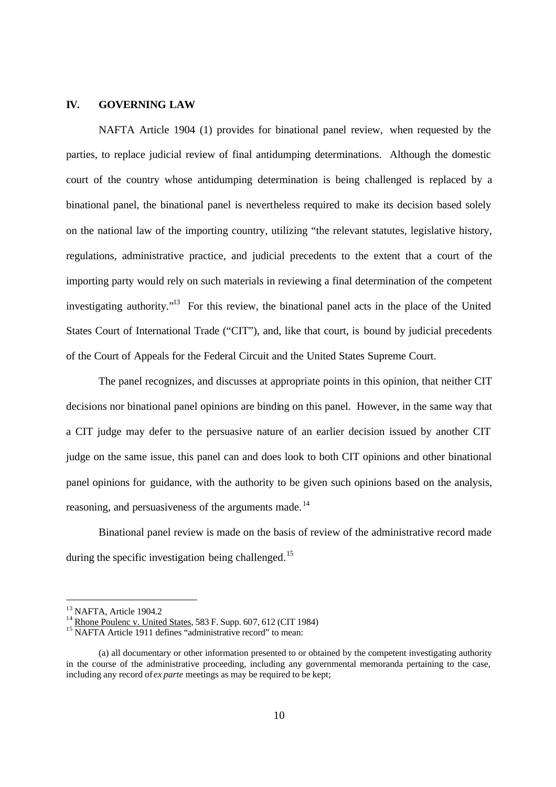### **IV. GOVERNING LAW**

NAFTA Article 1904 (1) provides for binational panel review, when requested by the parties, to replace judicial review of final antidumping determinations. Although the domestic court of the country whose antidumping determination is being challenged is replaced by a binational panel, the binational panel is nevertheless required to make its decision based solely on the national law of the importing country, utilizing "the relevant statutes, legislative history, regulations, administrative practice, and judicial precedents to the extent that a court of the importing party would rely on such materials in reviewing a final determination of the competent investigating authority."<sup>13</sup> For this review, the binational panel acts in the place of the United States Court of International Trade ("CIT"), and, like that court, is bound by judicial precedents of the Court of Appeals for the Federal Circuit and the United States Supreme Court.

The panel recognizes, and discusses at appropriate points in this opinion, that neither CIT decisions nor binational panel opinions are binding on this panel. However, in the same way that a CIT judge may defer to the persuasive nature of an earlier decision issued by another CIT judge on the same issue, this panel can and does look to both CIT opinions and other binational panel opinions for guidance, with the authority to be given such opinions based on the analysis, reasoning, and persuasiveness of the arguments made. <sup>14</sup>

Binational panel review is made on the basis of review of the administrative record made during the specific investigation being challenged.<sup>15</sup>

<sup>&</sup>lt;sup>13</sup> NAFTA, Article 1904.2

<sup>&</sup>lt;sup>14</sup> Rhone Poulenc v. United States, 583 F. Supp. 607, 612 (CIT 1984)

<sup>&</sup>lt;sup>15</sup> NAFTA Article 1911 defines "administrative record" to mean:

<sup>(</sup>a) all documentary or other information presented to or obtained by the competent investigating authority in the course of the administrative proceeding, including any governmental memoranda pertaining to the case, including any record of *ex parte* meetings as may be required to be kept;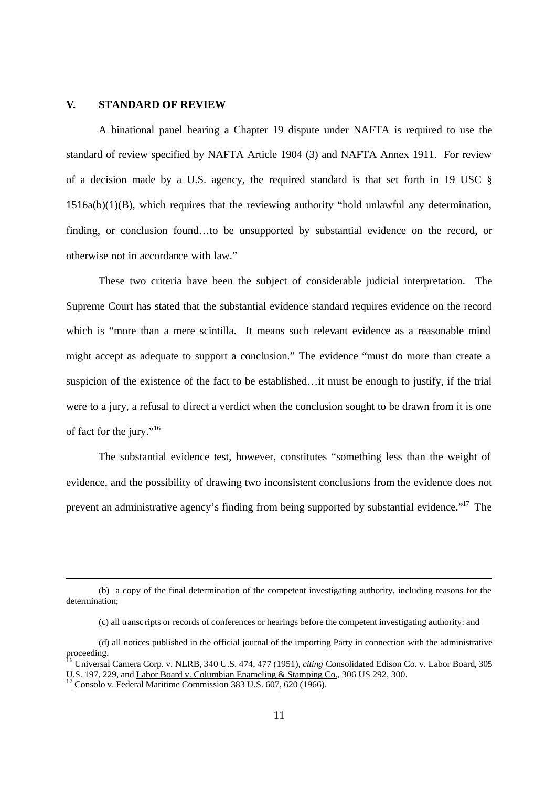#### **V. STANDARD OF REVIEW**

A binational panel hearing a Chapter 19 dispute under NAFTA is required to use the standard of review specified by NAFTA Article 1904 (3) and NAFTA Annex 1911. For review of a decision made by a U.S. agency, the required standard is that set forth in 19 USC §  $1516a(b)(1)(B)$ , which requires that the reviewing authority "hold unlawful any determination, finding, or conclusion found…to be unsupported by substantial evidence on the record, or otherwise not in accordance with law."

These two criteria have been the subject of considerable judicial interpretation. The Supreme Court has stated that the substantial evidence standard requires evidence on the record which is "more than a mere scintilla. It means such relevant evidence as a reasonable mind might accept as adequate to support a conclusion." The evidence "must do more than create a suspicion of the existence of the fact to be established…it must be enough to justify, if the trial were to a jury, a refusal to direct a verdict when the conclusion sought to be drawn from it is one of fact for the jury."<sup>16</sup>

The substantial evidence test, however, constitutes "something less than the weight of evidence, and the possibility of drawing two inconsistent conclusions from the evidence does not prevent an administrative agency's finding from being supported by substantial evidence."<sup>17</sup> The

<sup>(</sup>b) a copy of the final determination of the competent investigating authority, including reasons for the determination;

<sup>(</sup>c) all transcripts or records of conferences or hearings before the competent investigating authority: and

<sup>(</sup>d) all notices published in the official journal of the importing Party in connection with the administrative proceeding.

<sup>16</sup> Universal Camera Corp. v. NLRB, 340 U.S. 474, 477 (1951), *citing* Consolidated Edison Co. v. Labor Board, 305 U.S. 197, 229, and Labor Board v. Columbian Enameling & Stamping Co., 306 US 292, 300.

Consolo v. Federal Maritime Commission 383 U.S. 607, 620 (1966).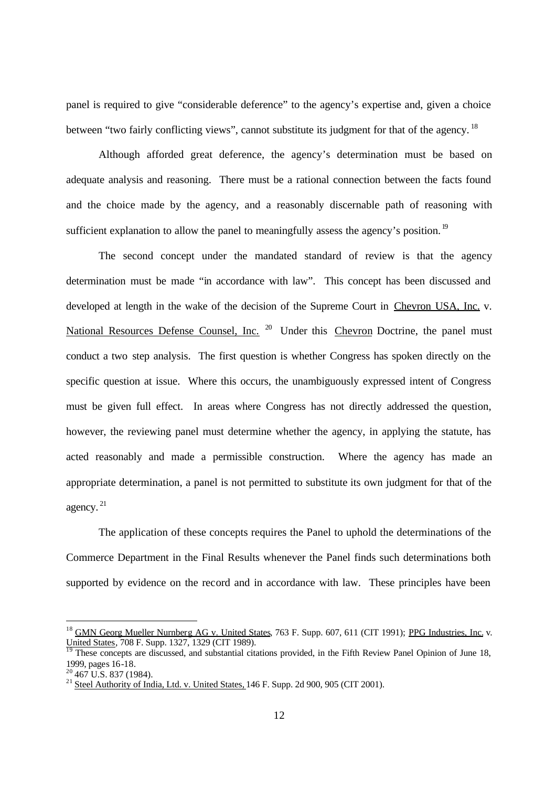panel is required to give "considerable deference" to the agency's expertise and, given a choice between "two fairly conflicting views", cannot substitute its judgment for that of the agency. <sup>18</sup>

Although afforded great deference, the agency's determination must be based on adequate analysis and reasoning. There must be a rational connection between the facts found and the choice made by the agency, and a reasonably discernable path of reasoning with sufficient explanation to allow the panel to meaningfully assess the agency's position.<sup>19</sup>

The second concept under the mandated standard of review is that the agency determination must be made "in accordance with law". This concept has been discussed and developed at length in the wake of the decision of the Supreme Court in Chevron USA, Inc. v. National Resources Defense Counsel, Inc. <sup>20</sup> Under this Chevron Doctrine, the panel must conduct a two step analysis. The first question is whether Congress has spoken directly on the specific question at issue. Where this occurs, the unambiguously expressed intent of Congress must be given full effect. In areas where Congress has not directly addressed the question, however, the reviewing panel must determine whether the agency, in applying the statute, has acted reasonably and made a permissible construction. Where the agency has made an appropriate determination, a panel is not permitted to substitute its own judgment for that of the agency. <sup>21</sup>

The application of these concepts requires the Panel to uphold the determinations of the Commerce Department in the Final Results whenever the Panel finds such determinations both supported by evidence on the record and in accordance with law. These principles have been

<sup>&</sup>lt;sup>18</sup> GMN Georg Mueller Nurnberg AG v. United States, 763 F. Supp. 607, 611 (CIT 1991); PPG Industries, Inc. v. United States, 708 F. Supp. 1327, 1329 (CIT 1989).

 $\frac{19}{19}$  These concepts are discussed, and substantial citations provided, in the Fifth Review Panel Opinion of June 18, 1999, pages 16-18.

 $20\,467$  U.S. 837 (1984).

<sup>&</sup>lt;sup>21</sup> Steel Authority of India, Ltd. v. United States, 146 F. Supp. 2d 900, 905 (CIT 2001).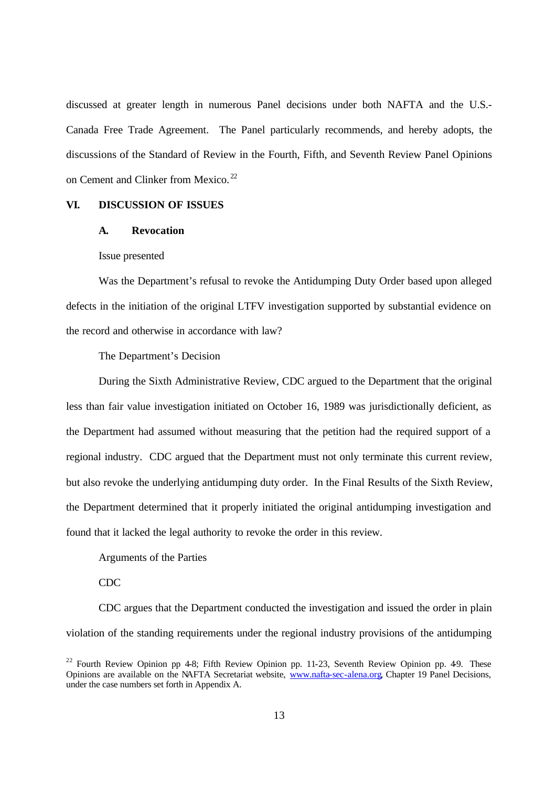discussed at greater length in numerous Panel decisions under both NAFTA and the U.S.- Canada Free Trade Agreement. The Panel particularly recommends, and hereby adopts, the discussions of the Standard of Review in the Fourth, Fifth, and Seventh Review Panel Opinions on Cement and Clinker from Mexico.<sup>22</sup>

### **VI. DISCUSSION OF ISSUES**

## **A. Revocation**

## Issue presented

Was the Department's refusal to revoke the Antidumping Duty Order based upon alleged defects in the initiation of the original LTFV investigation supported by substantial evidence on the record and otherwise in accordance with law?

#### The Department's Decision

During the Sixth Administrative Review, CDC argued to the Department that the original less than fair value investigation initiated on October 16, 1989 was jurisdictionally deficient, as the Department had assumed without measuring that the petition had the required support of a regional industry. CDC argued that the Department must not only terminate this current review, but also revoke the underlying antidumping duty order. In the Final Results of the Sixth Review, the Department determined that it properly initiated the original antidumping investigation and found that it lacked the legal authority to revoke the order in this review.

Arguments of the Parties

## CDC

CDC argues that the Department conducted the investigation and issued the order in plain violation of the standing requirements under the regional industry provisions of the antidumping

<sup>&</sup>lt;sup>22</sup> Fourth Review Opinion pp 4-8; Fifth Review Opinion pp. 11-23, Seventh Review Opinion pp. 49. These Opinions are available on the NAFTA Secretariat website, www.nafta-sec-alena.org, Chapter 19 Panel Decisions, under the case numbers set forth in Appendix A.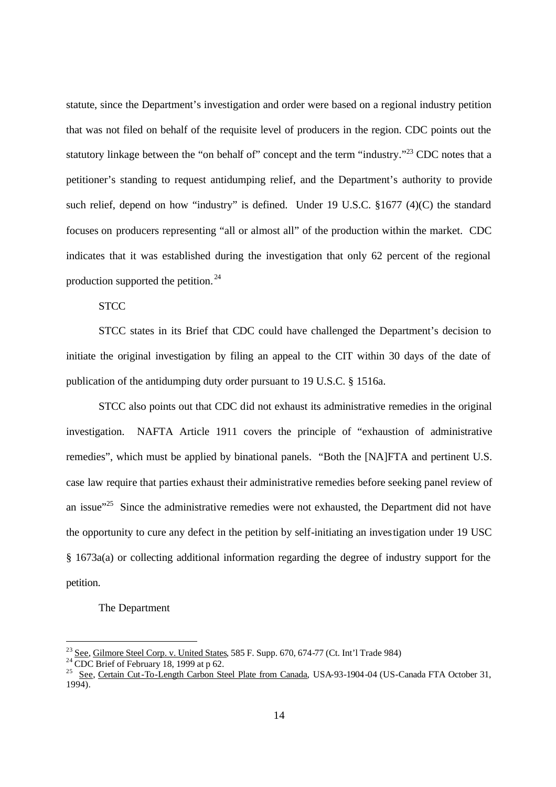statute, since the Department's investigation and order were based on a regional industry petition that was not filed on behalf of the requisite level of producers in the region. CDC points out the statutory linkage between the "on behalf of" concept and the term "industry."<sup>23</sup> CDC notes that a petitioner's standing to request antidumping relief, and the Department's authority to provide such relief, depend on how "industry" is defined. Under 19 U.S.C. §1677 (4)(C) the standard focuses on producers representing "all or almost all" of the production within the market. CDC indicates that it was established during the investigation that only 62 percent of the regional production supported the petition. <sup>24</sup>

**STCC** 

STCC states in its Brief that CDC could have challenged the Department's decision to initiate the original investigation by filing an appeal to the CIT within 30 days of the date of publication of the antidumping duty order pursuant to 19 U.S.C. § 1516a.

STCC also points out that CDC did not exhaust its administrative remedies in the original investigation. NAFTA Article 1911 covers the principle of "exhaustion of administrative remedies", which must be applied by binational panels. "Both the [NA]FTA and pertinent U.S. case law require that parties exhaust their administrative remedies before seeking panel review of an issue $125$  Since the administrative remedies were not exhausted, the Department did not have the opportunity to cure any defect in the petition by self-initiating an investigation under 19 USC § 1673a(a) or collecting additional information regarding the degree of industry support for the petition.

### The Department

 $\overline{a}$ 

 $^{23}$  See, Gilmore Steel Corp. v. United States, 585 F. Supp. 670, 674-77 (Ct. Int'l Trade 984)

 $2<sup>24</sup>$  CDC Brief of February 18, 1999 at p 62.

<sup>&</sup>lt;sup>25</sup> See, Certain Cut-To-Length Carbon Steel Plate from Canada, USA-93-1904-04 (US-Canada FTA October 31, 1994).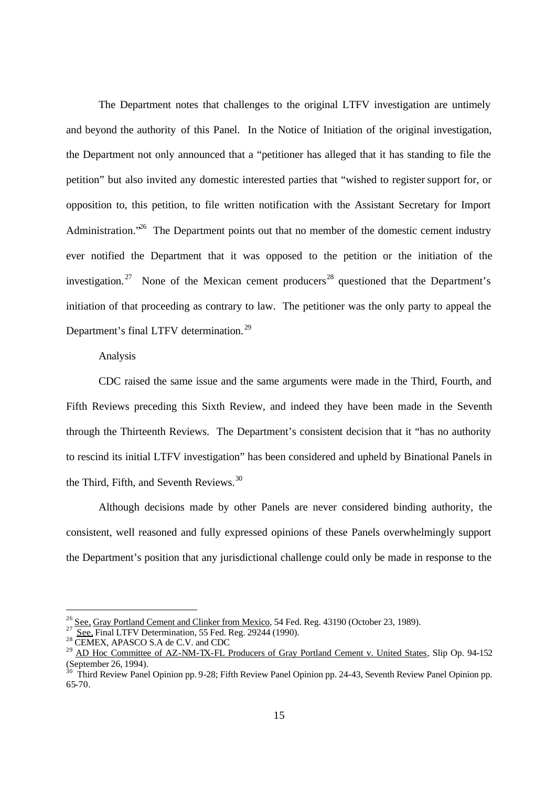The Department notes that challenges to the original LTFV investigation are untimely and beyond the authority of this Panel. In the Notice of Initiation of the original investigation, the Department not only announced that a "petitioner has alleged that it has standing to file the petition" but also invited any domestic interested parties that "wished to register support for, or opposition to, this petition, to file written notification with the Assistant Secretary for Import Administration.<sup> $26$ </sup> The Department points out that no member of the domestic cement industry ever notified the Department that it was opposed to the petition or the initiation of the investigation.<sup>27</sup> None of the Mexican cement producers<sup>28</sup> questioned that the Department's initiation of that proceeding as contrary to law. The petitioner was the only party to appeal the Department's final LTFV determination. <sup>29</sup>

### Analysis

CDC raised the same issue and the same arguments were made in the Third, Fourth, and Fifth Reviews preceding this Sixth Review, and indeed they have been made in the Seventh through the Thirteenth Reviews. The Department's consistent decision that it "has no authority to rescind its initial LTFV investigation" has been considered and upheld by Binational Panels in the Third, Fifth, and Seventh Reviews.<sup>30</sup>

Although decisions made by other Panels are never considered binding authority, the consistent, well reasoned and fully expressed opinions of these Panels overwhelmingly support the Department's position that any jurisdictional challenge could only be made in response to the

<sup>&</sup>lt;sup>26</sup> See, Gray Portland Cement and Clinker from Mexico, 54 Fed. Reg. 43190 (October 23, 1989).

<sup>27</sup> See, Final LTFV Determination, 55 Fed. Reg. 29244 (1990).

 $^{28}$  CEMEX, APASCO S.A de C.V. and CDC

<sup>&</sup>lt;sup>29</sup> AD Hoc Committee of AZ-NM-TX-FL Producers of Gray Portland Cement v. United States, Slip Op. 94-152 (September 26, 1994).

 $30$  Third Review Panel Opinion pp. 9-28; Fifth Review Panel Opinion pp. 24-43, Seventh Review Panel Opinion pp. 65-70.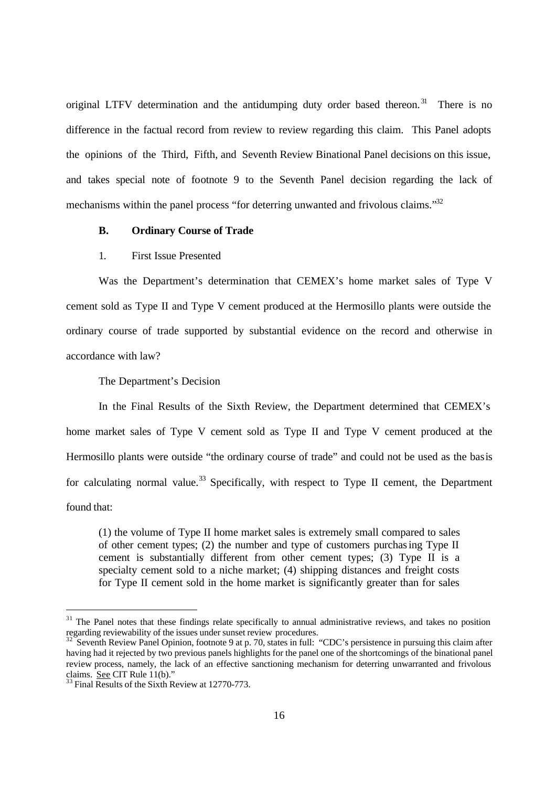original LTFV determination and the antidumping duty order based thereon.<sup>31</sup> There is no difference in the factual record from review to review regarding this claim. This Panel adopts the opinions of the Third, Fifth, and Seventh Review Binational Panel decisions on this issue, and takes special note of footnote 9 to the Seventh Panel decision regarding the lack of mechanisms within the panel process "for deterring unwanted and frivolous claims."<sup>32</sup>

### **B. Ordinary Course of Trade**

### 1. First Issue Presented

Was the Department's determination that CEMEX's home market sales of Type V cement sold as Type II and Type V cement produced at the Hermosillo plants were outside the ordinary course of trade supported by substantial evidence on the record and otherwise in accordance with law?

The Department's Decision

In the Final Results of the Sixth Review, the Department determined that CEMEX's home market sales of Type V cement sold as Type II and Type V cement produced at the Hermosillo plants were outside "the ordinary course of trade" and could not be used as the basis for calculating normal value.<sup>33</sup> Specifically, with respect to Type II cement, the Department found that:

(1) the volume of Type II home market sales is extremely small compared to sales of other cement types; (2) the number and type of customers purchasing Type II cement is substantially different from other cement types; (3) Type II is a specialty cement sold to a niche market; (4) shipping distances and freight costs for Type II cement sold in the home market is significantly greater than for sales

 $31$  The Panel notes that these findings relate specifically to annual administrative reviews, and takes no position regarding reviewability of the issues under sunset review procedures.

Seventh Review Panel Opinion, footnote 9 at p. 70, states in full: "CDC's persistence in pursuing this claim after having had it rejected by two previous panels highlights for the panel one of the shortcomings of the binational panel review process, namely, the lack of an effective sanctioning mechanism for deterring unwarranted and frivolous claims. See CIT Rule 11(b)."

 $33$  Final Results of the Sixth Review at 12770-773.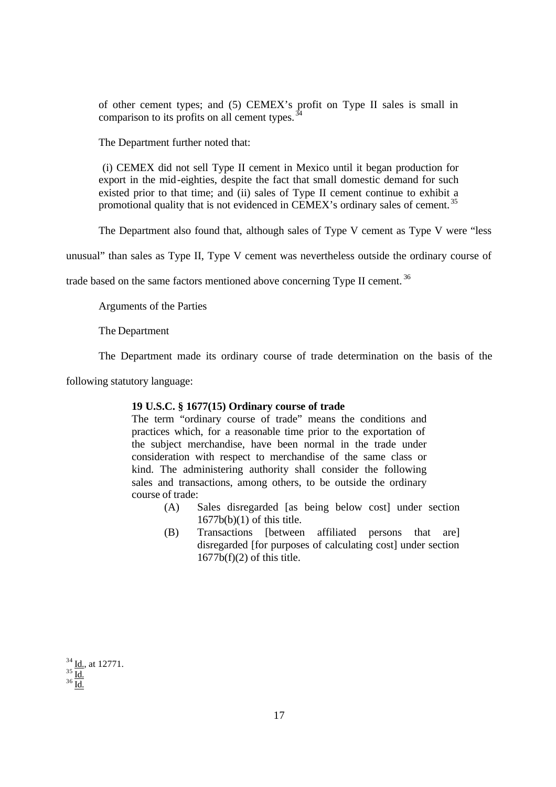of other cement types; and (5) CEMEX's profit on Type II sales is small in comparison to its profits on all cement types. $\frac{3}{4}$ 

The Department further noted that:

 (i) CEMEX did not sell Type II cement in Mexico until it began production for export in the mid-eighties, despite the fact that small domestic demand for such existed prior to that time; and (ii) sales of Type II cement continue to exhibit a promotional quality that is not evidenced in CEMEX's ordinary sales of cement.<sup>35</sup>

The Department also found that, although sales of Type V cement as Type V were "less

unusual" than sales as Type II, Type V cement was nevertheless outside the ordinary course of

trade based on the same factors mentioned above concerning Type II cement.<sup>36</sup>

Arguments of the Parties

The Department

The Department made its ordinary course of trade determination on the basis of the

following statutory language:

#### **19 U.S.C. § 1677(15) Ordinary course of trade**

The term "ordinary course of trade" means the conditions and practices which, for a reasonable time prior to the exportation of the subject merchandise, have been normal in the trade under consideration with respect to merchandise of the same class or kind. The administering authority shall consider the following sales and transactions, among others, to be outside the ordinary course of trade:

- (A) Sales disregarded [as being below cost] under section 1677b(b)(1) of this title.
- (B) Transactions [between affiliated persons that are] disregarded [for purposes of calculating cost] under section  $1677b(f)(2)$  of this title.

 $34$  <u>Id.,</u> at 12771.  $35 \underline{\text{Id}}$ .  $36 \overline{\mathrm{Id}}$ .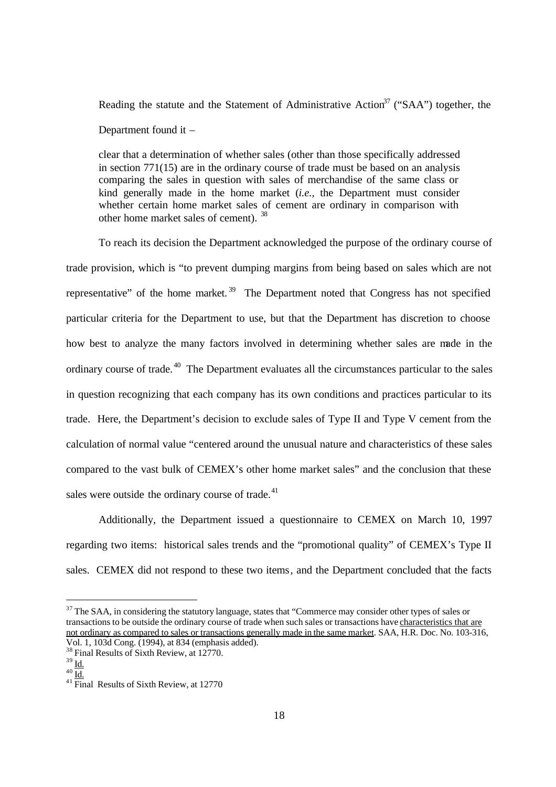Reading the statute and the Statement of Administrative Action<sup>37</sup> ("SAA") together, the Department found it –

clear that a determination of whether sales (other than those specifically addressed in section 771(15) are in the ordinary course of trade must be based on an analysis comparing the sales in question with sales of merchandise of the same class or kind generally made in the home market (*i.e.,* the Department must consider whether certain home market sales of cement are ordinary in comparison with other home market sales of cement). <sup>38</sup>

To reach its decision the Department acknowledged the purpose of the ordinary course of trade provision, which is "to prevent dumping margins from being based on sales which are not representative" of the home market.<sup>39</sup> The Department noted that Congress has not specified particular criteria for the Department to use, but that the Department has discretion to choose how best to analyze the many factors involved in determining whether sales are made in the ordinary course of trade. <sup>40</sup> The Department evaluates all the circumstances particular to the sales in question recognizing that each company has its own conditions and practices particular to its trade. Here, the Department's decision to exclude sales of Type II and Type V cement from the calculation of normal value "centered around the unusual nature and characteristics of these sales compared to the vast bulk of CEMEX's other home market sales" and the conclusion that these sales were outside the ordinary course of trade. $41$ 

Additionally, the Department issued a questionnaire to CEMEX on March 10, 1997 regarding two items: historical sales trends and the "promotional quality" of CEMEX's Type II sales. CEMEX did not respond to these two items, and the Department concluded that the facts

<sup>&</sup>lt;sup>37</sup> The SAA, in considering the statutory language, states that "Commerce may consider other types of sales or transactions to be outside the ordinary course of trade when such sales or transactions have characteristics that are not ordinary as compared to sales or transactions generally made in the same market. SAA, H.R. Doc. No. 103-316, Vol. 1, 103d Cong. (1994), at 834 (emphasis added).

<sup>&</sup>lt;sup>38</sup> Final Results of Sixth Review, at 12770.

 $39$   $\underline{\text{Id}}$ .

 $^{40}$   $\overline{\underline{\mathrm{Id.}}}$ 

 $41$  Final Results of Sixth Review, at 12770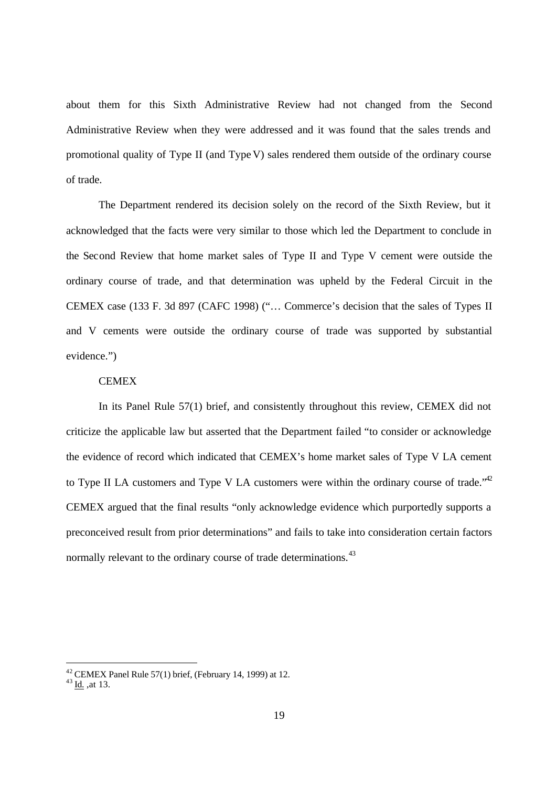about them for this Sixth Administrative Review had not changed from the Second Administrative Review when they were addressed and it was found that the sales trends and promotional quality of Type II (and Type V) sales rendered them outside of the ordinary course of trade.

The Department rendered its decision solely on the record of the Sixth Review, but it acknowledged that the facts were very similar to those which led the Department to conclude in the Second Review that home market sales of Type II and Type V cement were outside the ordinary course of trade, and that determination was upheld by the Federal Circuit in the CEMEX case (133 F. 3d 897 (CAFC 1998) ("… Commerce's decision that the sales of Types II and V cements were outside the ordinary course of trade was supported by substantial evidence.")

## **CEMEX**

In its Panel Rule 57(1) brief, and consistently throughout this review, CEMEX did not criticize the applicable law but asserted that the Department failed "to consider or acknowledge the evidence of record which indicated that CEMEX's home market sales of Type V LA cement to Type II LA customers and Type V LA customers were within the ordinary course of trade.<sup> $42$ </sup> CEMEX argued that the final results "only acknowledge evidence which purportedly supports a preconceived result from prior determinations" and fails to take into consideration certain factors normally relevant to the ordinary course of trade determinations.<sup>43</sup>

<sup>&</sup>lt;sup>42</sup> CEMEX Panel Rule 57(1) brief, (February 14, 1999) at 12.

 $^{43}$  <u>Id.</u>, at 13.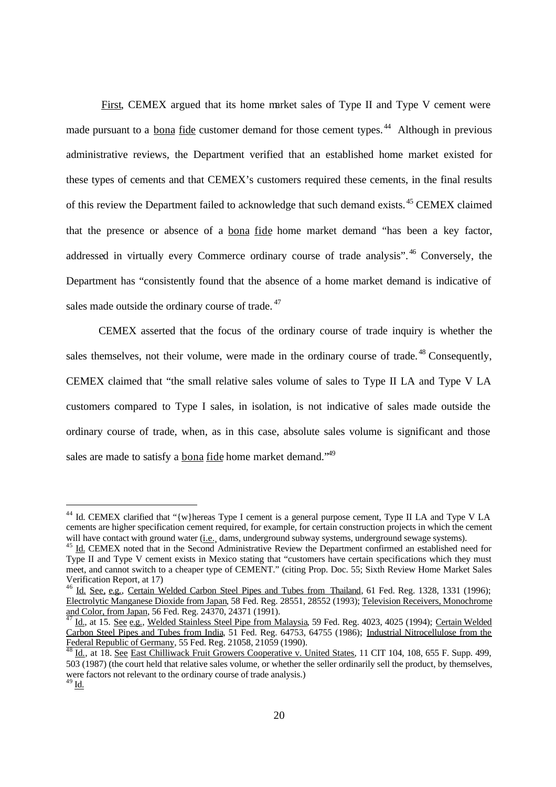First, CEMEX argued that its home market sales of Type II and Type V cement were made pursuant to a bona fide customer demand for those cement types.<sup>44</sup> Although in previous administrative reviews, the Department verified that an established home market existed for these types of cements and that CEMEX's customers required these cements, in the final results of this review the Department failed to acknowledge that such demand exists.<sup>45</sup> CEMEX claimed that the presence or absence of a bona fide home market demand "has been a key factor, addressed in virtually every Commerce ordinary course of trade analysis".<sup>46</sup> Conversely, the Department has "consistently found that the absence of a home market demand is indicative of sales made outside the ordinary course of trade.<sup>47</sup>

CEMEX asserted that the focus of the ordinary course of trade inquiry is whether the sales themselves, not their volume, were made in the ordinary course of trade.<sup>48</sup> Consequently, CEMEX claimed that "the small relative sales volume of sales to Type II LA and Type V LA customers compared to Type I sales, in isolation, is not indicative of sales made outside the ordinary course of trade, when, as in this case, absolute sales volume is significant and those sales are made to satisfy a bona fide home market demand."<sup>49</sup>

<sup>&</sup>lt;sup>44</sup> Id. CEMEX clarified that "{w}hereas Type I cement is a general purpose cement, Type II LA and Type V LA cements are higher specification cement required, for example, for certain construction projects in which the cement will have contact with ground water (i.e. dams, underground subway systems, underground sewage systems).

<sup>&</sup>lt;sup>45</sup> Id. CEMEX noted that in the Second Administrative Review the Department confirmed an established need for Type II and Type V cement exists in Mexico stating that "customers have certain specifications which they must meet, and cannot switch to a cheaper type of CEMENT." (citing Prop. Doc. 55; Sixth Review Home Market Sales Verification Report, at 17)

<sup>&</sup>lt;sup>46</sup> Id. See, e.g., Certain Welded Carbon Steel Pipes and Tubes from Thailand, 61 Fed. Reg. 1328, 1331 (1996); Electrolytic Manganese Dioxide from Japan, 58 Fed. Reg. 28551, 28552 (1993); Television Receivers, Monochrome and Color, from Japan, 56 Fed. Reg. 24370, 24371 (1991).

Id., at 15. See e.g., Welded Stainless Steel Pipe from Malaysia, 59 Fed. Reg. 4023, 4025 (1994); Certain Welded Carbon Steel Pipes and Tubes from India, 51 Fed. Reg. 64753, 64755 (1986); Industrial Nitrocellulose from the Federal Republic of Germany, 55 Fed. Reg. 21058, 21059 (1990).

Id., at 18. See East Chilliwack Fruit Growers Cooperative v. United States, 11 CIT 104, 108, 655 F. Supp. 499, 503 (1987) (the court held that relative sales volume, or whether the seller ordinarily sell the product, by themselves, were factors not relevant to the ordinary course of trade analysis.)  $^{49}$  Id.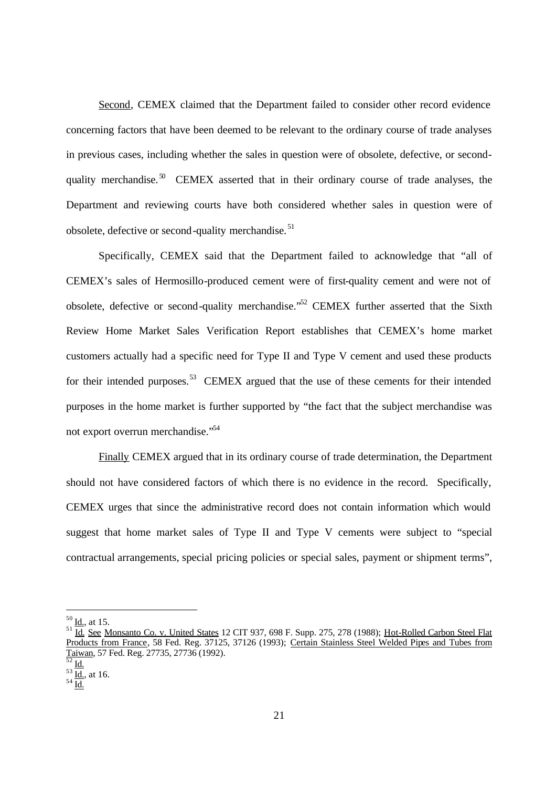Second, CEMEX claimed that the Department failed to consider other record evidence concerning factors that have been deemed to be relevant to the ordinary course of trade analyses in previous cases, including whether the sales in question were of obsolete, defective, or secondquality merchandise.<sup>50</sup> CEMEX asserted that in their ordinary course of trade analyses, the Department and reviewing courts have both considered whether sales in question were of obsolete, defective or second-quality merchandise. <sup>51</sup>

Specifically, CEMEX said that the Department failed to acknowledge that "all of CEMEX's sales of Hermosillo-produced cement were of first-quality cement and were not of obsolete, defective or second-quality merchandise."<sup>52</sup> CEMEX further asserted that the Sixth Review Home Market Sales Verification Report establishes that CEMEX's home market customers actually had a specific need for Type II and Type V cement and used these products for their intended purposes.<sup>53</sup> CEMEX argued that the use of these cements for their intended purposes in the home market is further supported by "the fact that the subject merchandise was not export overrun merchandise."<sup>54</sup>

Finally CEMEX argued that in its ordinary course of trade determination, the Department should not have considered factors of which there is no evidence in the record. Specifically, CEMEX urges that since the administrative record does not contain information which would suggest that home market sales of Type II and Type V cements were subject to "special contractual arrangements, special pricing policies or special sales, payment or shipment terms",

 $50$  Id., at 15.

<sup>&</sup>lt;sup>51</sup> Id. See Monsanto Co. v. United States 12 CIT 937, 698 F. Supp. 275, 278 (1988); Hot-Rolled Carbon Steel Flat Products from France, 58 Fed. Reg. 37125, 37126 (1993); Certain Stainless Steel Welded Pipes and Tubes from Taiwan, 57 Fed. Reg. 27735, 27736 (1992).

Id.

 $\frac{53}{\underline{\text{Id}}}, \text{at } 16.$ 

 $^{54}$  Id.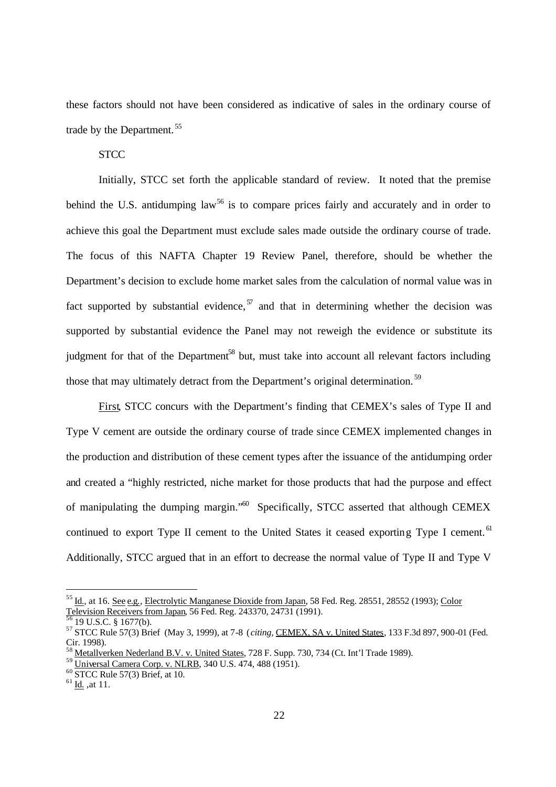these factors should not have been considered as indicative of sales in the ordinary course of trade by the Department. <sup>55</sup>

**STCC** 

Initially, STCC set forth the applicable standard of review. It noted that the premise behind the U.S. antidumping  $law<sup>56</sup>$  is to compare prices fairly and accurately and in order to achieve this goal the Department must exclude sales made outside the ordinary course of trade. The focus of this NAFTA Chapter 19 Review Panel, therefore, should be whether the Department's decision to exclude home market sales from the calculation of normal value was in fact supported by substantial evidence,  $\frac{57}{9}$  and that in determining whether the decision was supported by substantial evidence the Panel may not reweigh the evidence or substitute its judgment for that of the Department<sup>58</sup> but, must take into account all relevant factors including those that may ultimately detract from the Department's original determination.<sup>59</sup>

First, STCC concurs with the Department's finding that CEMEX's sales of Type II and Type V cement are outside the ordinary course of trade since CEMEX implemented changes in the production and distribution of these cement types after the issuance of the antidumping order and created a "highly restricted, niche market for those products that had the purpose and effect of manipulating the dumping margin."<sup>60</sup> Specifically, STCC asserted that although CEMEX continued to export Type II cement to the United States it ceased exporting Type I cement.<sup>61</sup> Additionally, STCC argued that in an effort to decrease the normal value of Type II and Type V

<sup>55</sup> Id., at 16. See e.g., Electrolytic Manganese Dioxide from Japan, 58 Fed. Reg. 28551, 28552 (1993); Color Television Receivers from Japan, 56 Fed. Reg. 243370, 24731 (1991).

 $19$  U.S.C. § 1677(b).

<sup>57</sup> STCC Rule 57(3) Brief (May 3, 1999), at 7-8 (*citing,* CEMEX, SA v. United States, 133 F.3d 897, 900-01 (Fed. Cir. 1998).

Metallverken Nederland B.V. v. United States, 728 F. Supp. 730, 734 (Ct. Int'l Trade 1989).

<sup>&</sup>lt;sup>59</sup> Universal Camera Corp. v. NLRB, 340 U.S. 474, 488 (1951).

<sup>60</sup> STCC Rule 57(3) Brief, at 10.

 $^{61}$  Id., at 11.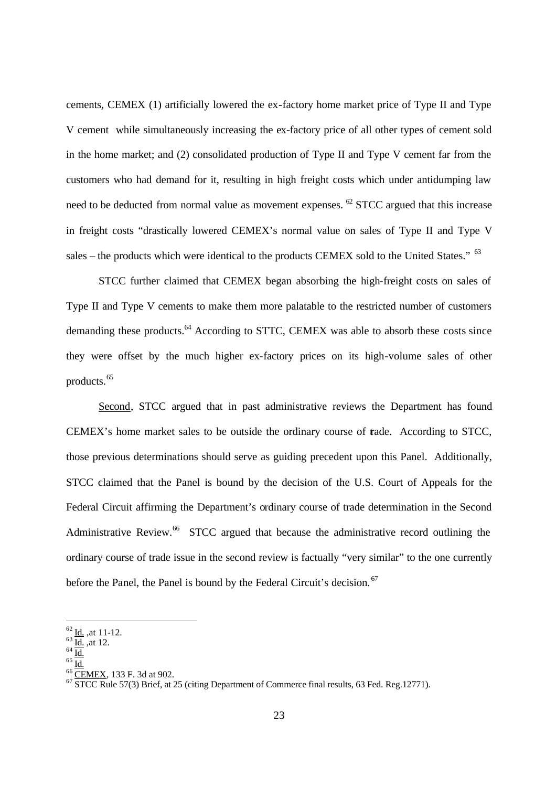cements, CEMEX (1) artificially lowered the ex-factory home market price of Type II and Type V cement while simultaneously increasing the ex-factory price of all other types of cement sold in the home market; and (2) consolidated production of Type II and Type V cement far from the customers who had demand for it, resulting in high freight costs which under antidumping law need to be deducted from normal value as movement expenses. <sup>62</sup> STCC argued that this increase in freight costs "drastically lowered CEMEX's normal value on sales of Type II and Type V sales – the products which were identical to the products CEMEX sold to the United States." <sup>63</sup>

STCC further claimed that CEMEX began absorbing the high-freight costs on sales of Type II and Type V cements to make them more palatable to the restricted number of customers demanding these products.<sup>64</sup> According to STTC, CEMEX was able to absorb these costs since they were offset by the much higher ex-factory prices on its high-volume sales of other products.<sup>65</sup>

Second, STCC argued that in past administrative reviews the Department has found CEMEX's home market sales to be outside the ordinary course of trade. According to STCC, those previous determinations should serve as guiding precedent upon this Panel. Additionally, STCC claimed that the Panel is bound by the decision of the U.S. Court of Appeals for the Federal Circuit affirming the Department's ordinary course of trade determination in the Second Administrative Review.<sup>66</sup> STCC argued that because the administrative record outlining the ordinary course of trade issue in the second review is factually "very similar" to the one currently before the Panel, the Panel is bound by the Federal Circuit's decision.<sup>67</sup>

 $\frac{62}{1}$  Id., at 11-12.

 $\frac{63}{1}$  Id., at 12.

 $64 \overline{Id}$ .

 $65$   $\underline{\text{Id}}$ .

 $\frac{66}{\text{CEMEX}}$ , 133 F. 3d at 902.

 $67$  STCC Rule 57(3) Brief, at 25 (citing Department of Commerce final results, 63 Fed. Reg.12771).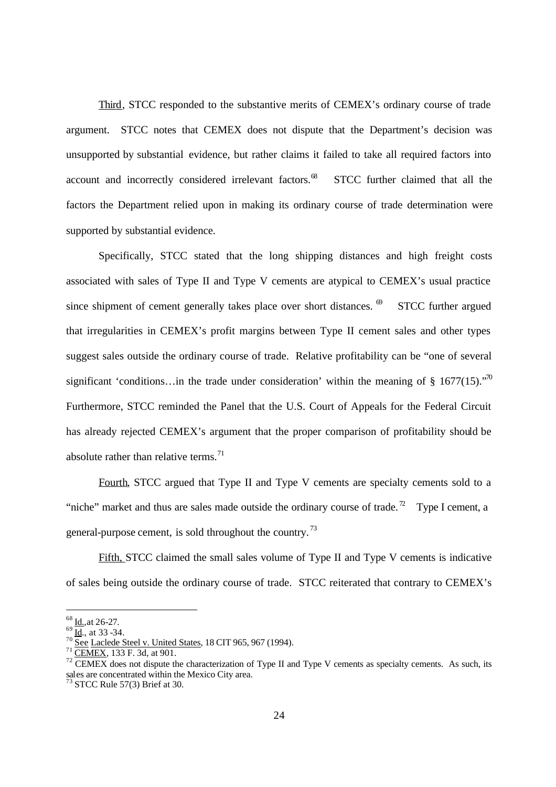Third, STCC responded to the substantive merits of CEMEX's ordinary course of trade argument. STCC notes that CEMEX does not dispute that the Department's decision was unsupported by substantial evidence, but rather claims it failed to take all required factors into account and incorrectly considered irrelevant factors.<sup>68</sup> STCC further claimed that all the factors the Department relied upon in making its ordinary course of trade determination were supported by substantial evidence.

Specifically, STCC stated that the long shipping distances and high freight costs associated with sales of Type II and Type V cements are atypical to CEMEX's usual practice since shipment of cement generally takes place over short distances.  $\theta$  STCC further argued that irregularities in CEMEX's profit margins between Type II cement sales and other types suggest sales outside the ordinary course of trade. Relative profitability can be "one of several significant 'conditions...in the trade under consideration' within the meaning of § 1677(15)."<sup>70</sup> Furthermore, STCC reminded the Panel that the U.S. Court of Appeals for the Federal Circuit has already rejected CEMEX's argument that the proper comparison of profitability should be absolute rather than relative terms. $^{71}$ 

 Fourth, STCC argued that Type II and Type V cements are specialty cements sold to a "niche" market and thus are sales made outside the ordinary course of trade.<sup>72</sup> Type I cement, a general-purpose cement, is sold throughout the country. <sup>73</sup>

Fifth, STCC claimed the small sales volume of Type II and Type V cements is indicative of sales being outside the ordinary course of trade. STCC reiterated that contrary to CEMEX's

 $68$  <u>Id.,</u>at 26-27.

 $69 \overline{Id}$ , at 33 -34.

 $70$  See Laclede Steel v. United States, 18 CIT 965, 967 (1994).

<sup>71</sup> CEMEX, 133 F. 3d, at 901.

 $72$  CEMEX does not dispute the characterization of Type II and Type V cements as specialty cements. As such, its sales are concentrated within the Mexico City area.

 $73$  STCC Rule 57(3) Brief at 30.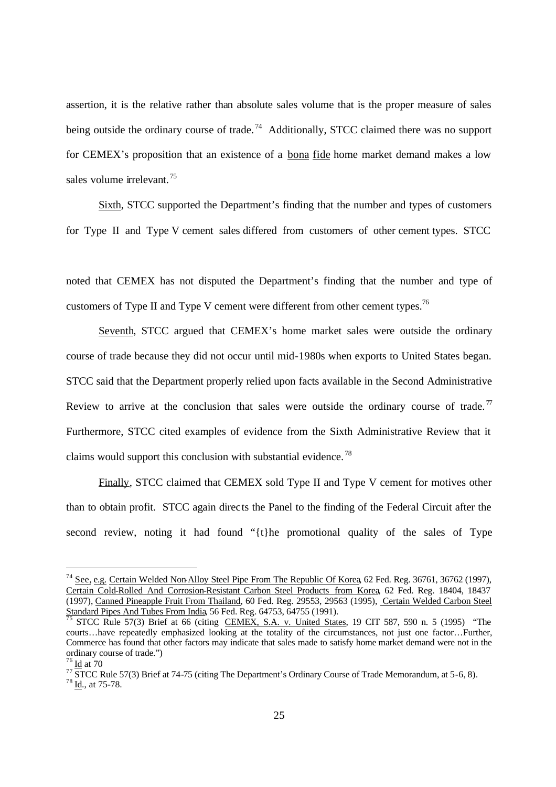assertion, it is the relative rather than absolute sales volume that is the proper measure of sales being outside the ordinary course of trade.<sup>74</sup> Additionally, STCC claimed there was no support for CEMEX's proposition that an existence of a bona fide home market demand makes a low sales volume irrelevant.<sup>75</sup>

 Sixth, STCC supported the Department's finding that the number and types of customers for Type II and Type V cement sales differed from customers of other cement types. STCC

noted that CEMEX has not disputed the Department's finding that the number and type of customers of Type II and Type V cement were different from other cement types.<sup>76</sup>

 Seventh, STCC argued that CEMEX's home market sales were outside the ordinary course of trade because they did not occur until mid-1980s when exports to United States began. STCC said that the Department properly relied upon facts available in the Second Administrative Review to arrive at the conclusion that sales were outside the ordinary course of trade.<sup>77</sup> Furthermore, STCC cited examples of evidence from the Sixth Administrative Review that it claims would support this conclusion with substantial evidence. <sup>78</sup>

 Finally, STCC claimed that CEMEX sold Type II and Type V cement for motives other than to obtain profit. STCC again directs the Panel to the finding of the Federal Circuit after the second review, noting it had found "{t}he promotional quality of the sales of Type

<sup>74</sup> See, e.g. Certain Welded Non-Alloy Steel Pipe From The Republic Of Korea, 62 Fed. Reg. 36761, 36762 (1997), Certain Cold-Rolled And Corrosion-Resistant Carbon Steel Products from Korea, 62 Fed. Reg. 18404, 18437 (1997), Canned Pineapple Fruit From Thailand, 60 Fed. Reg. 29553, 29563 (1995), Certain Welded Carbon Steel Standard Pipes And Tubes From India, 56 Fed. Reg. 64753, 64755 (1991).

<sup>75</sup> STCC Rule 57(3) Brief at 66 (citing CEMEX, S.A. v. United States, 19 CIT 587, 590 n. 5 (1995) "The courts…have repeatedly emphasized looking at the totality of the circumstances, not just one factor…Further, Commerce has found that other factors may indicate that sales made to satisfy home market demand were not in the ordinary course of trade.")

Id at 70

<sup>&</sup>lt;sup>77</sup> STCC Rule 57(3) Brief at 74-75 (citing The Department's Ordinary Course of Trade Memorandum, at 5-6, 8).

<sup>78</sup> Id., at 75-78.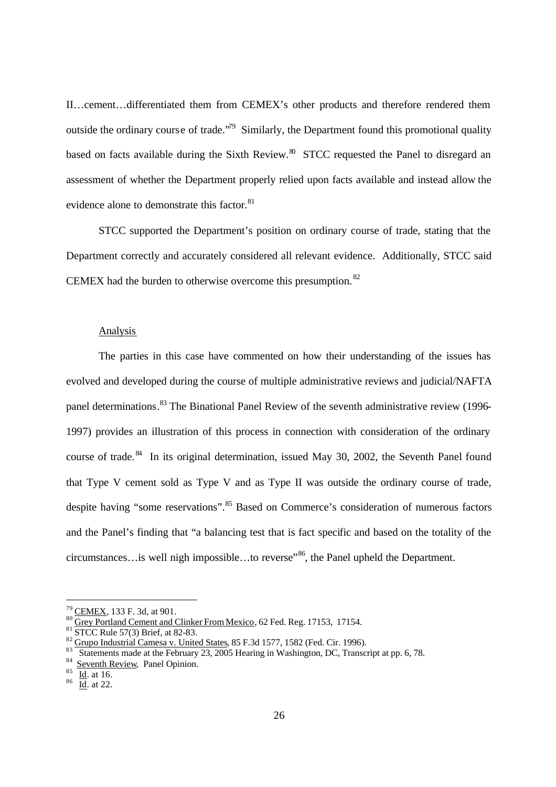II…cement…differentiated them from CEMEX's other products and therefore rendered them outside the ordinary course of trade.<sup> $79$ </sup> Similarly, the Department found this promotional quality based on facts available during the Sixth Review. $80\degree$  STCC requested the Panel to disregard an assessment of whether the Department properly relied upon facts available and instead allow the evidence alone to demonstrate this factor.<sup>81</sup>

 STCC supported the Department's position on ordinary course of trade, stating that the Department correctly and accurately considered all relevant evidence. Additionally, STCC said CEMEX had the burden to otherwise overcome this presumption.  $82$ 

#### Analysis

The parties in this case have commented on how their understanding of the issues has evolved and developed during the course of multiple administrative reviews and judicial/NAFTA panel determinations.<sup>83</sup> The Binational Panel Review of the seventh administrative review (1996-1997) provides an illustration of this process in connection with consideration of the ordinary course of trade.<sup>84</sup> In its original determination, issued May 30, 2002, the Seventh Panel found that Type V cement sold as Type V and as Type II was outside the ordinary course of trade, despite having "some reservations".<sup>85</sup> Based on Commerce's consideration of numerous factors and the Panel's finding that "a balancing test that is fact specific and based on the totality of the circumstances…is well nigh impossible…to reverse"<sup>86</sup>, the Panel upheld the Department.

<sup>79</sup> CEMEX, 133 F. 3d, at 901.

<sup>80</sup> Grey Portland Cement and Clinker From Mexico, 62 Fed. Reg. 17153, 17154.

<sup>81</sup> STCC Rule 57(3) Brief, at 82-83.

 $\frac{82}{15}$  Grupo Industrial Camesa v. United States, 85 F.3d 1577, 1582 (Fed. Cir. 1996).

Statements made at the February 23, 2005 Hearing in Washington, DC, Transcript at pp. 6, 78.

<sup>84</sup> Seventh Review, Panel Opinion.

<sup>85</sup> Id. at 16.

 $\frac{86}{\text{Id}}$ . at 22.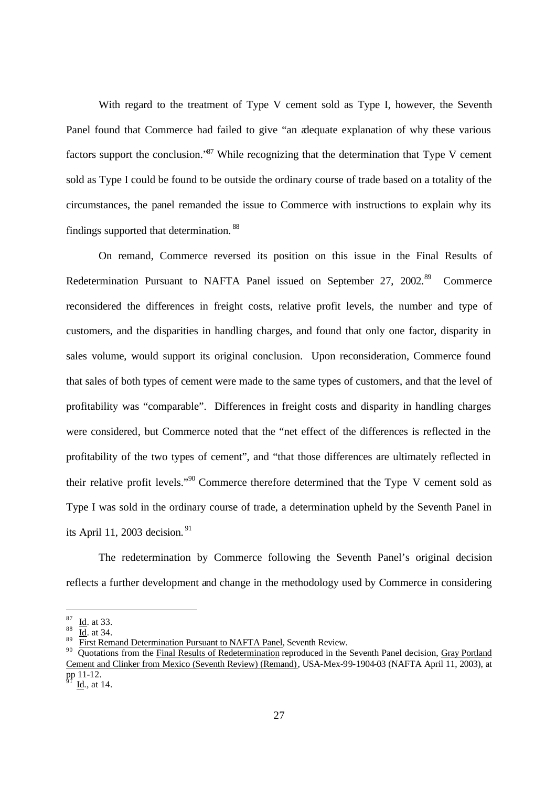With regard to the treatment of Type V cement sold as Type I, however, the Seventh Panel found that Commerce had failed to give "an adequate explanation of why these various factors support the conclusion.<sup>87</sup> While recognizing that the determination that Type V cement sold as Type I could be found to be outside the ordinary course of trade based on a totality of the circumstances, the panel remanded the issue to Commerce with instructions to explain why its findings supported that determination. 88

On remand, Commerce reversed its position on this issue in the Final Results of Redetermination Pursuant to NAFTA Panel issued on September 27, 2002.<sup>89</sup> Commerce reconsidered the differences in freight costs, relative profit levels, the number and type of customers, and the disparities in handling charges, and found that only one factor, disparity in sales volume, would support its original conclusion. Upon reconsideration, Commerce found that sales of both types of cement were made to the same types of customers, and that the level of profitability was "comparable". Differences in freight costs and disparity in handling charges were considered, but Commerce noted that the "net effect of the differences is reflected in the profitability of the two types of cement", and "that those differences are ultimately reflected in their relative profit levels."<sup>90</sup> Commerce therefore determined that the Type V cement sold as Type I was sold in the ordinary course of trade, a determination upheld by the Seventh Panel in its April 11, 2003 decision. <sup>91</sup>

The redetermination by Commerce following the Seventh Panel's original decision reflects a further development and change in the methodology used by Commerce in considering

<sup>87</sup> Id. at 33.

 $rac{88}{10}$   $rac{\overline{Id}}{\overline{B}}$  at 34.

First Remand Determination Pursuant to NAFTA Panel, Seventh Review.

<sup>&</sup>lt;sup>90</sup> Ouotations from the Final Results of Redetermination reproduced in the Seventh Panel decision, Gray Portland Cement and Clinker from Mexico (Seventh Review) (Remand), USA-Mex-99-1904-03 (NAFTA April 11, 2003), at pp 11-12.

Id., at 14.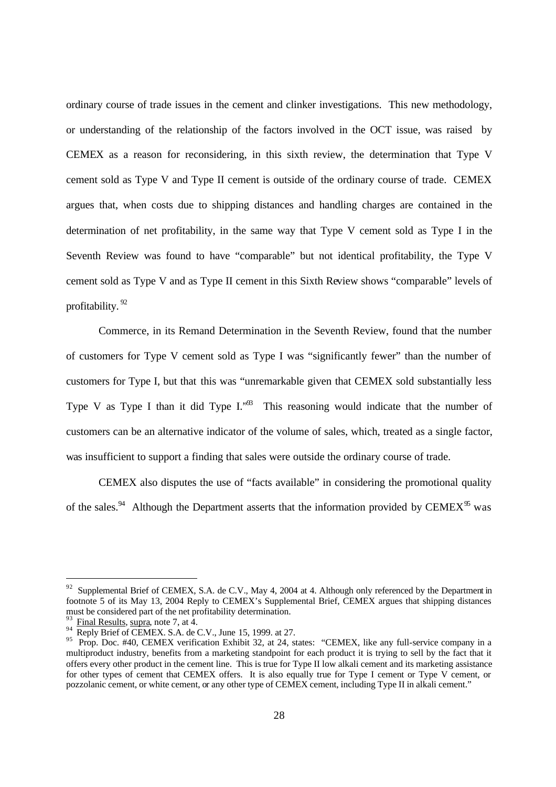ordinary course of trade issues in the cement and clinker investigations. This new methodology, or understanding of the relationship of the factors involved in the OCT issue, was raised by CEMEX as a reason for reconsidering, in this sixth review, the determination that Type V cement sold as Type V and Type II cement is outside of the ordinary course of trade. CEMEX argues that, when costs due to shipping distances and handling charges are contained in the determination of net profitability, in the same way that Type V cement sold as Type I in the Seventh Review was found to have "comparable" but not identical profitability, the Type V cement sold as Type V and as Type II cement in this Sixth Review shows "comparable" levels of profitability. <sup>92</sup>

Commerce, in its Remand Determination in the Seventh Review, found that the number of customers for Type V cement sold as Type I was "significantly fewer" than the number of customers for Type I, but that this was "unremarkable given that CEMEX sold substantially less Type V as Type I than it did Type  $I^{39}$ . This reasoning would indicate that the number of customers can be an alternative indicator of the volume of sales, which, treated as a single factor, was insufficient to support a finding that sales were outside the ordinary course of trade.

CEMEX also disputes the use of "facts available" in considering the promotional quality of the sales.<sup>94</sup> Although the Department asserts that the information provided by CEMEX<sup>95</sup> was

 $92$  Supplemental Brief of CEMEX, S.A. de C.V., May 4, 2004 at 4. Although only referenced by the Department in footnote 5 of its May 13, 2004 Reply to CEMEX's Supplemental Brief, CEMEX argues that shipping distances must be considered part of the net profitability determination.

<sup>93</sup> Final Results, supra, note 7, at 4.

<sup>94</sup> Reply Brief of CEMEX. S.A. de C.V., June 15, 1999. at 27.

<sup>&</sup>lt;sup>95</sup> Prop. Doc. #40, CEMEX verification Exhibit 32, at 24, states: "CEMEX, like any full-service company in a multiproduct industry, benefits from a marketing standpoint for each product it is trying to sell by the fact that it offers every other product in the cement line. This is true for Type II low alkali cement and its marketing assistance for other types of cement that CEMEX offers. It is also equally true for Type I cement or Type V cement, or pozzolanic cement, or white cement, or any other type of CEMEX cement, including Type II in alkali cement."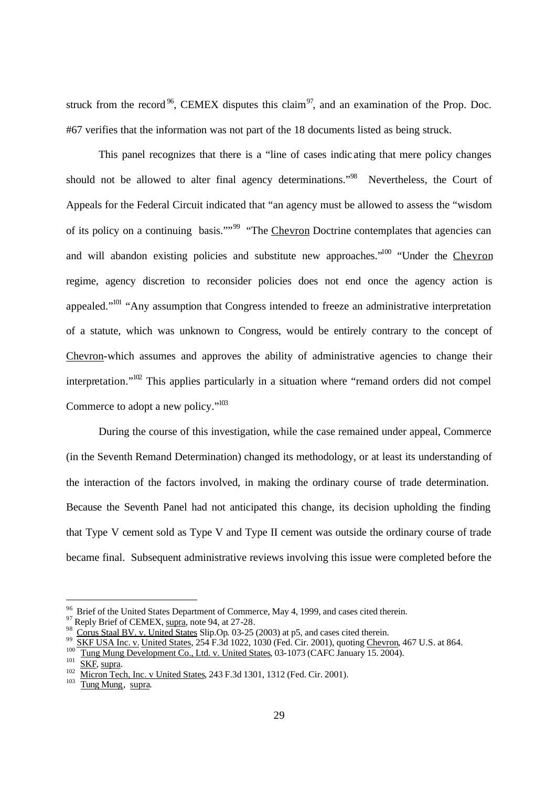struck from the record<sup>96</sup>, CEMEX disputes this claim<sup>97</sup>, and an examination of the Prop. Doc. #67 verifies that the information was not part of the 18 documents listed as being struck.

This panel recognizes that there is a "line of cases indic ating that mere policy changes should not be allowed to alter final agency determinations."<sup>98</sup> Nevertheless, the Court of Appeals for the Federal Circuit indicated that "an agency must be allowed to assess the "wisdom of its policy on a continuing basis.""<sup>99</sup> "The Chevron Doctrine contemplates that agencies can and will abandon existing policies and substitute new approaches."<sup>100</sup> "Under the Chevron regime, agency discretion to reconsider policies does not end once the agency action is appealed."<sup>101</sup> "Any assumption that Congress intended to freeze an administrative interpretation of a statute, which was unknown to Congress, would be entirely contrary to the concept of Chevron-which assumes and approves the ability of administrative agencies to change their interpretation." $102$  This applies particularly in a situation where "remand orders did not compel Commerce to adopt a new policy."<sup>103</sup>

During the course of this investigation, while the case remained under appeal, Commerce (in the Seventh Remand Determination) changed its methodology, or at least its understanding of the interaction of the factors involved, in making the ordinary course of trade determination. Because the Seventh Panel had not anticipated this change, its decision upholding the finding that Type V cement sold as Type V and Type II cement was outside the ordinary course of trade became final. Subsequent administrative reviews involving this issue were completed before the

 $97$  Reply Brief of CEMEX, supra, note 94, at 27-28.

<sup>&</sup>lt;sup>96</sup> Brief of the United States Department of Commerce, May 4, 1999, and cases cited therein.

<sup>&</sup>lt;sup>98</sup> Corus Staal BV. v. United States Slip.Op. 03-25 (2003) at p5, and cases cited therein.<br><sup>99</sup> SKF USA Inc. v. United States, 254 F.3d 1022, 1030 (Fed. Cir. 2001), quoting Chevron, 467 U.S. at 864. 100

Tung Mung Development Co., Ltd. v. United States, 03-1073 (CAFC January 15. 2004). 101

 $rac{101}{102}$  SKF, supra.

Micron Tech, Inc. v United States, 243 F.3d 1301, 1312 (Fed. Cir. 2001). 103

Tung Mung, supra.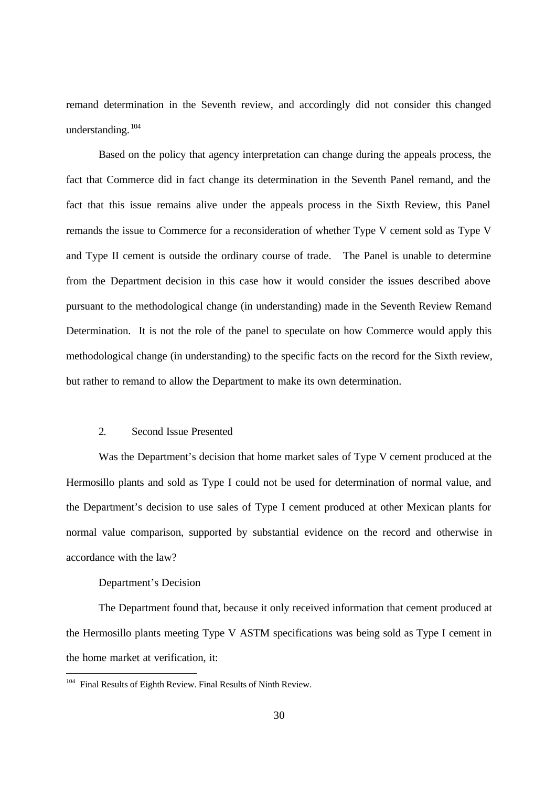remand determination in the Seventh review, and accordingly did not consider this changed understanding.<sup>104</sup>

Based on the policy that agency interpretation can change during the appeals process, the fact that Commerce did in fact change its determination in the Seventh Panel remand, and the fact that this issue remains alive under the appeals process in the Sixth Review, this Panel remands the issue to Commerce for a reconsideration of whether Type V cement sold as Type V and Type II cement is outside the ordinary course of trade. The Panel is unable to determine from the Department decision in this case how it would consider the issues described above pursuant to the methodological change (in understanding) made in the Seventh Review Remand Determination. It is not the role of the panel to speculate on how Commerce would apply this methodological change (in understanding) to the specific facts on the record for the Sixth review, but rather to remand to allow the Department to make its own determination.

### 2. Second Issue Presented

Was the Department's decision that home market sales of Type V cement produced at the Hermosillo plants and sold as Type I could not be used for determination of normal value, and the Department's decision to use sales of Type I cement produced at other Mexican plants for normal value comparison, supported by substantial evidence on the record and otherwise in accordance with the law?

Department's Decision

1

The Department found that, because it only received information that cement produced at the Hermosillo plants meeting Type V ASTM specifications was being sold as Type I cement in the home market at verification, it:

<sup>&</sup>lt;sup>104</sup> Final Results of Eighth Review. Final Results of Ninth Review.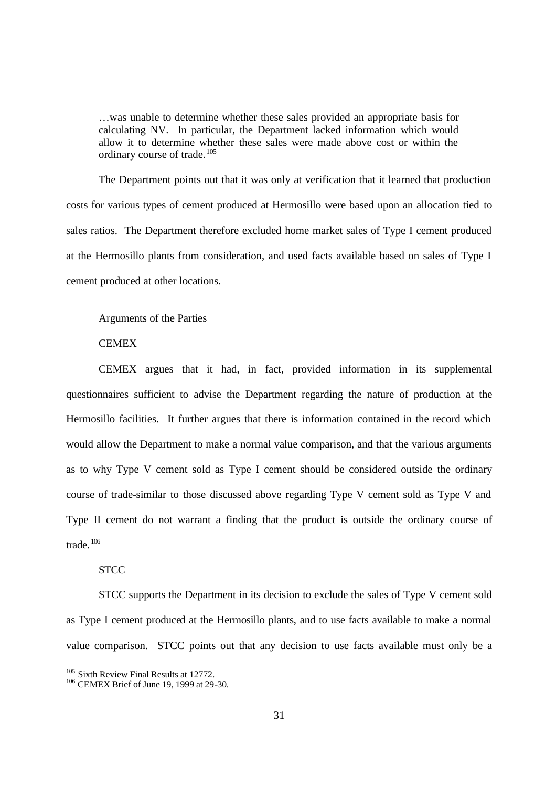…was unable to determine whether these sales provided an appropriate basis for calculating NV. In particular, the Department lacked information which would allow it to determine whether these sales were made above cost or within the ordinary course of trade.<sup>105</sup>

The Department points out that it was only at verification that it learned that production costs for various types of cement produced at Hermosillo were based upon an allocation tied to sales ratios. The Department therefore excluded home market sales of Type I cement produced at the Hermosillo plants from consideration, and used facts available based on sales of Type I cement produced at other locations.

### Arguments of the Parties

## **CEMEX**

CEMEX argues that it had, in fact, provided information in its supplemental questionnaires sufficient to advise the Department regarding the nature of production at the Hermosillo facilities. It further argues that there is information contained in the record which would allow the Department to make a normal value comparison, and that the various arguments as to why Type V cement sold as Type I cement should be considered outside the ordinary course of trade-similar to those discussed above regarding Type V cement sold as Type V and Type II cement do not warrant a finding that the product is outside the ordinary course of trade. <sup>106</sup>

# **STCC**

-

STCC supports the Department in its decision to exclude the sales of Type V cement sold as Type I cement produced at the Hermosillo plants, and to use facts available to make a normal value comparison. STCC points out that any decision to use facts available must only be a

<sup>&</sup>lt;sup>105</sup> Sixth Review Final Results at 12772.

<sup>106</sup> CEMEX Brief of June 19, 1999 at 29-30.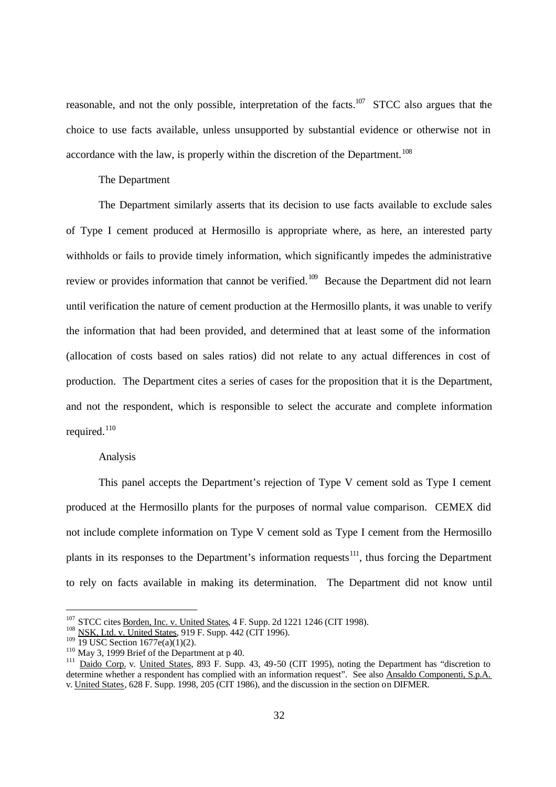reasonable, and not the only possible, interpretation of the facts.<sup>107</sup> STCC also argues that the choice to use facts available, unless unsupported by substantial evidence or otherwise not in accordance with the law, is properly within the discretion of the Department.<sup>108</sup>

### The Department

The Department similarly asserts that its decision to use facts available to exclude sales of Type I cement produced at Hermosillo is appropriate where, as here, an interested party withholds or fails to provide timely information, which significantly impedes the administrative review or provides information that cannot be verified.<sup>109</sup> Because the Department did not learn until verification the nature of cement production at the Hermosillo plants, it was unable to verify the information that had been provided, and determined that at least some of the information (allocation of costs based on sales ratios) did not relate to any actual differences in cost of production. The Department cites a series of cases for the proposition that it is the Department, and not the respondent, which is responsible to select the accurate and complete information required. $110$ 

### Analysis

This panel accepts the Department's rejection of Type V cement sold as Type I cement produced at the Hermosillo plants for the purposes of normal value comparison. CEMEX did not include complete information on Type V cement sold as Type I cement from the Hermosillo plants in its responses to the Department's information requests $111$ , thus forcing the Department to rely on facts available in making its determination. The Department did not know until

<sup>&</sup>lt;sup>107</sup> STCC cites Borden, Inc. v. United States, 4 F. Supp. 2d 1221 1246 (CIT 1998).

<sup>&</sup>lt;sup>108</sup> NSK, Ltd. v. United States, 919 F. Supp. 442 (CIT 1996).

 $109$  19 USC Section  $1677e(a)(1)(2)$ .

<sup>110</sup> May 3, 1999 Brief of the Department at p 40.

<sup>&</sup>lt;sup>111</sup> Daido Corp. v. United States, 893 F. Supp. 43, 49-50 (CIT 1995), noting the Department has "discretion to determine whether a respondent has complied with an information request". See also Ansaldo Componenti, S.p.A. v. United States, 628 F. Supp. 1998, 205 (CIT 1986), and the discussion in the section on DIFMER.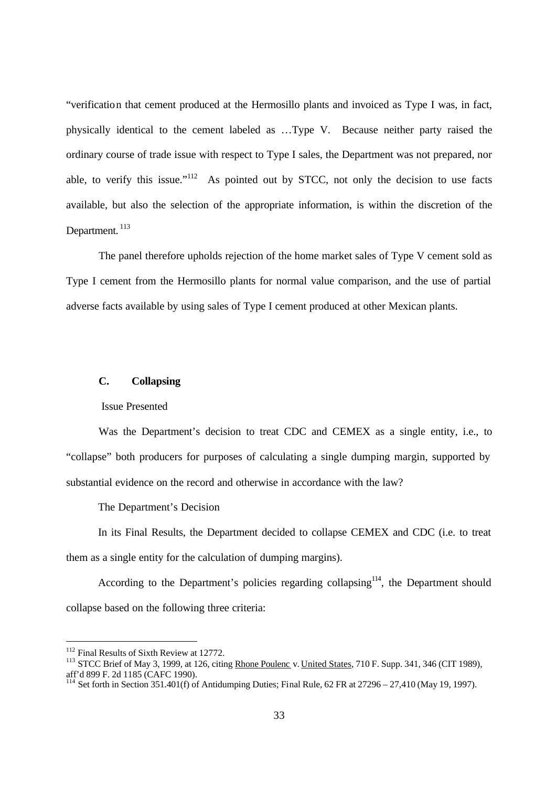"verification that cement produced at the Hermosillo plants and invoiced as Type I was, in fact, physically identical to the cement labeled as …Type V. Because neither party raised the ordinary course of trade issue with respect to Type I sales, the Department was not prepared, nor able, to verify this issue." $112$  As pointed out by STCC, not only the decision to use facts available, but also the selection of the appropriate information, is within the discretion of the Department.<sup>113</sup>

The panel therefore upholds rejection of the home market sales of Type V cement sold as Type I cement from the Hermosillo plants for normal value comparison, and the use of partial adverse facts available by using sales of Type I cement produced at other Mexican plants.

### **C. Collapsing**

#### Issue Presented

Was the Department's decision to treat CDC and CEMEX as a single entity, i.e., to "collapse" both producers for purposes of calculating a single dumping margin, supported by substantial evidence on the record and otherwise in accordance with the law?

The Department's Decision

In its Final Results, the Department decided to collapse CEMEX and CDC (i.e. to treat them as a single entity for the calculation of dumping margins).

According to the Department's policies regarding collapsing<sup>114</sup>, the Department should collapse based on the following three criteria:

 $\overline{a}$ 

<sup>&</sup>lt;sup>112</sup> Final Results of Sixth Review at 12772.

<sup>&</sup>lt;sup>113</sup> STCC Brief of May 3, 1999, at 126, citing Rhone Poulenc v. United States, 710 F. Supp. 341, 346 (CIT 1989), aff'd 899 F. 2d 1185 (CAFC 1990).

<sup>&</sup>lt;sup>114</sup> Set forth in Section 351.401(f) of Antidumping Duties; Final Rule, 62 FR at 27296 – 27,410 (May 19, 1997).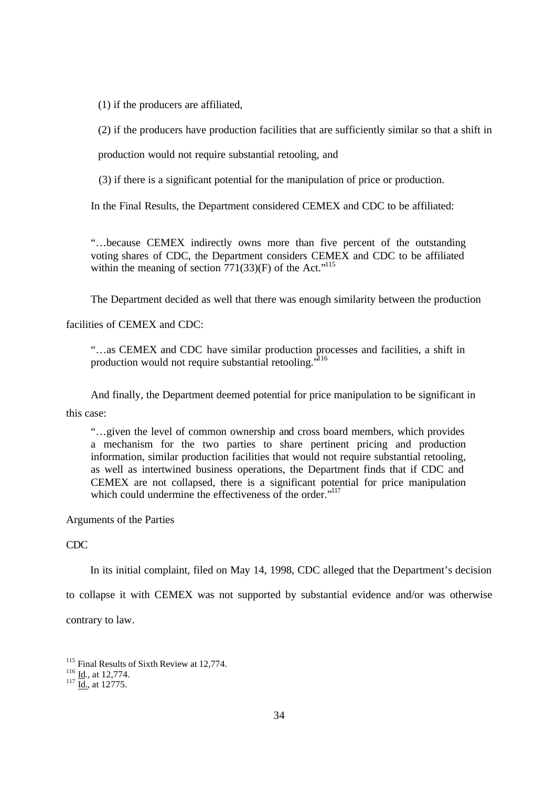(1) if the producers are affiliated,

(2) if the producers have production facilities that are sufficiently similar so that a shift in

production would not require substantial retooling, and

(3) if there is a significant potential for the manipulation of price or production.

In the Final Results, the Department considered CEMEX and CDC to be affiliated:

"…because CEMEX indirectly owns more than five percent of the outstanding voting shares of CDC, the Department considers CEMEX and CDC to be affiliated within the meaning of section  $771(33)(F)$  of the Act."<sup>115</sup>

The Department decided as well that there was enough similarity between the production

facilities of CEMEX and CDC:

"…as CEMEX and CDC have similar production processes and facilities, a shift in production would not require substantial retooling."<sup>116</sup>

And finally, the Department deemed potential for price manipulation to be significant in

this case:

"…given the level of common ownership and cross board members, which provides a mechanism for the two parties to share pertinent pricing and production information, similar production facilities that would not require substantial retooling, as well as intertwined business operations, the Department finds that if CDC and CEMEX are not collapsed, there is a significant potential for price manipulation which could undermine the effectiveness of the order."<sup>117</sup>

Arguments of the Parties

CDC

In its initial complaint, filed on May 14, 1998, CDC alleged that the Department's decision

to collapse it with CEMEX was not supported by substantial evidence and/or was otherwise

contrary to law.

<sup>&</sup>lt;sup>115</sup> Final Results of Sixth Review at 12,774.

 $\frac{116}{10}$  Id., at 12,774.

 $\frac{117}{\text{Id.}}$ , at 12775.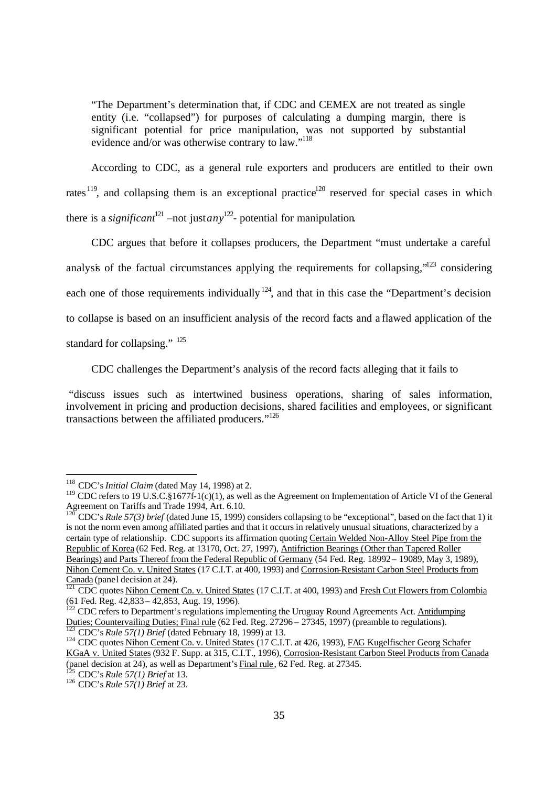"The Department's determination that, if CDC and CEMEX are not treated as single entity (i.e. "collapsed") for purposes of calculating a dumping margin, there is significant potential for price manipulation, was not supported by substantial evidence and/or was otherwise contrary to law."

According to CDC, as a general rule exporters and producers are entitled to their own rates <sup>119</sup>, and collapsing them is an exceptional practice<sup>120</sup> reserved for special cases in which there is a *significant*<sup>121</sup> –not just*any*<sup>122</sup>- potential for manipulation.

CDC argues that before it collapses producers, the Department "must undertake a careful analysis of the factual circumstances applying the requirements for collapsing," $123$  considering each one of those requirements individually  $124$ , and that in this case the "Department's decision to collapse is based on an insufficient analysis of the record facts and a flawed application of the standard for collapsing." <sup>125</sup>

CDC challenges the Department's analysis of the record facts alleging that it fails to

 "discuss issues such as intertwined business operations, sharing of sales information, involvement in pricing and production decisions, shared facilities and employees, or significant transactions between the affiliated producers."<sup>126</sup>

1

<sup>120</sup> CDC's *Rule 57(3) brief* (dated June 15, 1999) considers collapsing to be "exceptional", based on the fact that 1) it is not the norm even among affiliated parties and that it occurs in relatively unusual situations, characterized by a certain type of relationship. CDC supports its affirmation quoting Certain Welded Non-Alloy Steel Pipe from the Republic of Korea (62 Fed. Reg. at 13170, Oct. 27, 1997), Antifriction Bearings (Other than Tapered Roller Bearings) and Parts Thereof from the Federal Republic of Germany (54 Fed. Reg. 18992 – 19089, May 3, 1989), Nihon Cement Co. v. United States (17 C.I.T. at 400, 1993) and Corrosion-Resistant Carbon Steel Products from Canada (panel decision at 24).

<sup>118</sup> CDC's *Initial Claim* (dated May 14, 1998) at 2.

<sup>&</sup>lt;sup>119</sup> CDC refers to 19 U.S.C.§1677f-1(c)(1), as well as the Agreement on Implementation of Article VI of the General Agreement on Tariffs and Trade 1994, Art. 6.10.

<sup>&</sup>lt;sup>121</sup> CDC quotes Nihon Cement Co. v. United States (17 C.I.T. at 400, 1993) and Fresh Cut Flowers from Colombia (61 Fed. Reg. 42,833 – 42,853, Aug. 19, 1996).

 $122$  CDC refers to Department's regulations implementing the Uruguay Round Agreements Act. Antidumping Duties; Countervailing Duties; Final rule (62 Fed. Reg. 27296 – 27345, 1997) (preamble to regulations). <sup>123</sup> CDC's *Rule 57(1) Brief* (dated February 18, 1999) at 13.

<sup>&</sup>lt;sup>124</sup> CDC quotes Nihon Cement Co. v. United States (17 C.I.T. at 426, 1993), FAG Kugelfischer Georg Schafer KGaA v. United States (932 F. Supp. at 315, C.I.T., 1996), Corrosion-Resistant Carbon Steel Products from Canada (panel decision at 24), as well as Department's Final rule, 62 Fed. Reg. at 27345.

<sup>125</sup> CDC's *Rule 57(1) Brief* at 13.

<sup>126</sup> CDC's *Rule 57(1) Brief* at 23.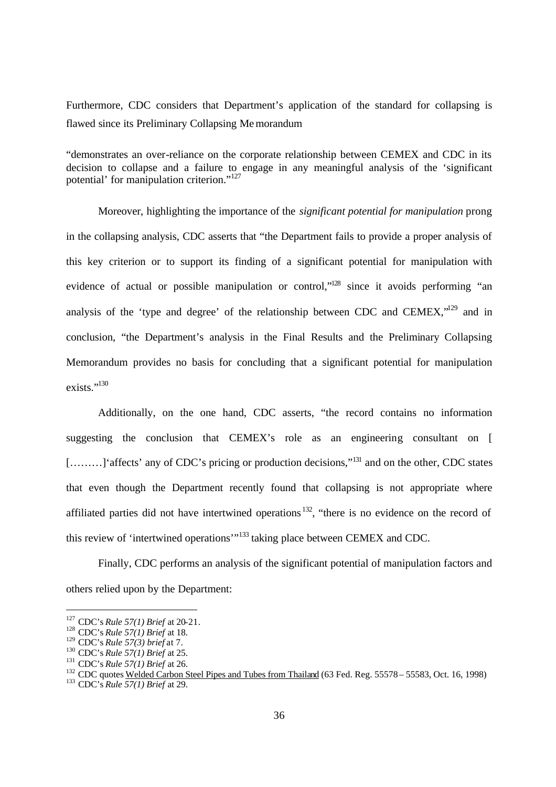Furthermore, CDC considers that Department's application of the standard for collapsing is flawed since its Preliminary Collapsing Memorandum

"demonstrates an over-reliance on the corporate relationship between CEMEX and CDC in its decision to collapse and a failure to engage in any meaningful analysis of the 'significant potential' for manipulation criterion."<sup>127</sup>

Moreover, highlighting the importance of the *significant potential for manipulation* prong in the collapsing analysis, CDC asserts that "the Department fails to provide a proper analysis of this key criterion or to support its finding of a significant potential for manipulation with evidence of actual or possible manipulation or control,"<sup>128</sup> since it avoids performing "an analysis of the 'type and degree' of the relationship between CDC and CEMEX,"<sup>129</sup> and in conclusion, "the Department's analysis in the Final Results and the Preliminary Collapsing Memorandum provides no basis for concluding that a significant potential for manipulation exists."<sup>130</sup>

Additionally, on the one hand, CDC asserts, "the record contains no information suggesting the conclusion that CEMEX's role as an engineering consultant on [ [........] 'affects' any of CDC's pricing or production decisions,"<sup>131</sup> and on the other, CDC states that even though the Department recently found that collapsing is not appropriate where affiliated parties did not have intertwined operations<sup>132</sup>, "there is no evidence on the record of this review of 'intertwined operations'"<sup>133</sup> taking place between CEMEX and CDC.

Finally, CDC performs an analysis of the significant potential of manipulation factors and others relied upon by the Department:

<sup>127</sup> CDC's *Rule 57(1) Brief* at 20-21.

<sup>128</sup> CDC's *Rule 57(1) Brief* at 18.

<sup>129</sup> CDC's *Rule 57(3) brief* at 7.

<sup>130</sup> CDC's *Rule 57(1) Brief* at 25.

<sup>131</sup> CDC's *Rule 57(1) Brief* at 26.

<sup>&</sup>lt;sup>132</sup> CDC quotes Welded Carbon Steel Pipes and Tubes from Thailand (63 Fed. Reg. 55578 – 55583, Oct. 16, 1998)

<sup>133</sup> CDC's *Rule 57(1) Brief* at 29.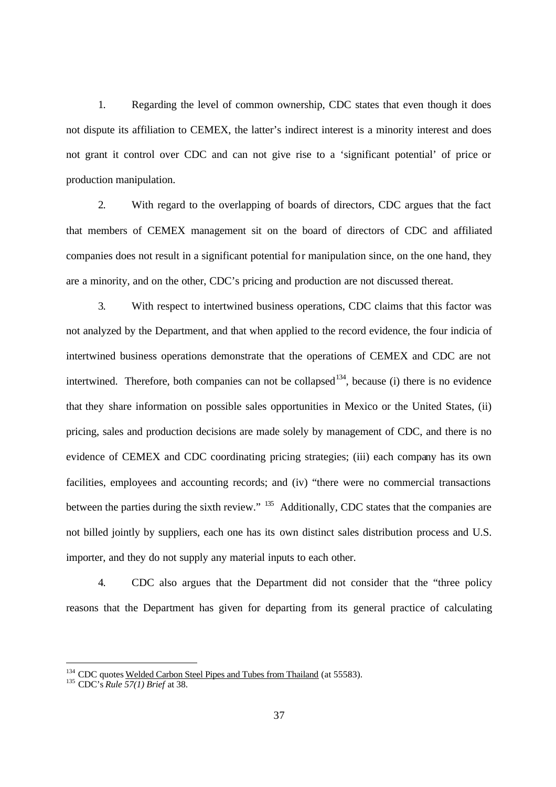1. Regarding the level of common ownership, CDC states that even though it does not dispute its affiliation to CEMEX, the latter's indirect interest is a minority interest and does not grant it control over CDC and can not give rise to a 'significant potential' of price or production manipulation.

2. With regard to the overlapping of boards of directors, CDC argues that the fact that members of CEMEX management sit on the board of directors of CDC and affiliated companies does not result in a significant potential for manipulation since, on the one hand, they are a minority, and on the other, CDC's pricing and production are not discussed thereat.

3. With respect to intertwined business operations, CDC claims that this factor was not analyzed by the Department, and that when applied to the record evidence, the four indicia of intertwined business operations demonstrate that the operations of CEMEX and CDC are not intertwined. Therefore, both companies can not be collapsed<sup>134</sup>, because (i) there is no evidence that they share information on possible sales opportunities in Mexico or the United States, (ii) pricing, sales and production decisions are made solely by management of CDC, and there is no evidence of CEMEX and CDC coordinating pricing strategies; (iii) each company has its own facilities, employees and accounting records; and (iv) "there were no commercial transactions between the parties during the sixth review." <sup>135</sup> Additionally, CDC states that the companies are not billed jointly by suppliers, each one has its own distinct sales distribution process and U.S. importer, and they do not supply any material inputs to each other.

4. CDC also argues that the Department did not consider that the "three policy reasons that the Department has given for departing from its general practice of calculating

<sup>&</sup>lt;sup>134</sup> CDC quotes Welded Carbon Steel Pipes and Tubes from Thailand (at 55583).

<sup>135</sup> CDC's *Rule 57(1) Brief* at 38.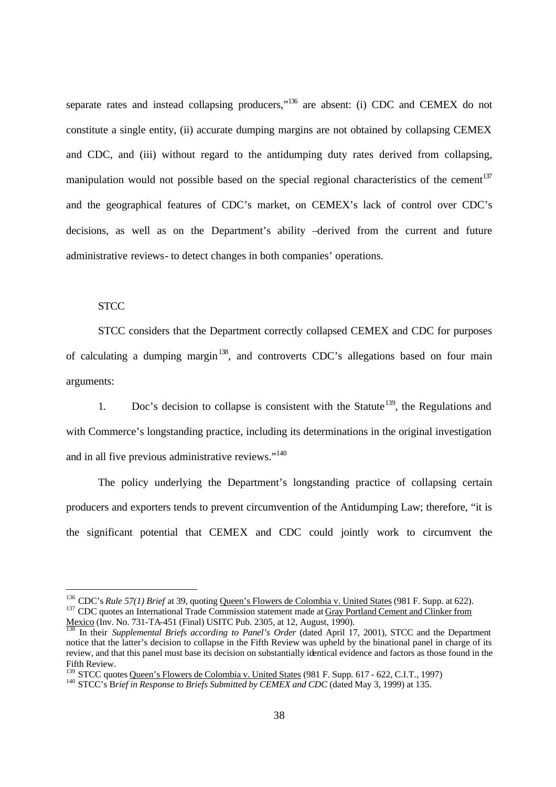separate rates and instead collapsing producers,"<sup>136</sup> are absent: (i) CDC and CEMEX do not constitute a single entity, (ii) accurate dumping margins are not obtained by collapsing CEMEX and CDC, and (iii) without regard to the antidumping duty rates derived from collapsing, manipulation would not possible based on the special regional characteristics of the cement<sup>137</sup> and the geographical features of CDC's market, on CEMEX's lack of control over CDC's decisions, as well as on the Department's ability –derived from the current and future administrative reviews- to detect changes in both companies' operations.

## **STCC**

-

STCC considers that the Department correctly collapsed CEMEX and CDC for purposes of calculating a dumping margin<sup>138</sup>, and controverts CDC's allegations based on four main arguments:

1. Doc's decision to collapse is consistent with the Statute<sup>139</sup>, the Regulations and with Commerce's longstanding practice, including its determinations in the original investigation and in all five previous administrative reviews."<sup>140</sup>

The policy underlying the Department's longstanding practice of collapsing certain producers and exporters tends to prevent circumvention of the Antidumping Law; therefore, "it is the significant potential that CEMEX and CDC could jointly work to circumvent the

<sup>136</sup> CDC's *Rule 57(1) Brief* at 39, quoting Queen's Flowers de Colombia v. United States (981 F. Supp. at 622). <sup>137</sup> CDC quotes an International Trade Commission statement made at Gray Portland Cement and Clinker from Mexico (Inv. No. 731-TA-451 (Final) USITC Pub. 2305, at 12, August, 1990).

<sup>138</sup> In their *Supplemental Briefs according to Panel's Order* (dated April 17, 2001), STCC and the Department notice that the latter's decision to collapse in the Fifth Review was upheld by the binational panel in charge of its review, and that this panel must base its decision on substantially identical evidence and factors as those found in the Fifth Review.

<sup>&</sup>lt;sup>139</sup> STCC quotes <u>Queen's Flowers de Colombia v. United States</u> (981 F. Supp. 617 - 622, C.I.T., 1997)

<sup>140</sup> STCC's B*rief in Response to Briefs Submitted by CEMEX and CDC* (dated May 3, 1999) at 135.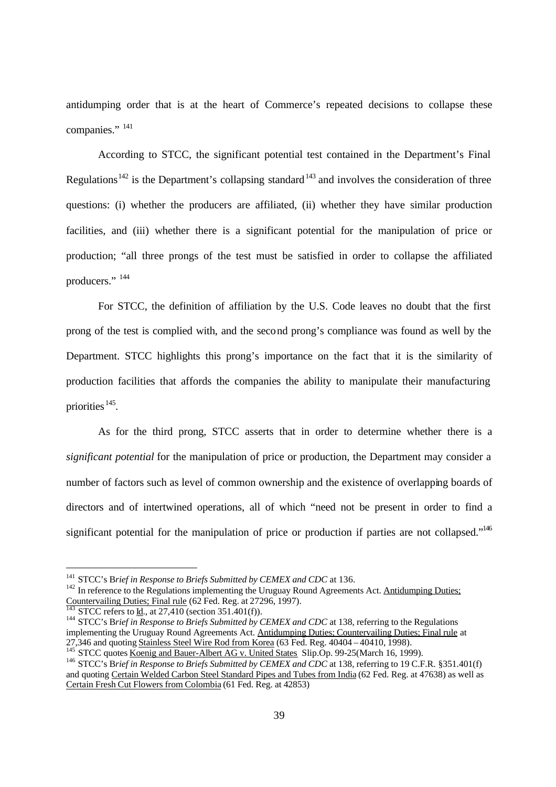antidumping order that is at the heart of Commerce's repeated decisions to collapse these companies." <sup>141</sup>

According to STCC, the significant potential test contained in the Department's Final Regulations<sup>142</sup> is the Department's collapsing standard<sup>143</sup> and involves the consideration of three questions: (i) whether the producers are affiliated, (ii) whether they have similar production facilities, and (iii) whether there is a significant potential for the manipulation of price or production; "all three prongs of the test must be satisfied in order to collapse the affiliated producers."<sup>144</sup>

For STCC, the definition of affiliation by the U.S. Code leaves no doubt that the first prong of the test is complied with, and the second prong's compliance was found as well by the Department. STCC highlights this prong's importance on the fact that it is the similarity of production facilities that affords the companies the ability to manipulate their manufacturing priorities<sup>145</sup>.

As for the third prong, STCC asserts that in order to determine whether there is a *significant potential* for the manipulation of price or production, the Department may consider a number of factors such as level of common ownership and the existence of overlapping boards of directors and of intertwined operations, all of which "need not be present in order to find a significant potential for the manipulation of price or production if parties are not collapsed."<sup>146</sup>

<sup>&</sup>lt;sup>141</sup> STCC's Brief in Response to Briefs Submitted by CEMEX and CDC at 136.

 $142$  In reference to the Regulations implementing the Uruguay Round Agreements Act. Antidumping Duties; Countervailing Duties; Final rule (62 Fed. Reg. at 27296, 1997).

STCC refers to Id., at  $27.410$  (section 351.401(f)).

<sup>&</sup>lt;sup>144</sup> STCC's Brief in Response to Briefs Submitted by CEMEX and CDC at 138, referring to the Regulations implementing the Uruguay Round Agreements Act. Antidumping Duties; Countervailing Duties; Final rule at 27,346 and quoting Stainless Steel Wire Rod from Korea (63 Fed. Reg. 40404 – 40410, 1998).

STCC quotes Koenig and Bauer-Albert AG v. United States Slip.Op. 99-25(March 16, 1999).

<sup>&</sup>lt;sup>146</sup> STCC's Brief in Response to Briefs Submitted by CEMEX and CDC at 138, referring to 19 C.F.R. §351.401(f) and quoting Certain Welded Carbon Steel Standard Pipes and Tubes from India (62 Fed. Reg. at 47638) as well as Certain Fresh Cut Flowers from Colombia (61 Fed. Reg. at 42853)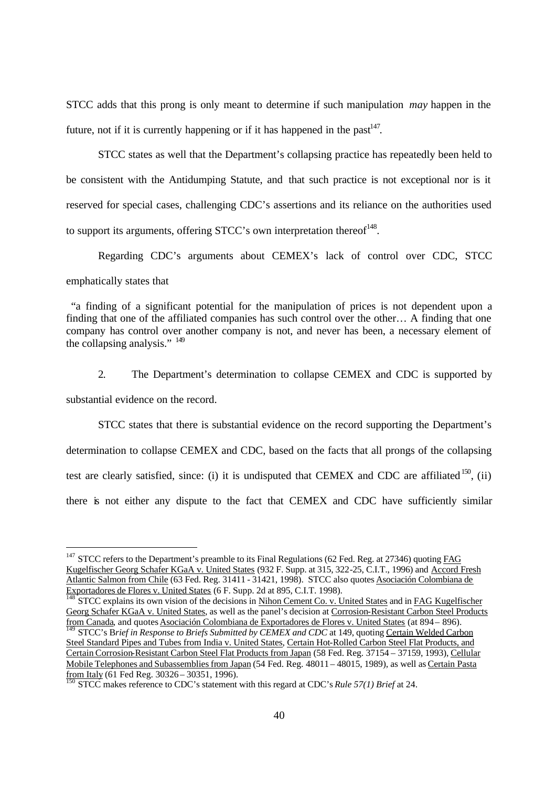STCC adds that this prong is only meant to determine if such manipulation *may* happen in the future, not if it is currently happening or if it has happened in the past $147$ .

STCC states as well that the Department's collapsing practice has repeatedly been held to be consistent with the Antidumping Statute, and that such practice is not exceptional nor is it reserved for special cases, challenging CDC's assertions and its reliance on the authorities used to support its arguments, offering STCC's own interpretation thereof<sup>148</sup>.

Regarding CDC's arguments about CEMEX's lack of control over CDC, STCC emphatically states that

 "a finding of a significant potential for the manipulation of prices is not dependent upon a finding that one of the affiliated companies has such control over the other… A finding that one company has control over another company is not, and never has been, a necessary element of the collapsing analysis." <sup>149</sup>

2. The Department's determination to collapse CEMEX and CDC is supported by substantial evidence on the record.

STCC states that there is substantial evidence on the record supporting the Department's determination to collapse CEMEX and CDC, based on the facts that all prongs of the collapsing test are clearly satisfied, since: (i) it is undisputed that CEMEX and CDC are affiliated  $^{150}$ , (ii) there is not either any dispute to the fact that CEMEX and CDC have sufficiently similar

<sup>&</sup>lt;sup>147</sup> STCC refers to the Department's preamble to its Final Regulations (62 Fed. Reg. at 27346) quoting  $\underline{\text{FAG}}$ Kugelfischer Georg Schafer KGaA v. United States (932 F. Supp. at 315, 322-25, C.I.T., 1996) and Accord Fresh Atlantic Salmon from Chile (63 Fed. Reg. 31411 - 31421, 1998). STCC also quotes Asociación Colombiana de Exportadores de Flores v. United States (6 F. Supp. 2d at 895, C.I.T. 1998).

<sup>148</sup> STCC explains its own vision of the decisions in Nihon Cement Co. v. United States and in FAG Kugelfischer Georg Schafer KGaA v. United States, as well as the panel's decision at Corrosion-Resistant Carbon Steel Products from Canada, and quotes Asociación Colombiana de Exportadores de Flores v. United States (at 894 – 896).

<sup>&</sup>lt;sup>1</sup> STCC's Brief in Response to Briefs Submitted by CEMEX and CDC at 149, quoting Certain Welded Carbon Steel Standard Pipes and Tubes from India v. United States, Certain Hot-Rolled Carbon Steel Flat Products, and Certain Corrosion-Resistant Carbon Steel Flat Products from Japan (58 Fed. Reg. 37154 – 37159, 1993), Cellular Mobile Telephones and Subassemblies from Japan (54 Fed. Reg. 48011 – 48015, 1989), as well as Certain Pasta from Italy (61 Fed Reg.  $30326 - 30351$ , 1996).

<sup>150</sup> STCC makes reference to CDC's statement with this regard at CDC's *Rule 57(1) Brief* at 24.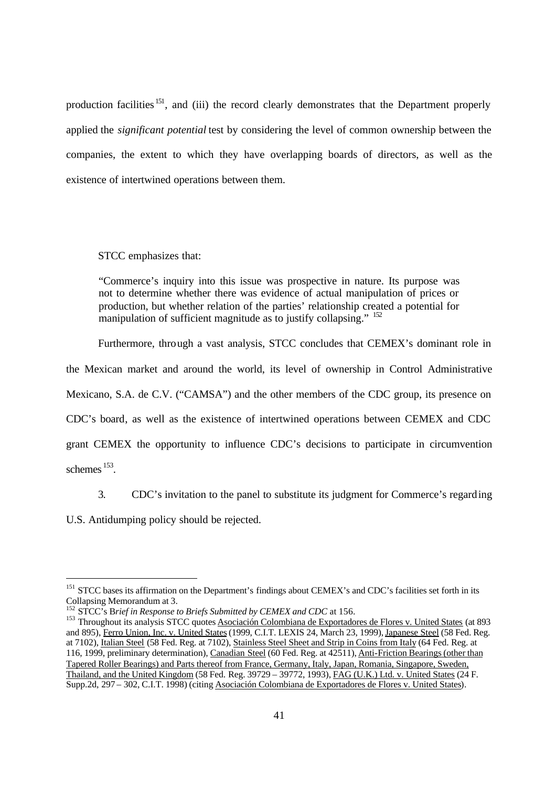production facilities <sup>151</sup>, and (iii) the record clearly demonstrates that the Department properly applied the *significant potential* test by considering the level of common ownership between the companies, the extent to which they have overlapping boards of directors, as well as the existence of intertwined operations between them.

STCC emphasizes that:

"Commerce's inquiry into this issue was prospective in nature. Its purpose was not to determine whether there was evidence of actual manipulation of prices or production, but whether relation of the parties' relationship created a potential for manipulation of sufficient magnitude as to justify collapsing." <sup>152</sup>

Furthermore, through a vast analysis, STCC concludes that CEMEX's dominant role in

the Mexican market and around the world, its level of ownership in Control Administrative

Mexicano, S.A. de C.V. ("CAMSA") and the other members of the CDC group, its presence on

CDC's board, as well as the existence of intertwined operations between CEMEX and CDC

grant CEMEX the opportunity to influence CDC's decisions to participate in circumvention

schemes <sup>153</sup>.

-

3. CDC's invitation to the panel to substitute its judgment for Commerce's regarding

U.S. Antidumping policy should be rejected.

<sup>&</sup>lt;sup>151</sup> STCC bases its affirmation on the Department's findings about CEMEX's and CDC's facilities set forth in its Collapsing Memorandum at 3.

<sup>&</sup>lt;sup>152</sup> STCC's Brief in Response to Briefs Submitted by CEMEX and CDC at 156.

<sup>&</sup>lt;sup>153</sup> Throughout its analysis STCC quotes Asociación Colombiana de Exportadores de Flores v. United States (at 893 and 895), Ferro Union, Inc. v. United States (1999, C.I.T. LEXIS 24, March 23, 1999), Japanese Steel (58 Fed. Reg. at 7102), Italian Steel (58 Fed. Reg. at 7102), Stainless Steel Sheet and Strip in Coins from Italy (64 Fed. Reg. at 116, 1999, preliminary determination), Canadian Steel (60 Fed. Reg. at 42511), Anti-Friction Bearings (other than Tapered Roller Bearings) and Parts thereof from France, Germany, Italy, Japan, Romania, Singapore, Sweden, Thailand, and the United Kingdom (58 Fed. Reg. 39729 – 39772, 1993), FAG (U.K.) Ltd. v. United States (24 F. Supp.2d, 297 – 302, C.I.T. 1998) (citing Asociación Colombiana de Exportadores de Flores v. United States).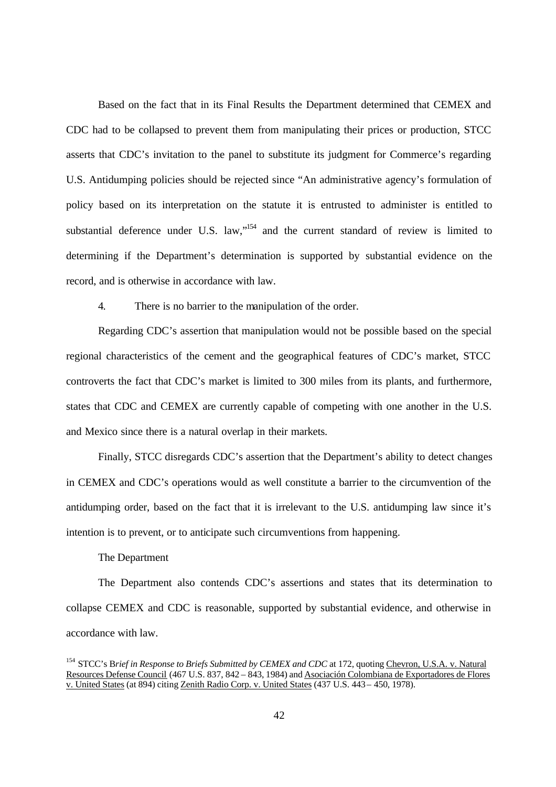Based on the fact that in its Final Results the Department determined that CEMEX and CDC had to be collapsed to prevent them from manipulating their prices or production, STCC asserts that CDC's invitation to the panel to substitute its judgment for Commerce's regarding U.S. Antidumping policies should be rejected since "An administrative agency's formulation of policy based on its interpretation on the statute it is entrusted to administer is entitled to substantial deference under U.S. law,"<sup>154</sup> and the current standard of review is limited to determining if the Department's determination is supported by substantial evidence on the record, and is otherwise in accordance with law.

4. There is no barrier to the manipulation of the order.

Regarding CDC's assertion that manipulation would not be possible based on the special regional characteristics of the cement and the geographical features of CDC's market, STCC controverts the fact that CDC's market is limited to 300 miles from its plants, and furthermore, states that CDC and CEMEX are currently capable of competing with one another in the U.S. and Mexico since there is a natural overlap in their markets.

Finally, STCC disregards CDC's assertion that the Department's ability to detect changes in CEMEX and CDC's operations would as well constitute a barrier to the circumvention of the antidumping order, based on the fact that it is irrelevant to the U.S. antidumping law since it's intention is to prevent, or to anticipate such circumventions from happening.

## The Department

The Department also contends CDC's assertions and states that its determination to collapse CEMEX and CDC is reasonable, supported by substantial evidence, and otherwise in accordance with law.

<sup>&</sup>lt;sup>154</sup> STCC's Brief in Response to Briefs Submitted by CEMEX and CDC at 172, quoting Chevron, U.S.A. v. Natural Resources Defense Council (467 U.S. 837, 842 – 843, 1984) and Asociación Colombiana de Exportadores de Flores v. United States (at 894) citing Zenith Radio Corp. v. United States (437 U.S. 443 – 450, 1978).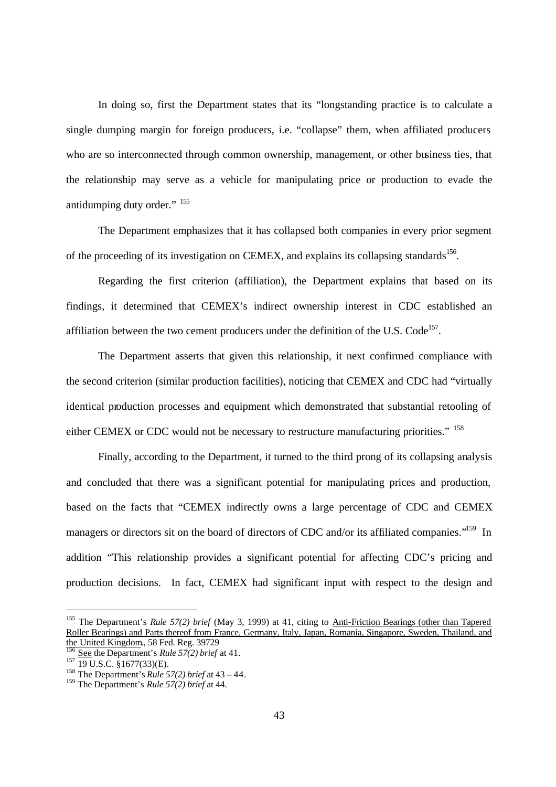In doing so, first the Department states that its "longstanding practice is to calculate a single dumping margin for foreign producers, i.e. "collapse" them, when affiliated producers who are so interconnected through common ownership, management, or other business ties, that the relationship may serve as a vehicle for manipulating price or production to evade the antidumping duty order." <sup>155</sup>

The Department emphasizes that it has collapsed both companies in every prior segment of the proceeding of its investigation on CEMEX, and explains its collapsing standards<sup>156</sup>.

Regarding the first criterion (affiliation), the Department explains that based on its findings, it determined that CEMEX's indirect ownership interest in CDC established an affiliation between the two cement producers under the definition of the U.S. Code<sup>157</sup>.

The Department asserts that given this relationship, it next confirmed compliance with the second criterion (similar production facilities), noticing that CEMEX and CDC had "virtually identical production processes and equipment which demonstrated that substantial retooling of either CEMEX or CDC would not be necessary to restructure manufacturing priorities." <sup>158</sup>

Finally, according to the Department, it turned to the third prong of its collapsing analysis and concluded that there was a significant potential for manipulating prices and production, based on the facts that "CEMEX indirectly owns a large percentage of CDC and CEMEX managers or directors sit on the board of directors of CDC and/or its affiliated companies."<sup>159</sup> In addition "This relationship provides a significant potential for affecting CDC's pricing and production decisions. In fact, CEMEX had significant input with respect to the design and

<sup>155</sup> The Department's *Rule 57(2) brief* (May 3, 1999) at 41, citing to Anti-Friction Bearings (other than Tapered Roller Bearings) and Parts thereof from France, Germany, Italy, Japan, Romania, Singapore, Sweden, Thailand, and the United Kingdom., 58 Fed. Reg. 39729

<sup>156</sup> See the Department's *Rule 57(2) brief* at 41.

 $157$  19 U.S.C.  $\frac{1}{9}$ 1677(33)(E).

<sup>158</sup> The Department's *Rule 57(2) brief* at 43 – 44.

<sup>159</sup> The Department's *Rule 57(2) brief* at 44.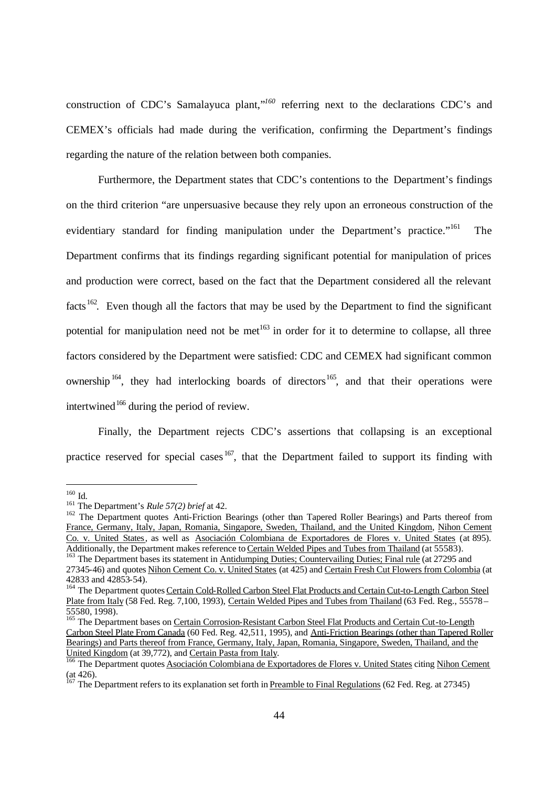construction of CDC's Samalayuca plant,"<sup>160</sup> referring next to the declarations CDC's and CEMEX's officials had made during the verification, confirming the Department's findings regarding the nature of the relation between both companies.

Furthermore, the Department states that CDC's contentions to the Department's findings on the third criterion "are unpersuasive because they rely upon an erroneous construction of the evidentiary standard for finding manipulation under the Department's practice."<sup>161</sup> The Department confirms that its findings regarding significant potential for manipulation of prices and production were correct, based on the fact that the Department considered all the relevant facts <sup>162</sup>. Even though all the factors that may be used by the Department to find the significant potential for manipulation need not be met<sup>163</sup> in order for it to determine to collapse, all three factors considered by the Department were satisfied: CDC and CEMEX had significant common ownership  $164$ , they had interlocking boards of directors  $165$ , and that their operations were intertwined<sup>166</sup> during the period of review.

Finally, the Department rejects CDC's assertions that collapsing is an exceptional practice reserved for special cases  $167$ , that the Department failed to support its finding with

 $\overline{a}$ 

<sup>160</sup> Id.

<sup>161</sup> The Department's *Rule 57(2) brief* at 42.

<sup>&</sup>lt;sup>162</sup> The Department quotes Anti-Friction Bearings (other than Tapered Roller Bearings) and Parts thereof from France, Germany, Italy, Japan, Romania, Singapore, Sweden, Thailand, and the United Kingdom, Nihon Cement Co. v. United States, as well as Asociación Colombiana de Exportadores de Flores v. United States (at 895). Additionally, the Department makes reference to Certain Welded Pipes and Tubes from Thailand (at 55583).

<sup>&</sup>lt;sup>163</sup> The Department bases its statement in Antidumping Duties; Countervailing Duties; Final rule (at 27295 and 27345-46) and quotes Nihon Cement Co. v. United States (at 425) and Certain Fresh Cut Flowers from Colombia (at 42833 and 42853-54).

<sup>&</sup>lt;sup>164</sup> The Department quotes Certain Cold-Rolled Carbon Steel Flat Products and Certain Cut-to-Length Carbon Steel Plate from Italy (58 Fed. Reg. 7,100, 1993), Certain Welded Pipes and Tubes from Thailand (63 Fed. Reg., 55578– 55580, 1998).

<sup>&</sup>lt;sup>165</sup> The Department bases on Certain Corrosion-Resistant Carbon Steel Flat Products and Certain Cut-to-Length Carbon Steel Plate From Canada (60 Fed. Reg. 42,511, 1995), and Anti-Friction Bearings (other than Tapered Roller Bearings) and Parts thereof from France, Germany, Italy, Japan, Romania, Singapore, Sweden, Thailand, and the United Kingdom (at 39,772), and Certain Pasta from Italy.

<sup>&</sup>lt;sup>166</sup> The Department quotes Asociación Colombiana de Exportadores de Flores v. United States citing Nihon Cement (at 426).

<sup>&</sup>lt;sup>167</sup> The Department refers to its explanation set forth in Preamble to Final Regulations (62 Fed. Reg. at 27345)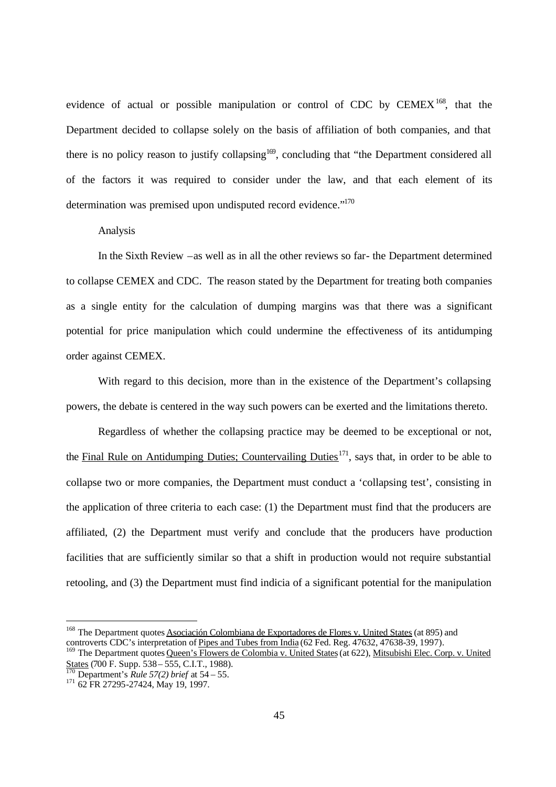evidence of actual or possible manipulation or control of CDC by  $\text{CEMEX}^{168}$ , that the Department decided to collapse solely on the basis of affiliation of both companies, and that there is no policy reason to justify collapsing<sup>169</sup>, concluding that "the Department considered all of the factors it was required to consider under the law, and that each element of its determination was premised upon undisputed record evidence."<sup>170</sup>

## Analysis

In the Sixth Review –as well as in all the other reviews so far- the Department determined to collapse CEMEX and CDC. The reason stated by the Department for treating both companies as a single entity for the calculation of dumping margins was that there was a significant potential for price manipulation which could undermine the effectiveness of its antidumping order against CEMEX.

With regard to this decision, more than in the existence of the Department's collapsing powers, the debate is centered in the way such powers can be exerted and the limitations thereto.

Regardless of whether the collapsing practice may be deemed to be exceptional or not, the Final Rule on Antidumping Duties; Countervailing Duties<sup>171</sup>, says that, in order to be able to collapse two or more companies, the Department must conduct a 'collapsing test', consisting in the application of three criteria to each case: (1) the Department must find that the producers are affiliated, (2) the Department must verify and conclude that the producers have production facilities that are sufficiently similar so that a shift in production would not require substantial retooling, and (3) the Department must find indicia of a significant potential for the manipulation

<sup>&</sup>lt;sup>168</sup> The Department quotes Asociación Colombiana de Exportadores de Flores v. United States (at 895) and controverts CDC's interpretation of Pipes and Tubes from India (62 Fed. Reg. 47632, 47638-39, 1997).

<sup>&</sup>lt;sup>169</sup> The Department quotes Oueen's Flowers de Colombia v. United States (at 622), Mitsubishi Elec. Corp. v. United States (700 F. Supp. 538 – 555, C.I.T., 1988).

<sup>170</sup> Department's *Rule 57(2) brief* at 54 – 55.

<sup>&</sup>lt;sup>171</sup> 62 FR 27295-27424, May 19, 1997.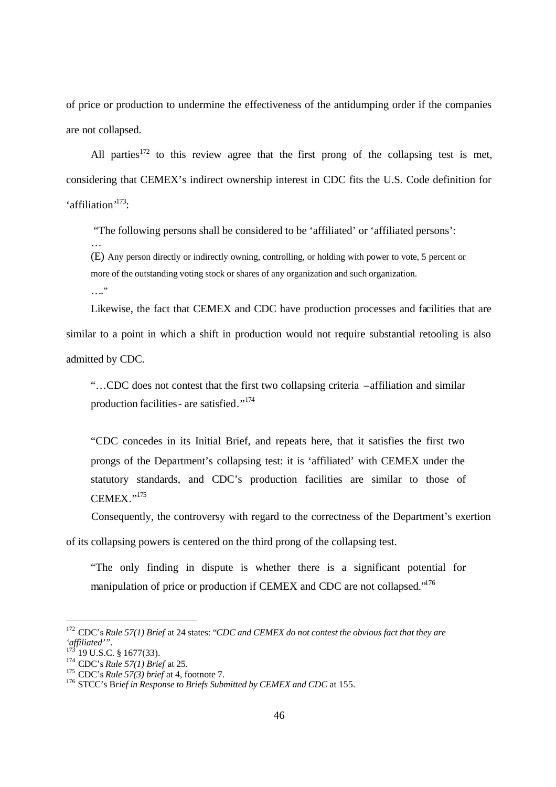of price or production to undermine the effectiveness of the antidumping order if the companies are not collapsed.

All parties<sup>172</sup> to this review agree that the first prong of the collapsing test is met, considering that CEMEX's indirect ownership interest in CDC fits the U.S. Code definition for 'affiliation'<sup>173</sup>:

"The following persons shall be considered to be 'affiliated' or 'affiliated persons':

(E) Any person directly or indirectly owning, controlling, or holding with power to vote, 5 percent or more of the outstanding voting stock or shares of any organization and such organization. …."

Likewise, the fact that CEMEX and CDC have production processes and facilities that are similar to a point in which a shift in production would not require substantial retooling is also admitted by CDC.

"…CDC does not contest that the first two collapsing criteria –affiliation and similar production facilities - are satisfied."<sup>174</sup>

"CDC concedes in its Initial Brief, and repeats here, that it satisfies the first two prongs of the Department's collapsing test: it is 'affiliated' with CEMEX under the statutory standards, and CDC's production facilities are similar to those of  $CHMEX$ <sup> $, 175$ </sup>

Consequently, the controversy with regard to the correctness of the Department's exertion

of its collapsing powers is centered on the third prong of the collapsing test.

"The only finding in dispute is whether there is a significant potential for manipulation of price or production if CEMEX and CDC are not collapsed."<sup>176</sup>

-

…

<sup>172</sup> CDC's *Rule 57(1) Brief* at 24 states: "*CDC and CEMEX do not contest the obvious fact that they are 'affiliated'".*

 $173^\circ$  19 U.S.C. § 1677(33).

<sup>174</sup> CDC's *Rule 57(1) Brief* at 25.

<sup>175</sup> CDC's *Rule 57(3) brief* at 4, footnote 7.

<sup>176</sup> STCC's B*rief in Response to Briefs Submitted by CEMEX and CDC* at 155.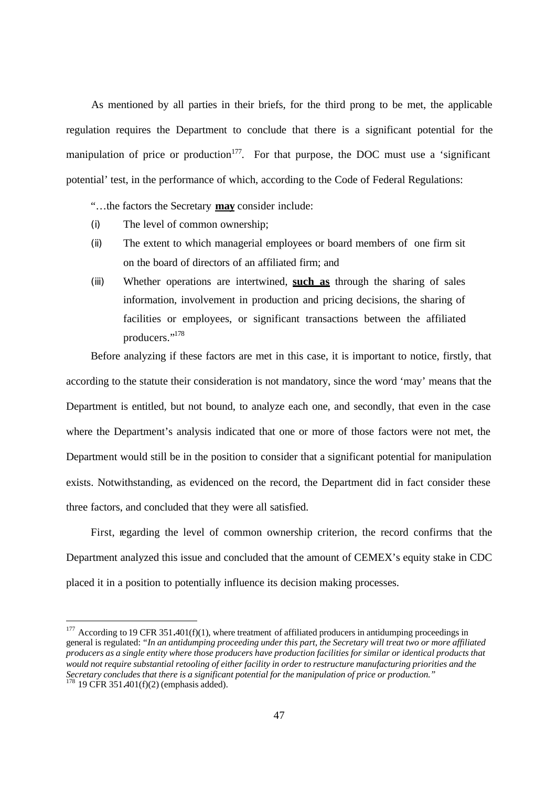As mentioned by all parties in their briefs, for the third prong to be met, the applicable regulation requires the Department to conclude that there is a significant potential for the manipulation of price or production<sup>177</sup>. For that purpose, the DOC must use a 'significant potential*'* test, in the performance of which, according to the Code of Federal Regulations:

"…the factors the Secretary **may** consider include:

- (i) The level of common ownership;
- (ii) The extent to which managerial employees or board members of one firm sit on the board of directors of an affiliated firm; and
- (iii) Whether operations are intertwined, **such as** through the sharing of sales information, involvement in production and pricing decisions, the sharing of facilities or employees, or significant transactions between the affiliated producers."<sup>178</sup>

Before analyzing if these factors are met in this case, it is important to notice, firstly, that according to the statute their consideration is not mandatory, since the word 'may' means that the Department is entitled, but not bound, to analyze each one, and secondly, that even in the case where the Department's analysis indicated that one or more of those factors were not met, the Department would still be in the position to consider that a significant potential for manipulation exists. Notwithstanding, as evidenced on the record, the Department did in fact consider these three factors, and concluded that they were all satisfied.

First, regarding the level of common ownership criterion, the record confirms that the Department analyzed this issue and concluded that the amount of CEMEX's equity stake in CDC placed it in a position to potentially influence its decision making processes.

<sup>&</sup>lt;sup>177</sup> According to 19 CFR 351.401(f)(1), where treatment of affiliated producers in antidumping proceedings in general is regulated: *"In an antidumping proceeding under this part, the Secretary will treat two or more affiliated producers as a single entity where those producers have production facilities for similar or identical products that would not require substantial retooling of either facility in order to restructure manufacturing priorities and the Secretary concludes that there is a significant potential for the manipulation of price or production."*<br><sup>178</sup> 10 CFD 251 401( $\frac{254}{10}$ )

<sup>178</sup> 19 CFR 351**.**401(f)(2) (emphasis added).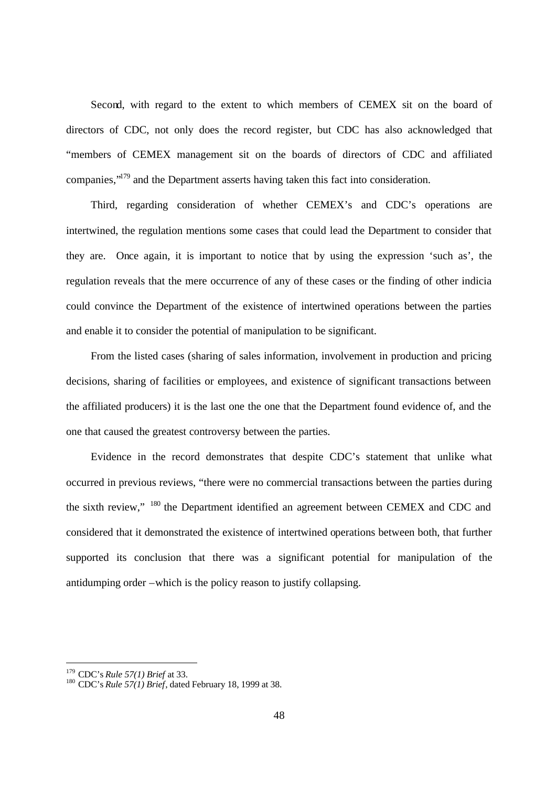Second, with regard to the extent to which members of CEMEX sit on the board of directors of CDC, not only does the record register, but CDC has also acknowledged that "members of CEMEX management sit on the boards of directors of CDC and affiliated companies,"<sup>179</sup> and the Department asserts having taken this fact into consideration.

Third, regarding consideration of whether CEMEX's and CDC's operations are intertwined, the regulation mentions some cases that could lead the Department to consider that they are. Once again, it is important to notice that by using the expression 'such as', the regulation reveals that the mere occurrence of any of these cases or the finding of other indicia could convince the Department of the existence of intertwined operations between the parties and enable it to consider the potential of manipulation to be significant.

From the listed cases (sharing of sales information, involvement in production and pricing decisions, sharing of facilities or employees, and existence of significant transactions between the affiliated producers) it is the last one the one that the Department found evidence of, and the one that caused the greatest controversy between the parties.

Evidence in the record demonstrates that despite CDC's statement that unlike what occurred in previous reviews, "there were no commercial transactions between the parties during the sixth review," <sup>180</sup> the Department identified an agreement between CEMEX and CDC and considered that it demonstrated the existence of intertwined operations between both, that further supported its conclusion that there was a significant potential for manipulation of the antidumping order –which is the policy reason to justify collapsing.

<sup>179</sup> CDC's *Rule 57(1) Brief* at 33.

<sup>&</sup>lt;sup>180</sup> CDC's *Rule 57(1)* Brief, dated February 18, 1999 at 38.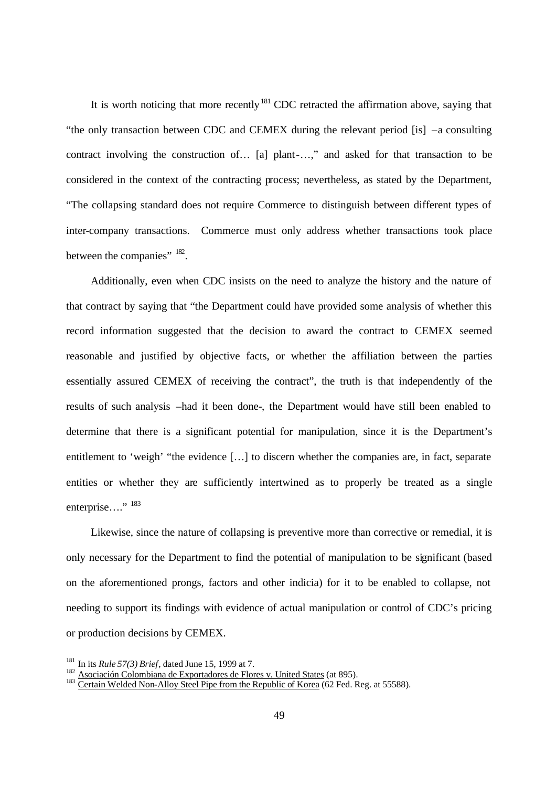It is worth noticing that more recently<sup>181</sup> CDC retracted the affirmation above, saying that "the only transaction between CDC and CEMEX during the relevant period [is] –a consulting contract involving the construction of… [a] plant-…," and asked for that transaction to be considered in the context of the contracting process; nevertheless, as stated by the Department, "The collapsing standard does not require Commerce to distinguish between different types of inter-company transactions. Commerce must only address whether transactions took place between the companies"  $^{182}$ .

Additionally, even when CDC insists on the need to analyze the history and the nature of that contract by saying that "the Department could have provided some analysis of whether this record information suggested that the decision to award the contract to CEMEX seemed reasonable and justified by objective facts, or whether the affiliation between the parties essentially assured CEMEX of receiving the contract", the truth is that independently of the results of such analysis –had it been done-, the Department would have still been enabled to determine that there is a significant potential for manipulation, since it is the Department's entitlement to 'weigh' "the evidence […] to discern whether the companies are, in fact, separate entities or whether they are sufficiently intertwined as to properly be treated as a single enterprise…."<sup>183</sup>

Likewise, since the nature of collapsing is preventive more than corrective or remedial, it is only necessary for the Department to find the potential of manipulation to be significant (based on the aforementioned prongs, factors and other indicia) for it to be enabled to collapse, not needing to support its findings with evidence of actual manipulation or control of CDC's pricing or production decisions by CEMEX.

<sup>181</sup> In its *Rule 57(3) Brief*, dated June 15, 1999 at 7.

<sup>&</sup>lt;sup>182</sup> Asociación Colombiana de Exportadores de Flores v. United States (at 895).

<sup>&</sup>lt;sup>183</sup> Certain Welded Non-Alloy Steel Pipe from the Republic of Korea (62 Fed. Reg. at 55588).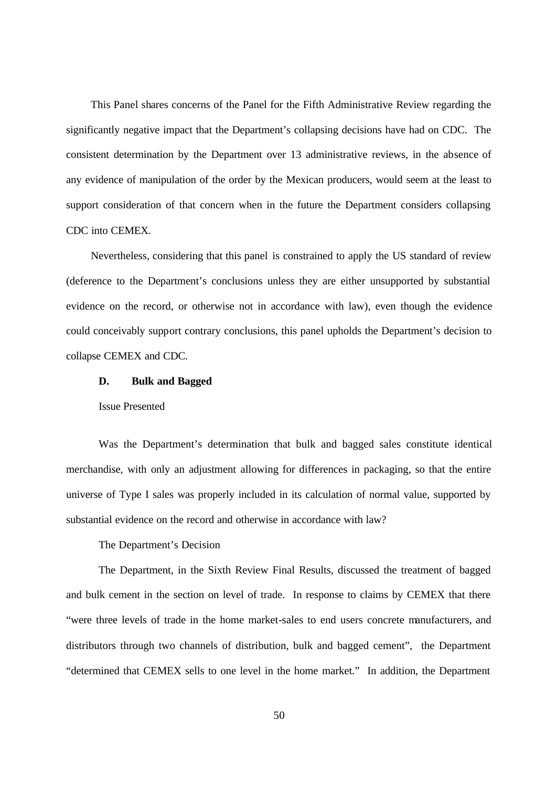This Panel shares concerns of the Panel for the Fifth Administrative Review regarding the significantly negative impact that the Department's collapsing decisions have had on CDC. The consistent determination by the Department over 13 administrative reviews, in the absence of any evidence of manipulation of the order by the Mexican producers, would seem at the least to support consideration of that concern when in the future the Department considers collapsing CDC into CEMEX.

Nevertheless, considering that this panel is constrained to apply the US standard of review (deference to the Department's conclusions unless they are either unsupported by substantial evidence on the record, or otherwise not in accordance with law), even though the evidence could conceivably support contrary conclusions, this panel upholds the Department's decision to collapse CEMEX and CDC.

# **D. Bulk and Bagged**

Issue Presented

Was the Department's determination that bulk and bagged sales constitute identical merchandise, with only an adjustment allowing for differences in packaging, so that the entire universe of Type I sales was properly included in its calculation of normal value, supported by substantial evidence on the record and otherwise in accordance with law?

The Department's Decision

The Department, in the Sixth Review Final Results, discussed the treatment of bagged and bulk cement in the section on level of trade. In response to claims by CEMEX that there "were three levels of trade in the home market-sales to end users concrete manufacturers, and distributors through two channels of distribution, bulk and bagged cement", the Department "determined that CEMEX sells to one level in the home market." In addition, the Department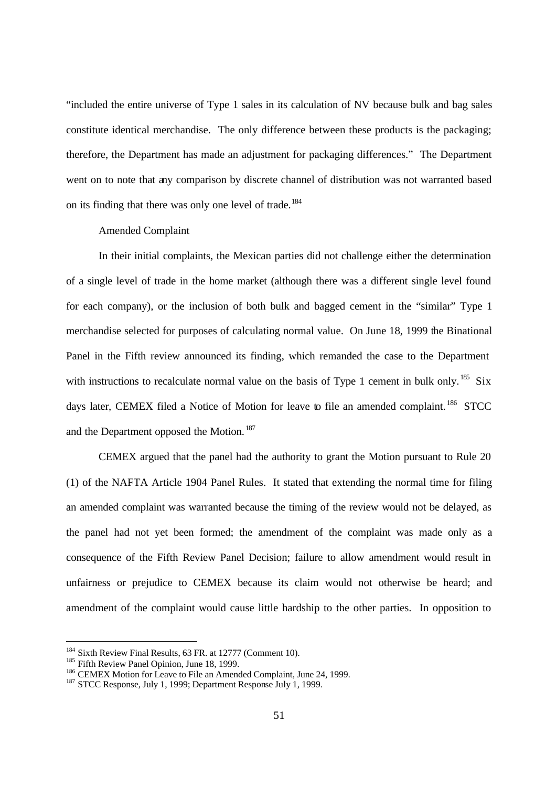"included the entire universe of Type 1 sales in its calculation of NV because bulk and bag sales constitute identical merchandise. The only difference between these products is the packaging; therefore, the Department has made an adjustment for packaging differences." The Department went on to note that any comparison by discrete channel of distribution was not warranted based on its finding that there was only one level of trade.<sup>184</sup>

# Amended Complaint

In their initial complaints, the Mexican parties did not challenge either the determination of a single level of trade in the home market (although there was a different single level found for each company), or the inclusion of both bulk and bagged cement in the "similar" Type 1 merchandise selected for purposes of calculating normal value. On June 18, 1999 the Binational Panel in the Fifth review announced its finding, which remanded the case to the Department with instructions to recalculate normal value on the basis of Type 1 cement in bulk only.<sup>185</sup> Six days later, CEMEX filed a Notice of Motion for leave to file an amended complaint.<sup>186</sup> STCC and the Department opposed the Motion.<sup>187</sup>

CEMEX argued that the panel had the authority to grant the Motion pursuant to Rule 20 (1) of the NAFTA Article 1904 Panel Rules. It stated that extending the normal time for filing an amended complaint was warranted because the timing of the review would not be delayed, as the panel had not yet been formed; the amendment of the complaint was made only as a consequence of the Fifth Review Panel Decision; failure to allow amendment would result in unfairness or prejudice to CEMEX because its claim would not otherwise be heard; and amendment of the complaint would cause little hardship to the other parties. In opposition to

 $\overline{a}$ 

<sup>&</sup>lt;sup>184</sup> Sixth Review Final Results, 63 FR. at 12777 (Comment 10).

<sup>&</sup>lt;sup>185</sup> Fifth Review Panel Opinion, June 18, 1999.

<sup>&</sup>lt;sup>186</sup> CEMEX Motion for Leave to File an Amended Complaint, June 24, 1999.

<sup>&</sup>lt;sup>187</sup> STCC Response, July 1, 1999; Department Response July 1, 1999.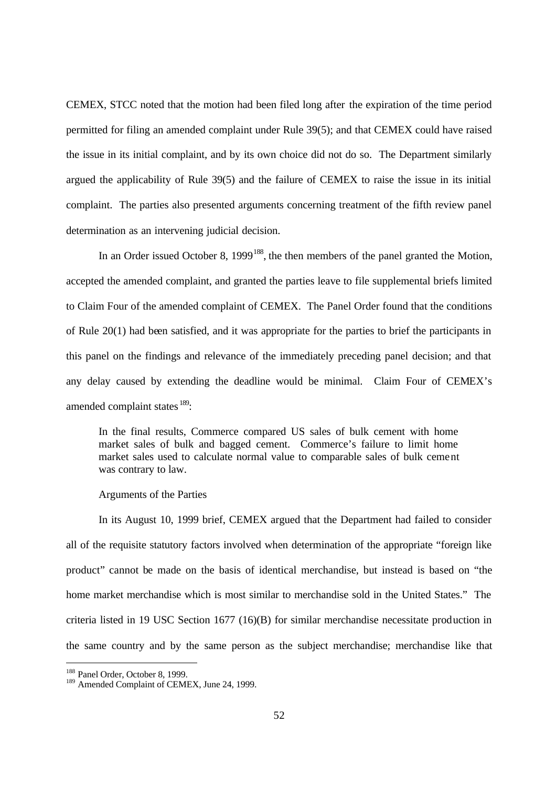CEMEX, STCC noted that the motion had been filed long after the expiration of the time period permitted for filing an amended complaint under Rule 39(5); and that CEMEX could have raised the issue in its initial complaint, and by its own choice did not do so. The Department similarly argued the applicability of Rule 39(5) and the failure of CEMEX to raise the issue in its initial complaint. The parties also presented arguments concerning treatment of the fifth review panel determination as an intervening judicial decision.

In an Order issued October 8,  $1999^{188}$ , the then members of the panel granted the Motion, accepted the amended complaint, and granted the parties leave to file supplemental briefs limited to Claim Four of the amended complaint of CEMEX. The Panel Order found that the conditions of Rule 20(1) had been satisfied, and it was appropriate for the parties to brief the participants in this panel on the findings and relevance of the immediately preceding panel decision; and that any delay caused by extending the deadline would be minimal. Claim Four of CEMEX's amended complaint states <sup>189</sup>:

In the final results, Commerce compared US sales of bulk cement with home market sales of bulk and bagged cement. Commerce's failure to limit home market sales used to calculate normal value to comparable sales of bulk cement was contrary to law.

#### Arguments of the Parties

In its August 10, 1999 brief, CEMEX argued that the Department had failed to consider all of the requisite statutory factors involved when determination of the appropriate "foreign like product" cannot be made on the basis of identical merchandise, but instead is based on "the home market merchandise which is most similar to merchandise sold in the United States." The criteria listed in 19 USC Section 1677 (16)(B) for similar merchandise necessitate production in the same country and by the same person as the subject merchandise; merchandise like that

<sup>188</sup> Panel Order, October 8, 1999.

<sup>&</sup>lt;sup>189</sup> Amended Complaint of CEMEX, June 24, 1999.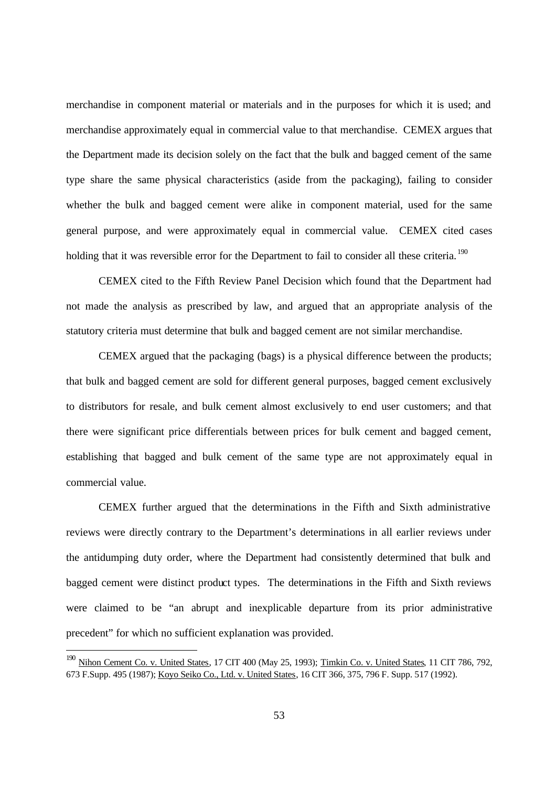merchandise in component material or materials and in the purposes for which it is used; and merchandise approximately equal in commercial value to that merchandise. CEMEX argues that the Department made its decision solely on the fact that the bulk and bagged cement of the same type share the same physical characteristics (aside from the packaging), failing to consider whether the bulk and bagged cement were alike in component material, used for the same general purpose, and were approximately equal in commercial value. CEMEX cited cases holding that it was reversible error for the Department to fail to consider all these criteria.<sup>190</sup>

CEMEX cited to the Fifth Review Panel Decision which found that the Department had not made the analysis as prescribed by law, and argued that an appropriate analysis of the statutory criteria must determine that bulk and bagged cement are not similar merchandise.

CEMEX argued that the packaging (bags) is a physical difference between the products; that bulk and bagged cement are sold for different general purposes, bagged cement exclusively to distributors for resale, and bulk cement almost exclusively to end user customers; and that there were significant price differentials between prices for bulk cement and bagged cement, establishing that bagged and bulk cement of the same type are not approximately equal in commercial value.

CEMEX further argued that the determinations in the Fifth and Sixth administrative reviews were directly contrary to the Department's determinations in all earlier reviews under the antidumping duty order, where the Department had consistently determined that bulk and bagged cement were distinct product types. The determinations in the Fifth and Sixth reviews were claimed to be "an abrupt and inexplicable departure from its prior administrative precedent" for which no sufficient explanation was provided.

<sup>&</sup>lt;sup>190</sup> Nihon Cement Co. v. United States, 17 CIT 400 (May 25, 1993); Timkin Co. v. United States, 11 CIT 786, 792, 673 F.Supp. 495 (1987); Koyo Seiko Co., Ltd. v. United States, 16 CIT 366, 375, 796 F. Supp. 517 (1992).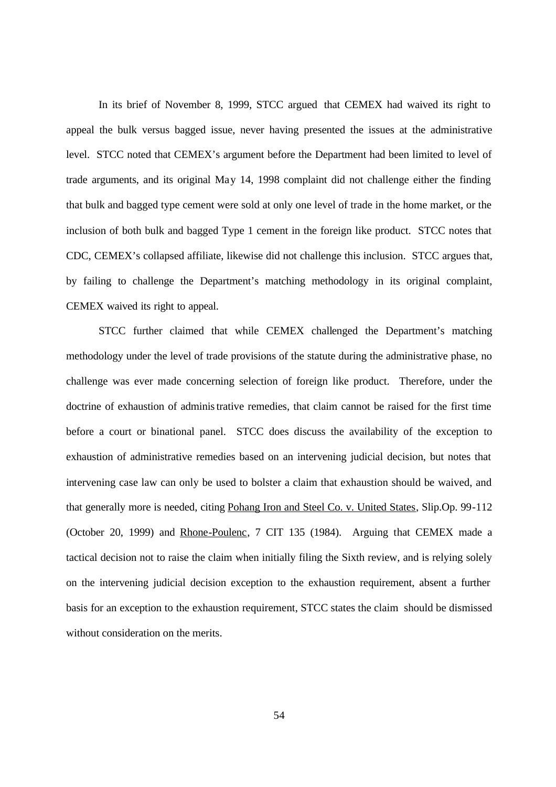In its brief of November 8, 1999, STCC argued that CEMEX had waived its right to appeal the bulk versus bagged issue, never having presented the issues at the administrative level. STCC noted that CEMEX's argument before the Department had been limited to level of trade arguments, and its original May 14, 1998 complaint did not challenge either the finding that bulk and bagged type cement were sold at only one level of trade in the home market, or the inclusion of both bulk and bagged Type 1 cement in the foreign like product. STCC notes that CDC, CEMEX's collapsed affiliate, likewise did not challenge this inclusion. STCC argues that, by failing to challenge the Department's matching methodology in its original complaint, CEMEX waived its right to appeal.

STCC further claimed that while CEMEX challenged the Department's matching methodology under the level of trade provisions of the statute during the administrative phase, no challenge was ever made concerning selection of foreign like product. Therefore, under the doctrine of exhaustion of administrative remedies, that claim cannot be raised for the first time before a court or binational panel. STCC does discuss the availability of the exception to exhaustion of administrative remedies based on an intervening judicial decision, but notes that intervening case law can only be used to bolster a claim that exhaustion should be waived, and that generally more is needed, citing Pohang Iron and Steel Co. v. United States, Slip.Op. 99-112 (October 20, 1999) and Rhone-Poulenc, 7 CIT 135 (1984). Arguing that CEMEX made a tactical decision not to raise the claim when initially filing the Sixth review, and is relying solely on the intervening judicial decision exception to the exhaustion requirement, absent a further basis for an exception to the exhaustion requirement, STCC states the claim should be dismissed without consideration on the merits.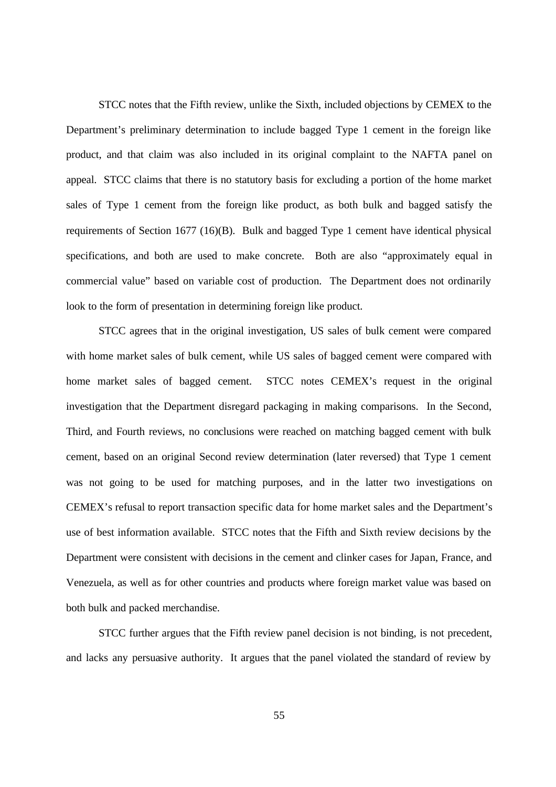STCC notes that the Fifth review, unlike the Sixth, included objections by CEMEX to the Department's preliminary determination to include bagged Type 1 cement in the foreign like product, and that claim was also included in its original complaint to the NAFTA panel on appeal. STCC claims that there is no statutory basis for excluding a portion of the home market sales of Type 1 cement from the foreign like product, as both bulk and bagged satisfy the requirements of Section 1677 (16)(B). Bulk and bagged Type 1 cement have identical physical specifications, and both are used to make concrete. Both are also "approximately equal in commercial value" based on variable cost of production. The Department does not ordinarily look to the form of presentation in determining foreign like product.

STCC agrees that in the original investigation, US sales of bulk cement were compared with home market sales of bulk cement, while US sales of bagged cement were compared with home market sales of bagged cement. STCC notes CEMEX's request in the original investigation that the Department disregard packaging in making comparisons. In the Second, Third, and Fourth reviews, no conclusions were reached on matching bagged cement with bulk cement, based on an original Second review determination (later reversed) that Type 1 cement was not going to be used for matching purposes, and in the latter two investigations on CEMEX's refusal to report transaction specific data for home market sales and the Department's use of best information available. STCC notes that the Fifth and Sixth review decisions by the Department were consistent with decisions in the cement and clinker cases for Japan, France, and Venezuela, as well as for other countries and products where foreign market value was based on both bulk and packed merchandise.

STCC further argues that the Fifth review panel decision is not binding, is not precedent, and lacks any persuasive authority. It argues that the panel violated the standard of review by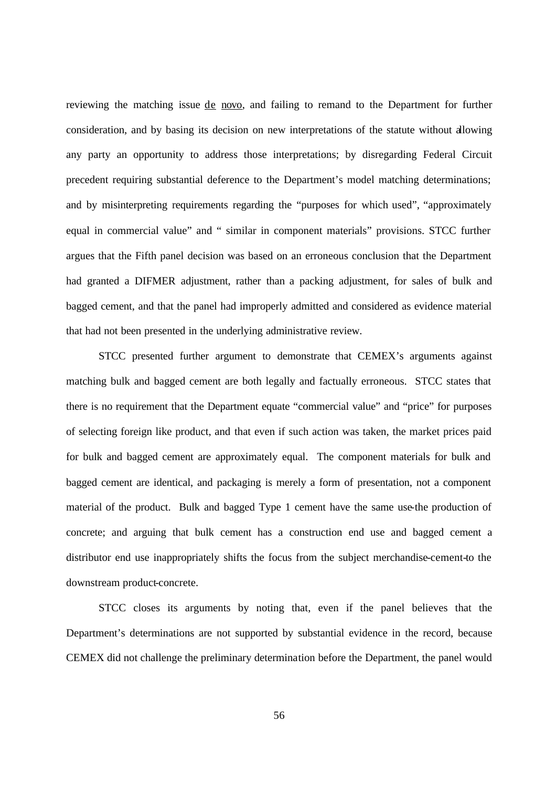reviewing the matching issue de novo, and failing to remand to the Department for further consideration, and by basing its decision on new interpretations of the statute without allowing any party an opportunity to address those interpretations; by disregarding Federal Circuit precedent requiring substantial deference to the Department's model matching determinations; and by misinterpreting requirements regarding the "purposes for which used", "approximately equal in commercial value" and " similar in component materials" provisions. STCC further argues that the Fifth panel decision was based on an erroneous conclusion that the Department had granted a DIFMER adjustment, rather than a packing adjustment, for sales of bulk and bagged cement, and that the panel had improperly admitted and considered as evidence material that had not been presented in the underlying administrative review.

STCC presented further argument to demonstrate that CEMEX's arguments against matching bulk and bagged cement are both legally and factually erroneous. STCC states that there is no requirement that the Department equate "commercial value" and "price" for purposes of selecting foreign like product, and that even if such action was taken, the market prices paid for bulk and bagged cement are approximately equal. The component materials for bulk and bagged cement are identical, and packaging is merely a form of presentation, not a component material of the product. Bulk and bagged Type 1 cement have the same use-the production of concrete; and arguing that bulk cement has a construction end use and bagged cement a distributor end use inappropriately shifts the focus from the subject merchandise-cement-to the downstream product-concrete.

STCC closes its arguments by noting that, even if the panel believes that the Department's determinations are not supported by substantial evidence in the record, because CEMEX did not challenge the preliminary determination before the Department, the panel would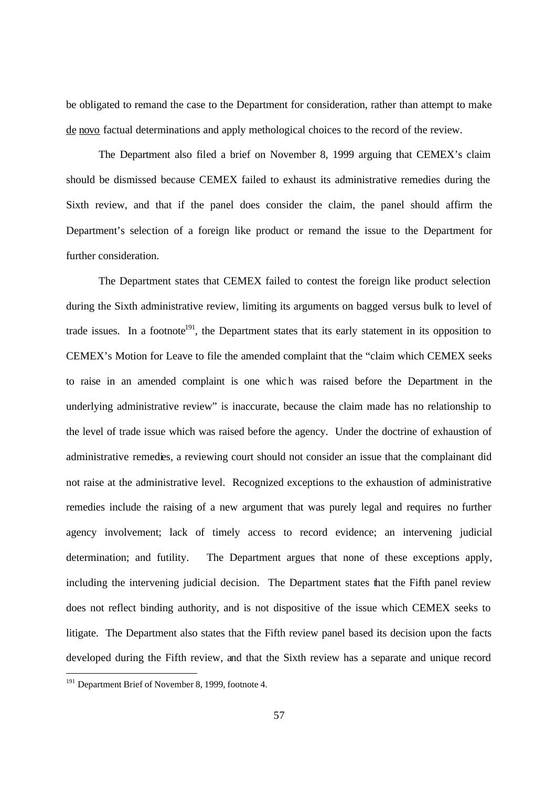be obligated to remand the case to the Department for consideration, rather than attempt to make de novo factual determinations and apply methological choices to the record of the review.

The Department also filed a brief on November 8, 1999 arguing that CEMEX's claim should be dismissed because CEMEX failed to exhaust its administrative remedies during the Sixth review, and that if the panel does consider the claim, the panel should affirm the Department's selection of a foreign like product or remand the issue to the Department for further consideration.

The Department states that CEMEX failed to contest the foreign like product selection during the Sixth administrative review, limiting its arguments on bagged versus bulk to level of trade issues. In a footnote<sup>191</sup>, the Department states that its early statement in its opposition to CEMEX's Motion for Leave to file the amended complaint that the "claim which CEMEX seeks to raise in an amended complaint is one whic h was raised before the Department in the underlying administrative review" is inaccurate, because the claim made has no relationship to the level of trade issue which was raised before the agency. Under the doctrine of exhaustion of administrative remedies, a reviewing court should not consider an issue that the complainant did not raise at the administrative level. Recognized exceptions to the exhaustion of administrative remedies include the raising of a new argument that was purely legal and requires no further agency involvement; lack of timely access to record evidence; an intervening judicial determination; and futility. The Department argues that none of these exceptions apply, including the intervening judicial decision. The Department states that the Fifth panel review does not reflect binding authority, and is not dispositive of the issue which CEMEX seeks to litigate. The Department also states that the Fifth review panel based its decision upon the facts developed during the Fifth review, and that the Sixth review has a separate and unique record

1

<sup>&</sup>lt;sup>191</sup> Department Brief of November 8, 1999, footnote 4.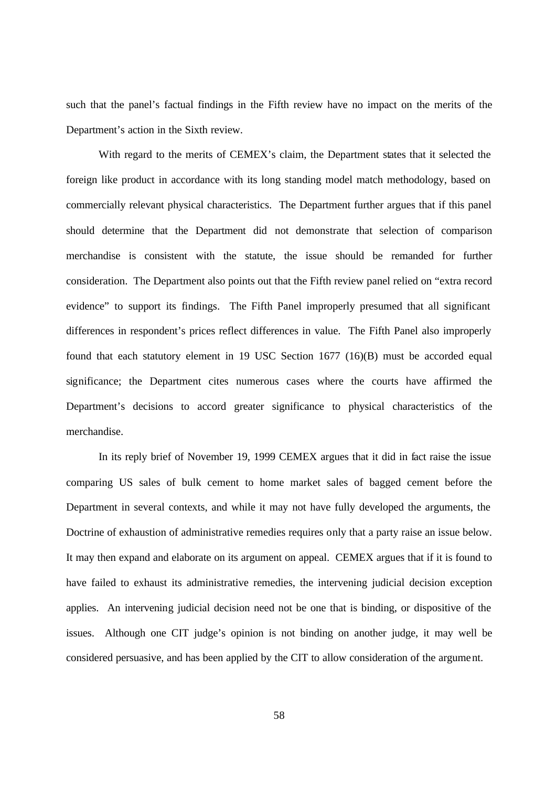such that the panel's factual findings in the Fifth review have no impact on the merits of the Department's action in the Sixth review.

With regard to the merits of CEMEX's claim, the Department states that it selected the foreign like product in accordance with its long standing model match methodology, based on commercially relevant physical characteristics. The Department further argues that if this panel should determine that the Department did not demonstrate that selection of comparison merchandise is consistent with the statute, the issue should be remanded for further consideration. The Department also points out that the Fifth review panel relied on "extra record evidence" to support its findings. The Fifth Panel improperly presumed that all significant differences in respondent's prices reflect differences in value. The Fifth Panel also improperly found that each statutory element in 19 USC Section 1677 (16)(B) must be accorded equal significance; the Department cites numerous cases where the courts have affirmed the Department's decisions to accord greater significance to physical characteristics of the merchandise.

In its reply brief of November 19, 1999 CEMEX argues that it did in fact raise the issue comparing US sales of bulk cement to home market sales of bagged cement before the Department in several contexts, and while it may not have fully developed the arguments, the Doctrine of exhaustion of administrative remedies requires only that a party raise an issue below. It may then expand and elaborate on its argument on appeal. CEMEX argues that if it is found to have failed to exhaust its administrative remedies, the intervening judicial decision exception applies. An intervening judicial decision need not be one that is binding, or dispositive of the issues. Although one CIT judge's opinion is not binding on another judge, it may well be considered persuasive, and has been applied by the CIT to allow consideration of the argument.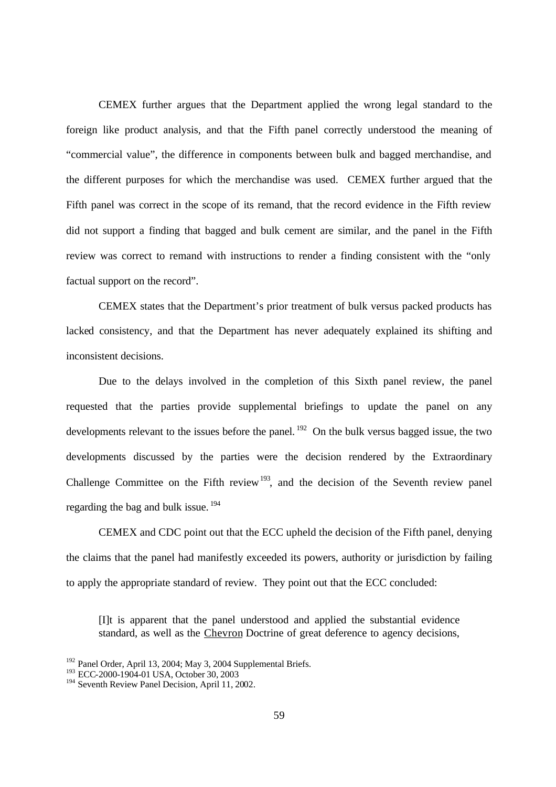CEMEX further argues that the Department applied the wrong legal standard to the foreign like product analysis, and that the Fifth panel correctly understood the meaning of "commercial value", the difference in components between bulk and bagged merchandise, and the different purposes for which the merchandise was used. CEMEX further argued that the Fifth panel was correct in the scope of its remand, that the record evidence in the Fifth review did not support a finding that bagged and bulk cement are similar, and the panel in the Fifth review was correct to remand with instructions to render a finding consistent with the "only factual support on the record".

CEMEX states that the Department's prior treatment of bulk versus packed products has lacked consistency, and that the Department has never adequately explained its shifting and inconsistent decisions.

Due to the delays involved in the completion of this Sixth panel review, the panel requested that the parties provide supplemental briefings to update the panel on any developments relevant to the issues before the panel.<sup>192</sup> On the bulk versus bagged issue, the two developments discussed by the parties were the decision rendered by the Extraordinary Challenge Committee on the Fifth review<sup>193</sup>, and the decision of the Seventh review panel regarding the bag and bulk issue. <sup>194</sup>

CEMEX and CDC point out that the ECC upheld the decision of the Fifth panel, denying the claims that the panel had manifestly exceeded its powers, authority or jurisdiction by failing to apply the appropriate standard of review. They point out that the ECC concluded:

[I]t is apparent that the panel understood and applied the substantial evidence standard, as well as the Chevron Doctrine of great deference to agency decisions,

<sup>&</sup>lt;sup>192</sup> Panel Order, April 13, 2004; May 3, 2004 Supplemental Briefs.

<sup>&</sup>lt;sup>193</sup> ECC-2000-1904-01 USA, October 30, 2003

<sup>194</sup> Seventh Review Panel Decision, April 11, 2002.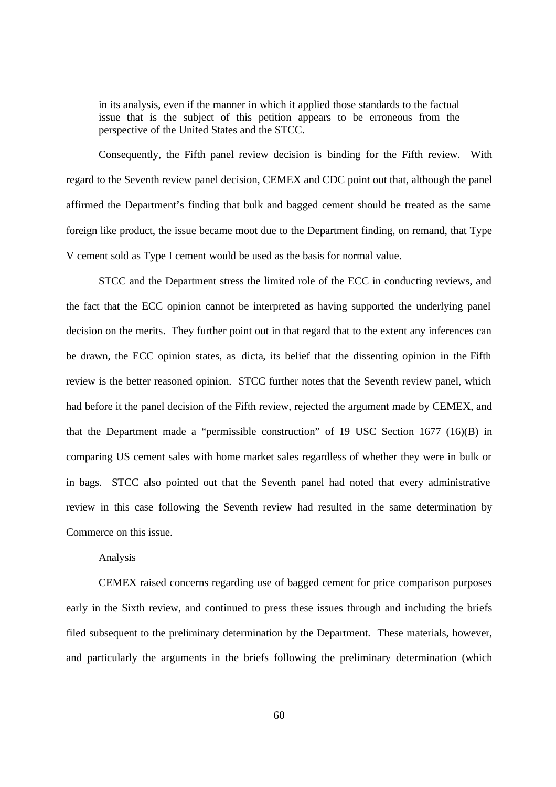in its analysis, even if the manner in which it applied those standards to the factual issue that is the subject of this petition appears to be erroneous from the perspective of the United States and the STCC.

Consequently, the Fifth panel review decision is binding for the Fifth review. With regard to the Seventh review panel decision, CEMEX and CDC point out that, although the panel affirmed the Department's finding that bulk and bagged cement should be treated as the same foreign like product, the issue became moot due to the Department finding, on remand, that Type V cement sold as Type I cement would be used as the basis for normal value.

STCC and the Department stress the limited role of the ECC in conducting reviews, and the fact that the ECC opinion cannot be interpreted as having supported the underlying panel decision on the merits. They further point out in that regard that to the extent any inferences can be drawn, the ECC opinion states, as dicta, its belief that the dissenting opinion in the Fifth review is the better reasoned opinion. STCC further notes that the Seventh review panel, which had before it the panel decision of the Fifth review, rejected the argument made by CEMEX, and that the Department made a "permissible construction" of 19 USC Section 1677 (16)(B) in comparing US cement sales with home market sales regardless of whether they were in bulk or in bags. STCC also pointed out that the Seventh panel had noted that every administrative review in this case following the Seventh review had resulted in the same determination by Commerce on this issue.

## Analysis

CEMEX raised concerns regarding use of bagged cement for price comparison purposes early in the Sixth review, and continued to press these issues through and including the briefs filed subsequent to the preliminary determination by the Department. These materials, however, and particularly the arguments in the briefs following the preliminary determination (which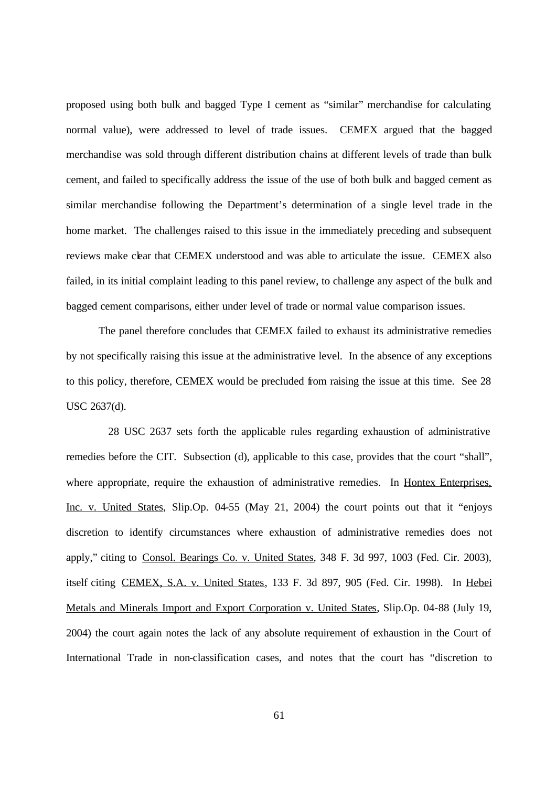proposed using both bulk and bagged Type I cement as "similar" merchandise for calculating normal value), were addressed to level of trade issues. CEMEX argued that the bagged merchandise was sold through different distribution chains at different levels of trade than bulk cement, and failed to specifically address the issue of the use of both bulk and bagged cement as similar merchandise following the Department's determination of a single level trade in the home market. The challenges raised to this issue in the immediately preceding and subsequent reviews make clear that CEMEX understood and was able to articulate the issue. CEMEX also failed, in its initial complaint leading to this panel review, to challenge any aspect of the bulk and bagged cement comparisons, either under level of trade or normal value comparison issues.

The panel therefore concludes that CEMEX failed to exhaust its administrative remedies by not specifically raising this issue at the administrative level. In the absence of any exceptions to this policy, therefore, CEMEX would be precluded from raising the issue at this time. See 28 USC 2637(d).

 28 USC 2637 sets forth the applicable rules regarding exhaustion of administrative remedies before the CIT. Subsection (d), applicable to this case, provides that the court "shall", where appropriate, require the exhaustion of administrative remedies. In Hontex Enterprises, Inc. v. United States, Slip.Op. 04-55 (May 21, 2004) the court points out that it "enjoys discretion to identify circumstances where exhaustion of administrative remedies does not apply," citing to Consol. Bearings Co. v. United States, 348 F. 3d 997, 1003 (Fed. Cir. 2003), itself citing CEMEX, S.A. v. United States, 133 F. 3d 897, 905 (Fed. Cir. 1998). In Hebei Metals and Minerals Import and Export Corporation v. United States, Slip.Op. 04-88 (July 19, 2004) the court again notes the lack of any absolute requirement of exhaustion in the Court of International Trade in non-classification cases, and notes that the court has "discretion to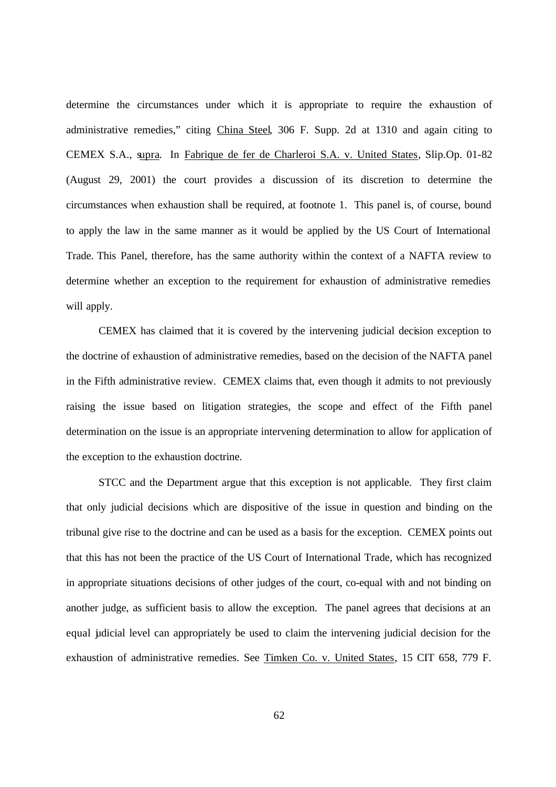determine the circumstances under which it is appropriate to require the exhaustion of administrative remedies," citing China Steel, 306 F. Supp. 2d at 1310 and again citing to CEMEX S.A., supra. In Fabrique de fer de Charleroi S.A. v. United States, Slip.Op. 01-82 (August 29, 2001) the court provides a discussion of its discretion to determine the circumstances when exhaustion shall be required, at footnote 1. This panel is, of course, bound to apply the law in the same manner as it would be applied by the US Court of International Trade. This Panel, therefore, has the same authority within the context of a NAFTA review to determine whether an exception to the requirement for exhaustion of administrative remedies will apply.

CEMEX has claimed that it is covered by the intervening judicial decision exception to the doctrine of exhaustion of administrative remedies, based on the decision of the NAFTA panel in the Fifth administrative review. CEMEX claims that, even though it admits to not previously raising the issue based on litigation strategies, the scope and effect of the Fifth panel determination on the issue is an appropriate intervening determination to allow for application of the exception to the exhaustion doctrine.

STCC and the Department argue that this exception is not applicable. They first claim that only judicial decisions which are dispositive of the issue in question and binding on the tribunal give rise to the doctrine and can be used as a basis for the exception. CEMEX points out that this has not been the practice of the US Court of International Trade, which has recognized in appropriate situations decisions of other judges of the court, co-equal with and not binding on another judge, as sufficient basis to allow the exception. The panel agrees that decisions at an equal judicial level can appropriately be used to claim the intervening judicial decision for the exhaustion of administrative remedies. See Timken Co. v. United States, 15 CIT 658, 779 F.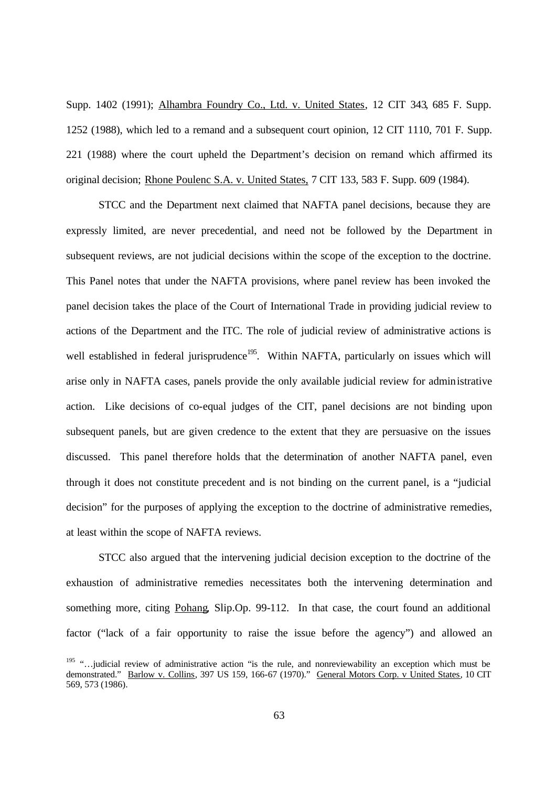Supp. 1402 (1991); Alhambra Foundry Co., Ltd. v. United States, 12 CIT 343, 685 F. Supp. 1252 (1988), which led to a remand and a subsequent court opinion, 12 CIT 1110, 701 F. Supp. 221 (1988) where the court upheld the Department's decision on remand which affirmed its original decision; Rhone Poulenc S.A. v. United States, 7 CIT 133, 583 F. Supp. 609 (1984).

STCC and the Department next claimed that NAFTA panel decisions, because they are expressly limited, are never precedential, and need not be followed by the Department in subsequent reviews, are not judicial decisions within the scope of the exception to the doctrine. This Panel notes that under the NAFTA provisions, where panel review has been invoked the panel decision takes the place of the Court of International Trade in providing judicial review to actions of the Department and the ITC. The role of judicial review of administrative actions is well established in federal jurisprudence<sup>195</sup>. Within NAFTA, particularly on issues which will arise only in NAFTA cases, panels provide the only available judicial review for administrative action. Like decisions of co-equal judges of the CIT, panel decisions are not binding upon subsequent panels, but are given credence to the extent that they are persuasive on the issues discussed. This panel therefore holds that the determination of another NAFTA panel, even through it does not constitute precedent and is not binding on the current panel, is a "judicial decision" for the purposes of applying the exception to the doctrine of administrative remedies, at least within the scope of NAFTA reviews.

STCC also argued that the intervening judicial decision exception to the doctrine of the exhaustion of administrative remedies necessitates both the intervening determination and something more, citing Pohang, Slip.Op. 99-112. In that case, the court found an additional factor ("lack of a fair opportunity to raise the issue before the agency") and allowed an

<sup>&</sup>lt;sup>195</sup> "... judicial review of administrative action "is the rule, and nonreviewability an exception which must be demonstrated." Barlow v. Collins, 397 US 159, 166-67 (1970)." General Motors Corp. v United States, 10 CIT 569, 573 (1986).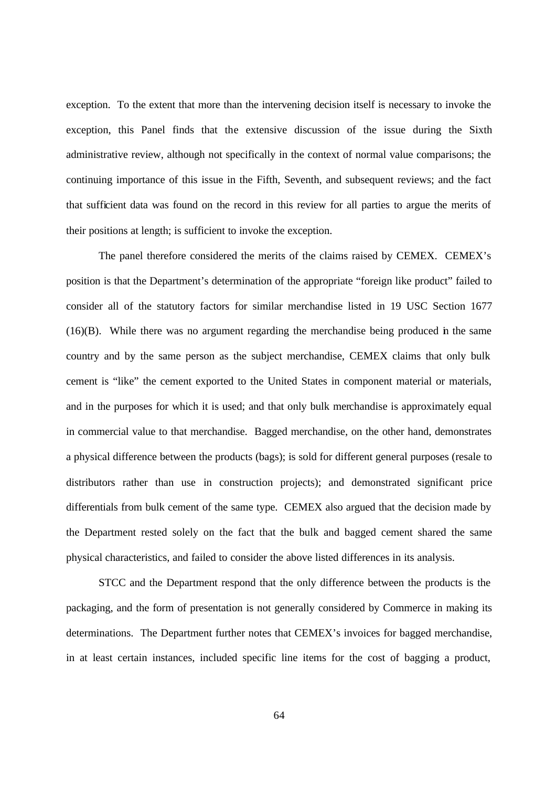exception. To the extent that more than the intervening decision itself is necessary to invoke the exception, this Panel finds that the extensive discussion of the issue during the Sixth administrative review, although not specifically in the context of normal value comparisons; the continuing importance of this issue in the Fifth, Seventh, and subsequent reviews; and the fact that sufficient data was found on the record in this review for all parties to argue the merits of their positions at length; is sufficient to invoke the exception.

The panel therefore considered the merits of the claims raised by CEMEX. CEMEX's position is that the Department's determination of the appropriate "foreign like product" failed to consider all of the statutory factors for similar merchandise listed in 19 USC Section 1677 (16)(B). While there was no argument regarding the merchandise being produced in the same country and by the same person as the subject merchandise, CEMEX claims that only bulk cement is "like" the cement exported to the United States in component material or materials, and in the purposes for which it is used; and that only bulk merchandise is approximately equal in commercial value to that merchandise. Bagged merchandise, on the other hand, demonstrates a physical difference between the products (bags); is sold for different general purposes (resale to distributors rather than use in construction projects); and demonstrated significant price differentials from bulk cement of the same type. CEMEX also argued that the decision made by the Department rested solely on the fact that the bulk and bagged cement shared the same physical characteristics, and failed to consider the above listed differences in its analysis.

STCC and the Department respond that the only difference between the products is the packaging, and the form of presentation is not generally considered by Commerce in making its determinations. The Department further notes that CEMEX's invoices for bagged merchandise, in at least certain instances, included specific line items for the cost of bagging a product,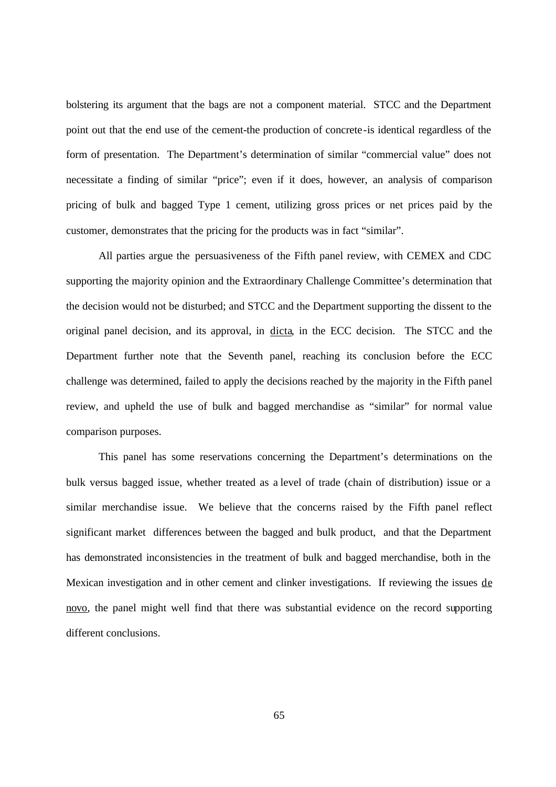bolstering its argument that the bags are not a component material. STCC and the Department point out that the end use of the cement-the production of concrete-is identical regardless of the form of presentation. The Department's determination of similar "commercial value" does not necessitate a finding of similar "price"; even if it does, however, an analysis of comparison pricing of bulk and bagged Type 1 cement, utilizing gross prices or net prices paid by the customer, demonstrates that the pricing for the products was in fact "similar".

All parties argue the persuasiveness of the Fifth panel review, with CEMEX and CDC supporting the majority opinion and the Extraordinary Challenge Committee's determination that the decision would not be disturbed; and STCC and the Department supporting the dissent to the original panel decision, and its approval, in dicta, in the ECC decision. The STCC and the Department further note that the Seventh panel, reaching its conclusion before the ECC challenge was determined, failed to apply the decisions reached by the majority in the Fifth panel review, and upheld the use of bulk and bagged merchandise as "similar" for normal value comparison purposes.

This panel has some reservations concerning the Department's determinations on the bulk versus bagged issue, whether treated as a level of trade (chain of distribution) issue or a similar merchandise issue. We believe that the concerns raised by the Fifth panel reflect significant market differences between the bagged and bulk product, and that the Department has demonstrated inconsistencies in the treatment of bulk and bagged merchandise, both in the Mexican investigation and in other cement and clinker investigations. If reviewing the issues de novo, the panel might well find that there was substantial evidence on the record supporting different conclusions.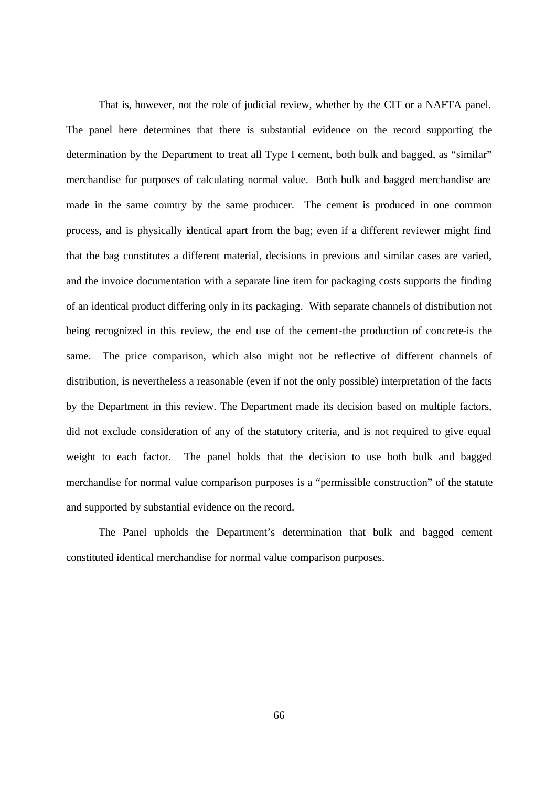That is, however, not the role of judicial review, whether by the CIT or a NAFTA panel. The panel here determines that there is substantial evidence on the record supporting the determination by the Department to treat all Type I cement, both bulk and bagged, as "similar" merchandise for purposes of calculating normal value. Both bulk and bagged merchandise are made in the same country by the same producer. The cement is produced in one common process, and is physically identical apart from the bag; even if a different reviewer might find that the bag constitutes a different material, decisions in previous and similar cases are varied, and the invoice documentation with a separate line item for packaging costs supports the finding of an identical product differing only in its packaging. With separate channels of distribution not being recognized in this review, the end use of the cement-the production of concrete-is the same. The price comparison, which also might not be reflective of different channels of distribution, is nevertheless a reasonable (even if not the only possible) interpretation of the facts by the Department in this review. The Department made its decision based on multiple factors, did not exclude consideration of any of the statutory criteria, and is not required to give equal weight to each factor. The panel holds that the decision to use both bulk and bagged merchandise for normal value comparison purposes is a "permissible construction" of the statute and supported by substantial evidence on the record.

The Panel upholds the Department's determination that bulk and bagged cement constituted identical merchandise for normal value comparison purposes.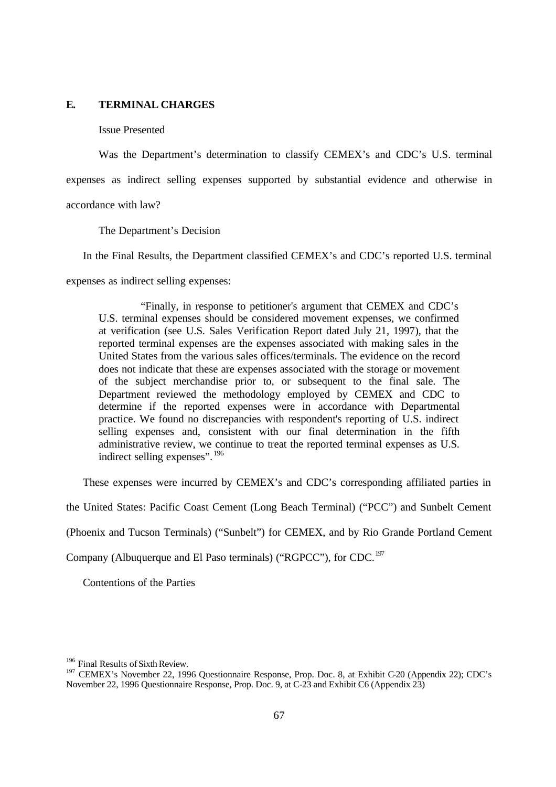## **E. TERMINAL CHARGES**

#### Issue Presented

Was the Department's determination to classify CEMEX's and CDC's U.S. terminal expenses as indirect selling expenses supported by substantial evidence and otherwise in accordance with law?

The Department's Decision

In the Final Results, the Department classified CEMEX's and CDC's reported U.S. terminal

expenses as indirect selling expenses:

"Finally, in response to petitioner's argument that CEMEX and CDC's U.S. terminal expenses should be considered movement expenses, we confirmed at verification (see U.S. Sales Verification Report dated July 21, 1997), that the reported terminal expenses are the expenses associated with making sales in the United States from the various sales offices/terminals. The evidence on the record does not indicate that these are expenses associated with the storage or movement of the subject merchandise prior to, or subsequent to the final sale. The Department reviewed the methodology employed by CEMEX and CDC to determine if the reported expenses were in accordance with Departmental practice. We found no discrepancies with respondent's reporting of U.S. indirect selling expenses and, consistent with our final determination in the fifth administrative review, we continue to treat the reported terminal expenses as U.S. indirect selling expenses". <sup>196</sup>

These expenses were incurred by CEMEX's and CDC's corresponding affiliated parties in

the United States: Pacific Coast Cement (Long Beach Terminal) ("PCC") and Sunbelt Cement

(Phoenix and Tucson Terminals) ("Sunbelt") for CEMEX, and by Rio Grande Portland Cement

Company (Albuquerque and El Paso terminals) ("RGPCC"), for CDC.<sup>197</sup>

Contentions of the Parties

<sup>&</sup>lt;sup>196</sup> Final Results of Sixth Review.

<sup>&</sup>lt;sup>197</sup> CEMEX's November 22, 1996 Ouestionnaire Response, Prop. Doc. 8, at Exhibit C-20 (Appendix 22); CDC's November 22, 1996 Questionnaire Response, Prop. Doc. 9, at C-23 and Exhibit C6 (Appendix 23)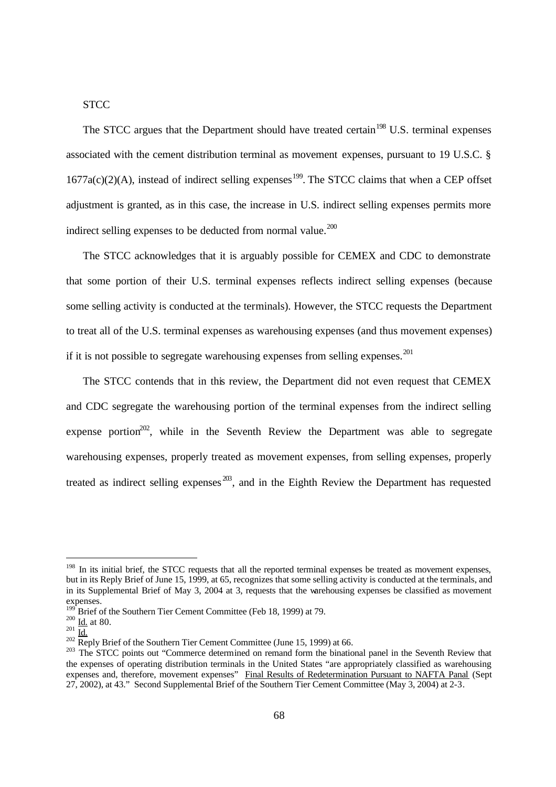# **STCC**

The STCC argues that the Department should have treated certain<sup>198</sup> U.S. terminal expenses associated with the cement distribution terminal as movement expenses, pursuant to 19 U.S.C. §  $1677a(c)(2)(A)$ , instead of indirect selling expenses<sup>199</sup>. The STCC claims that when a CEP offset adjustment is granted, as in this case, the increase in U.S. indirect selling expenses permits more indirect selling expenses to be deducted from normal value. $^{200}$ 

The STCC acknowledges that it is arguably possible for CEMEX and CDC to demonstrate that some portion of their U.S. terminal expenses reflects indirect selling expenses (because some selling activity is conducted at the terminals). However, the STCC requests the Department to treat all of the U.S. terminal expenses as warehousing expenses (and thus movement expenses) if it is not possible to segregate warehousing expenses from selling expenses.<sup>201</sup>

The STCC contends that in this review, the Department did not even request that CEMEX and CDC segregate the warehousing portion of the terminal expenses from the indirect selling expense portion<sup>202</sup>, while in the Seventh Review the Department was able to segregate warehousing expenses, properly treated as movement expenses, from selling expenses, properly treated as indirect selling expenses  $^{203}$ , and in the Eighth Review the Department has requested

<sup>&</sup>lt;sup>198</sup> In its initial brief, the STCC requests that all the reported terminal expenses be treated as movement expenses, but in its Reply Brief of June 15, 1999, at 65, recognizes that some selling activity is conducted at the terminals, and in its Supplemental Brief of May 3, 2004 at 3, requests that the warehousing expenses be classified as movement expenses.

 $19^{\circ}$  Brief of the Southern Tier Cement Committee (Feb 18, 1999) at 79.

 $^{200}$   $\underline{\underline{\text{Id}}}\cdot$  at 80.

 $^{201}$   $\frac{120}{1d}$ 

 $\frac{202}{202}$  Reply Brief of the Southern Tier Cement Committee (June 15, 1999) at 66.

<sup>&</sup>lt;sup>203</sup> The STCC points out "Commerce determined on remand form the binational panel in the Seventh Review that the expenses of operating distribution terminals in the United States "are appropriately classified as warehousing expenses and, therefore, movement expenses" Final Results of Redetermination Pursuant to NAFTA Panal (Sept 27, 2002), at 43." Second Supplemental Brief of the Southern Tier Cement Committee (May 3, 2004) at 2-3.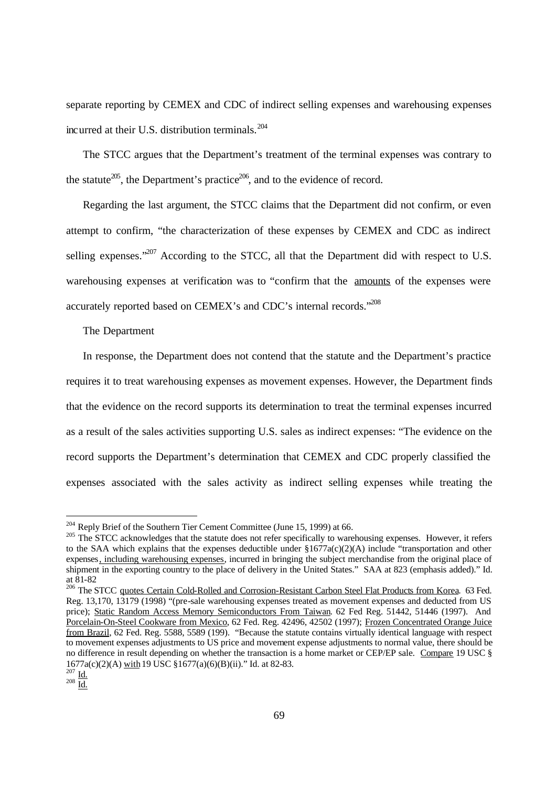separate reporting by CEMEX and CDC of indirect selling expenses and warehousing expenses incurred at their U.S. distribution terminals.<sup>204</sup>

The STCC argues that the Department's treatment of the terminal expenses was contrary to the statute<sup>205</sup>, the Department's practice<sup>206</sup>, and to the evidence of record.

Regarding the last argument, the STCC claims that the Department did not confirm, or even attempt to confirm, "the characterization of these expenses by CEMEX and CDC as indirect selling expenses."<sup>207</sup> According to the STCC, all that the Department did with respect to U.S. warehousing expenses at verification was to "confirm that the amounts of the expenses were accurately reported based on CEMEX's and CDC's internal records."<sup>208</sup>

#### The Department

In response, the Department does not contend that the statute and the Department's practice requires it to treat warehousing expenses as movement expenses. However, the Department finds that the evidence on the record supports its determination to treat the terminal expenses incurred as a result of the sales activities supporting U.S. sales as indirect expenses: "The evidence on the record supports the Department's determination that CEMEX and CDC properly classified the expenses associated with the sales activity as indirect selling expenses while treating the

 $204$  Reply Brief of the Southern Tier Cement Committee (June 15, 1999) at 66.

<sup>&</sup>lt;sup>205</sup> The STCC acknowledges that the statute does not refer specifically to warehousing expenses. However, it refers to the SAA which explains that the expenses deductible under §1677a(c)(2)(A) include "transportation and other expenses, including warehousing expenses, incurred in bringing the subject merchandise from the original place of shipment in the exporting country to the place of delivery in the United States." SAA at 823 (emphasis added)." Id. at 81-82

<sup>&</sup>lt;sup>206</sup> The STCC quotes Certain Cold-Rolled and Corrosion-Resistant Carbon Steel Flat Products from Korea. 63 Fed. Reg. 13,170, 13179 (1998) "(pre-sale warehousing expenses treated as movement expenses and deducted from US price); Static Random Access Memory Semiconductors From Taiwan. 62 Fed Reg. 51442, 51446 (1997). And Porcelain-On-Steel Cookware from Mexico, 62 Fed. Reg. 42496, 42502 (1997); Frozen Concentrated Orange Juice from Brazil, 62 Fed. Reg. 5588, 5589 (199). "Because the statute contains virtually identical language with respect to movement expenses adjustments to US price and movement expense adjustments to normal value, there should be no difference in result depending on whether the transaction is a home market or CEP/EP sale. Compare 19 USC § 1677a(c)(2)(A) with 19 USC §1677(a)(6)(B)(ii)." Id. at 82-83.  $\frac{207}{10}$  Id.

 $208 \overline{\mathrm{Id}}$ .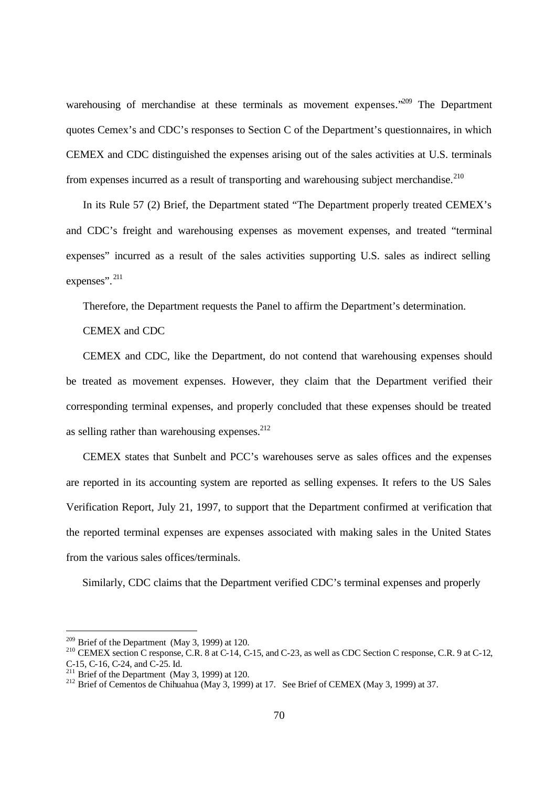warehousing of merchandise at these terminals as movement expenses.<sup>209</sup> The Department quotes Cemex's and CDC's responses to Section C of the Department's questionnaires, in which CEMEX and CDC distinguished the expenses arising out of the sales activities at U.S. terminals from expenses incurred as a result of transporting and warehousing subject merchandise.<sup>210</sup>

In its Rule 57 (2) Brief, the Department stated "The Department properly treated CEMEX's and CDC's freight and warehousing expenses as movement expenses, and treated "terminal expenses" incurred as a result of the sales activities supporting U.S. sales as indirect selling expenses". <sup>211</sup>

Therefore, the Department requests the Panel to affirm the Department's determination.

CEMEX and CDC

CEMEX and CDC, like the Department, do not contend that warehousing expenses should be treated as movement expenses. However, they claim that the Department verified their corresponding terminal expenses, and properly concluded that these expenses should be treated as selling rather than warehousing expenses. $^{212}$ 

CEMEX states that Sunbelt and PCC's warehouses serve as sales offices and the expenses are reported in its accounting system are reported as selling expenses. It refers to the US Sales Verification Report, July 21, 1997, to support that the Department confirmed at verification that the reported terminal expenses are expenses associated with making sales in the United States from the various sales offices/terminals.

Similarly, CDC claims that the Department verified CDC's terminal expenses and properly

<sup>&</sup>lt;sup>209</sup> Brief of the Department (May 3, 1999) at 120.

<sup>&</sup>lt;sup>210</sup> CEMEX section C response, C.R. 8 at C-14, C-15, and C-23, as well as CDC Section C response, C.R. 9 at C-12, C-15, C-16, C-24, and C-25. Id.

 $\frac{211}{211}$  Brief of the Department (May 3, 1999) at 120.

<sup>&</sup>lt;sup>212</sup> Brief of Cementos de Chihuahua (May 3, 1999) at 17. See Brief of CEMEX (May 3, 1999) at 37.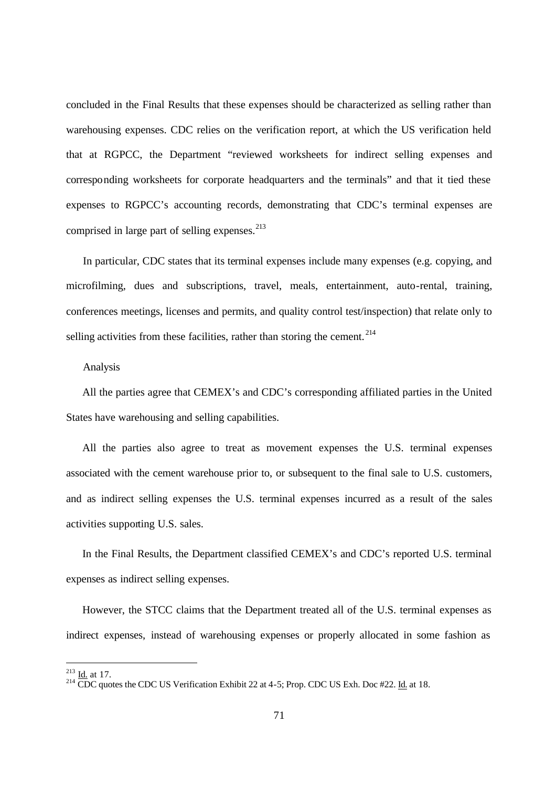concluded in the Final Results that these expenses should be characterized as selling rather than warehousing expenses. CDC relies on the verification report, at which the US verification held that at RGPCC, the Department "reviewed worksheets for indirect selling expenses and corresponding worksheets for corporate headquarters and the terminals" and that it tied these expenses to RGPCC's accounting records, demonstrating that CDC's terminal expenses are comprised in large part of selling expenses.<sup>213</sup>

In particular, CDC states that its terminal expenses include many expenses (e.g. copying, and microfilming, dues and subscriptions, travel, meals, entertainment, auto-rental, training, conferences meetings, licenses and permits, and quality control test/inspection) that relate only to selling activities from these facilities, rather than storing the cement.<sup>214</sup>

#### Analysis

All the parties agree that CEMEX's and CDC's corresponding affiliated parties in the United States have warehousing and selling capabilities.

All the parties also agree to treat as movement expenses the U.S. terminal expenses associated with the cement warehouse prior to, or subsequent to the final sale to U.S. customers, and as indirect selling expenses the U.S. terminal expenses incurred as a result of the sales activities supporting U.S. sales.

In the Final Results, the Department classified CEMEX's and CDC's reported U.S. terminal expenses as indirect selling expenses.

However, the STCC claims that the Department treated all of the U.S. terminal expenses as indirect expenses, instead of warehousing expenses or properly allocated in some fashion as

 $\frac{213}{10}$  Id. at 17.

<sup>&</sup>lt;sup>214</sup> CDC quotes the CDC US Verification Exhibit 22 at 4-5; Prop. CDC US Exh. Doc #22. Id. at 18.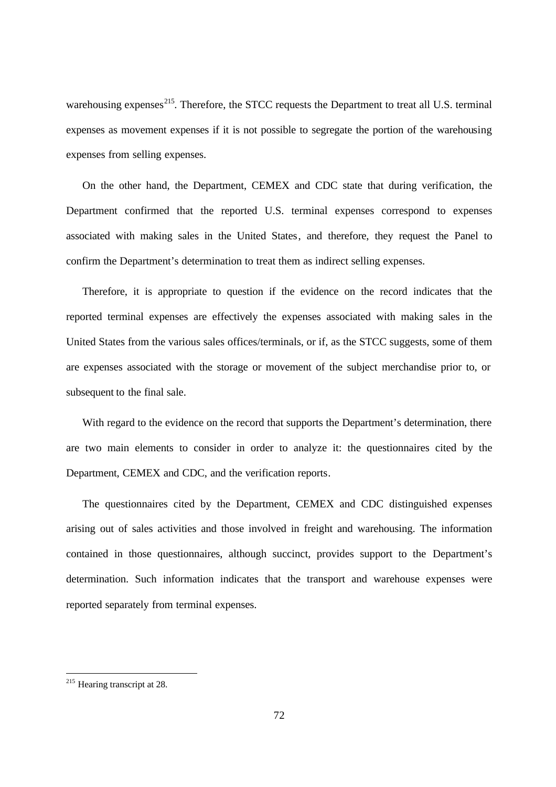warehousing expenses<sup>215</sup>. Therefore, the STCC requests the Department to treat all U.S. terminal expenses as movement expenses if it is not possible to segregate the portion of the warehousing expenses from selling expenses.

On the other hand, the Department, CEMEX and CDC state that during verification, the Department confirmed that the reported U.S. terminal expenses correspond to expenses associated with making sales in the United States, and therefore, they request the Panel to confirm the Department's determination to treat them as indirect selling expenses.

Therefore, it is appropriate to question if the evidence on the record indicates that the reported terminal expenses are effectively the expenses associated with making sales in the United States from the various sales offices/terminals, or if, as the STCC suggests, some of them are expenses associated with the storage or movement of the subject merchandise prior to, or subsequent to the final sale.

With regard to the evidence on the record that supports the Department's determination, there are two main elements to consider in order to analyze it: the questionnaires cited by the Department, CEMEX and CDC, and the verification reports.

The questionnaires cited by the Department, CEMEX and CDC distinguished expenses arising out of sales activities and those involved in freight and warehousing. The information contained in those questionnaires, although succinct, provides support to the Department's determination. Such information indicates that the transport and warehouse expenses were reported separately from terminal expenses.

1

 $215$  Hearing transcript at 28.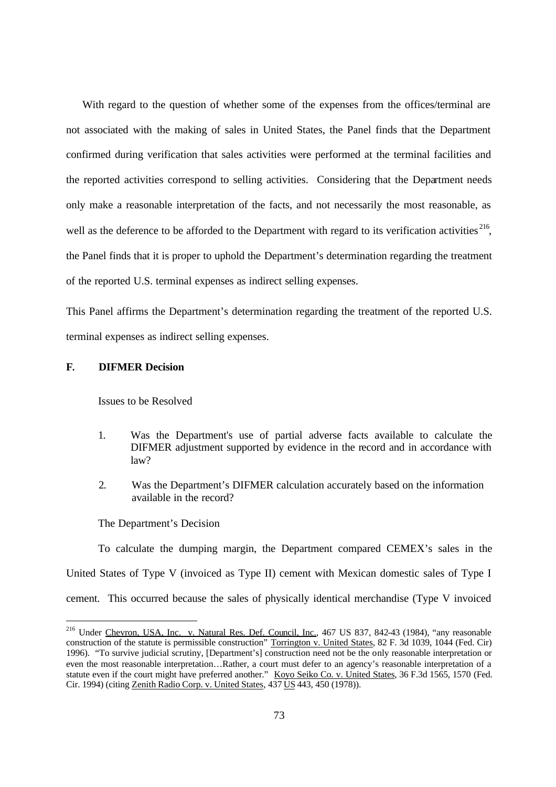With regard to the question of whether some of the expenses from the offices/terminal are not associated with the making of sales in United States, the Panel finds that the Department confirmed during verification that sales activities were performed at the terminal facilities and the reported activities correspond to selling activities. Considering that the Department needs only make a reasonable interpretation of the facts, and not necessarily the most reasonable, as well as the deference to be afforded to the Department with regard to its verification activities<sup>216</sup>, the Panel finds that it is proper to uphold the Department's determination regarding the treatment of the reported U.S. terminal expenses as indirect selling expenses.

This Panel affirms the Department's determination regarding the treatment of the reported U.S. terminal expenses as indirect selling expenses.

## **F. DIFMER Decision**

-

Issues to be Resolved

- 1. Was the Department's use of partial adverse facts available to calculate the DIFMER adjustment supported by evidence in the record and in accordance with law?
- 2. Was the Department's DIFMER calculation accurately based on the information available in the record?

The Department's Decision

To calculate the dumping margin, the Department compared CEMEX's sales in the United States of Type V (invoiced as Type II) cement with Mexican domestic sales of Type I cement. This occurred because the sales of physically identical merchandise (Type V invoiced

<sup>&</sup>lt;sup>216</sup> Under Chevron, USA, Inc. v. Natural Res. Def. Council, Inc., 467 US 837, 842-43 (1984), "any reasonable construction of the statute is permissible construction" Torrington v. United States, 82 F. 3d 1039, 1044 (Fed. Cir) 1996). "To survive judicial scrutiny, [Department's] construction need not be the only reasonable interpretation or even the most reasonable interpretation…Rather, a court must defer to an agency's reasonable interpretation of a statute even if the court might have preferred another." Koyo Seiko Co. v. United States, 36 F.3d 1565, 1570 (Fed. Cir. 1994) (citing Zenith Radio Corp. v. United States, 437 US 443, 450 (1978)).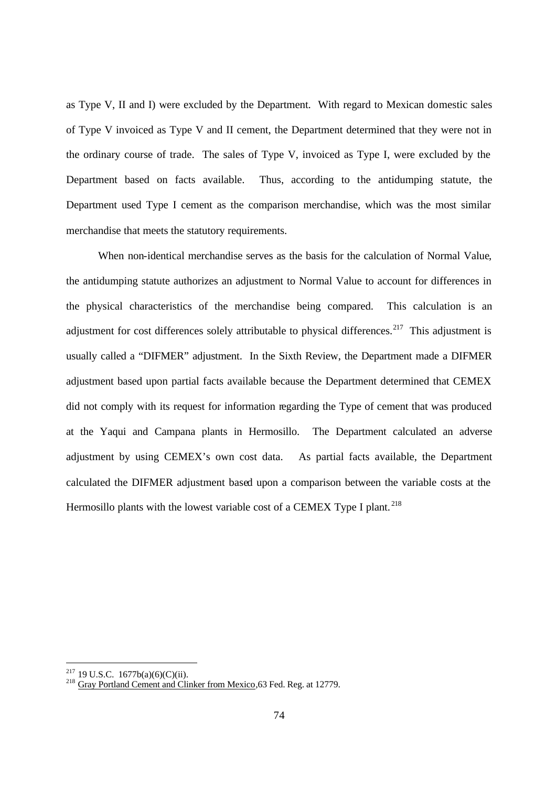as Type V, II and I) were excluded by the Department. With regard to Mexican domestic sales of Type V invoiced as Type V and II cement, the Department determined that they were not in the ordinary course of trade. The sales of Type V, invoiced as Type I, were excluded by the Department based on facts available. Thus, according to the antidumping statute, the Department used Type I cement as the comparison merchandise, which was the most similar merchandise that meets the statutory requirements.

When non-identical merchandise serves as the basis for the calculation of Normal Value, the antidumping statute authorizes an adjustment to Normal Value to account for differences in the physical characteristics of the merchandise being compared. This calculation is an adjustment for cost differences solely attributable to physical differences.<sup>217</sup> This adjustment is usually called a "DIFMER" adjustment. In the Sixth Review, the Department made a DIFMER adjustment based upon partial facts available because the Department determined that CEMEX did not comply with its request for information regarding the Type of cement that was produced at the Yaqui and Campana plants in Hermosillo. The Department calculated an adverse adjustment by using CEMEX's own cost data. As partial facts available, the Department calculated the DIFMER adjustment based upon a comparison between the variable costs at the Hermosillo plants with the lowest variable cost of a CEMEX Type I plant.<sup>218</sup>

 $^{217}$  19 U.S.C. 1677b(a)(6)(C)(ii).

<sup>&</sup>lt;sup>218</sup> Gray Portland Cement and Clinker from Mexico, 63 Fed. Reg. at 12779.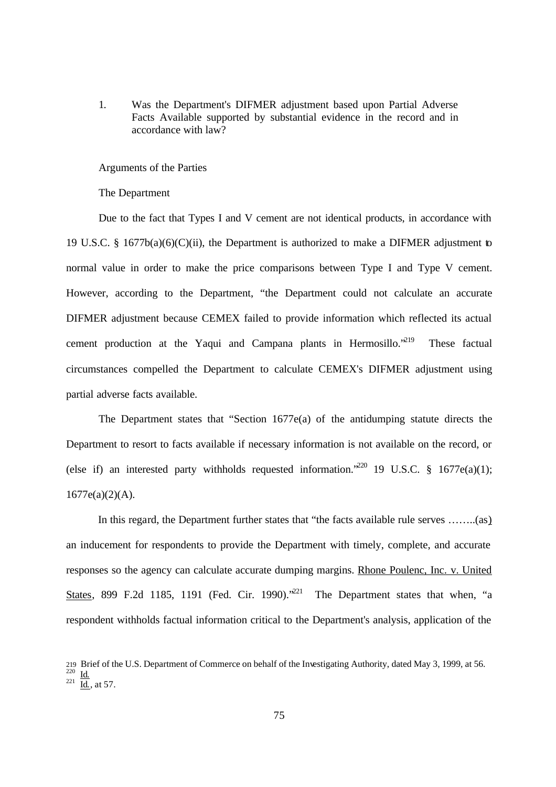1. Was the Department's DIFMER adjustment based upon Partial Adverse Facts Available supported by substantial evidence in the record and in accordance with law?

#### Arguments of the Parties

The Department

Due to the fact that Types I and V cement are not identical products, in accordance with 19 U.S.C. § 1677b(a)(6)(C)(ii), the Department is authorized to make a DIFMER adjustment to normal value in order to make the price comparisons between Type I and Type V cement. However, according to the Department, "the Department could not calculate an accurate DIFMER adjustment because CEMEX failed to provide information which reflected its actual cement production at the Yaqui and Campana plants in Hermosillo.<sup>219</sup> These factual circumstances compelled the Department to calculate CEMEX's DIFMER adjustment using partial adverse facts available.

The Department states that "Section 1677e(a) of the antidumping statute directs the Department to resort to facts available if necessary information is not available on the record, or (else if) an interested party withholds requested information.<sup>220</sup> 19 U.S.C. § 1677e(a)(1);  $1677e(a)(2)(A)$ .

In this regard, the Department further states that "the facts available rule serves ……..(as) an inducement for respondents to provide the Department with timely, complete, and accurate responses so the agency can calculate accurate dumping margins. Rhone Poulenc, Inc. v. United States, 899 F.2d 1185, 1191 (Fed. Cir. 1990). $221$  The Department states that when, "a respondent withholds factual information critical to the Department's analysis, application of the

<sup>219</sup> Brief of the U.S. Department of Commerce on behalf of the Investigating Authority, dated May 3, 1999, at 56.<br><sup>220</sup> Id., at 57.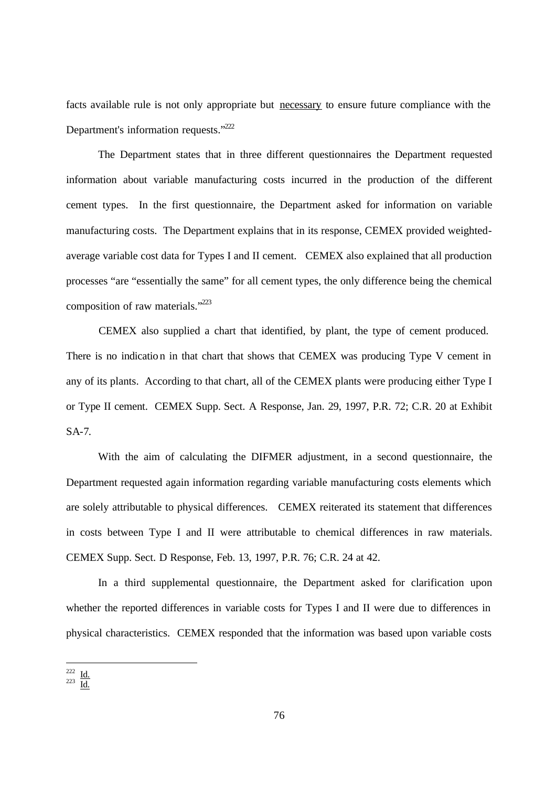facts available rule is not only appropriate but necessary to ensure future compliance with the Department's information requests."<sup>222</sup>

The Department states that in three different questionnaires the Department requested information about variable manufacturing costs incurred in the production of the different cement types. In the first questionnaire, the Department asked for information on variable manufacturing costs. The Department explains that in its response, CEMEX provided weightedaverage variable cost data for Types I and II cement. CEMEX also explained that all production processes "are "essentially the same" for all cement types, the only difference being the chemical composition of raw materials."<sup>223</sup>

CEMEX also supplied a chart that identified, by plant, the type of cement produced. There is no indication in that chart that shows that CEMEX was producing Type V cement in any of its plants. According to that chart, all of the CEMEX plants were producing either Type I or Type II cement. CEMEX Supp. Sect. A Response, Jan. 29, 1997, P.R. 72; C.R. 20 at Exhibit SA-7.

With the aim of calculating the DIFMER adjustment, in a second questionnaire, the Department requested again information regarding variable manufacturing costs elements which are solely attributable to physical differences. CEMEX reiterated its statement that differences in costs between Type I and II were attributable to chemical differences in raw materials. CEMEX Supp. Sect. D Response, Feb. 13, 1997, P.R. 76; C.R. 24 at 42.

In a third supplemental questionnaire, the Department asked for clarification upon whether the reported differences in variable costs for Types I and II were due to differences in physical characteristics. CEMEX responded that the information was based upon variable costs

 $\frac{222}{223}$  <u>Id.</u>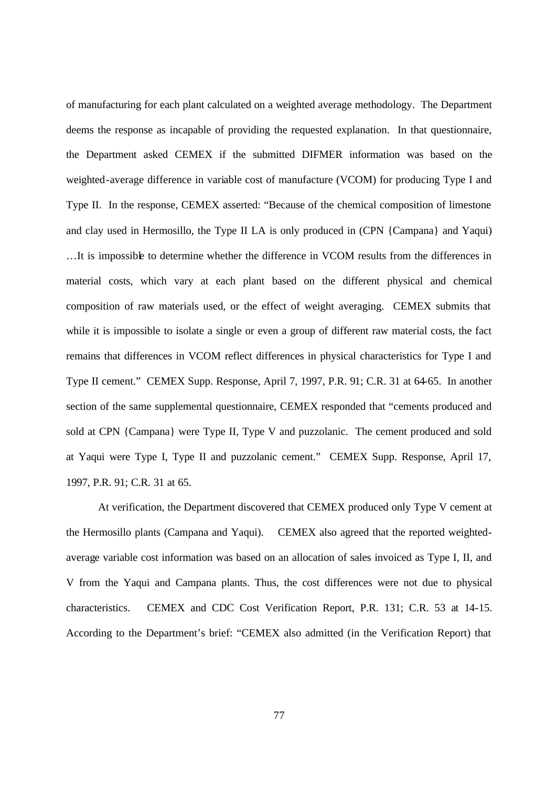of manufacturing for each plant calculated on a weighted average methodology. The Department deems the response as incapable of providing the requested explanation. In that questionnaire, the Department asked CEMEX if the submitted DIFMER information was based on the weighted-average difference in variable cost of manufacture (VCOM) for producing Type I and Type II. In the response, CEMEX asserted: "Because of the chemical composition of limestone and clay used in Hermosillo, the Type II LA is only produced in (CPN {Campana} and Yaqui) ...It is impossible to determine whether the difference in VCOM results from the differences in material costs, which vary at each plant based on the different physical and chemical composition of raw materials used, or the effect of weight averaging. CEMEX submits that while it is impossible to isolate a single or even a group of different raw material costs, the fact remains that differences in VCOM reflect differences in physical characteristics for Type I and Type II cement." CEMEX Supp. Response, April 7, 1997, P.R. 91; C.R. 31 at 64-65. In another section of the same supplemental questionnaire, CEMEX responded that "cements produced and sold at CPN {Campana} were Type II, Type V and puzzolanic. The cement produced and sold at Yaqui were Type I, Type II and puzzolanic cement." CEMEX Supp. Response, April 17, 1997, P.R. 91; C.R. 31 at 65.

At verification, the Department discovered that CEMEX produced only Type V cement at the Hermosillo plants (Campana and Yaqui). CEMEX also agreed that the reported weightedaverage variable cost information was based on an allocation of sales invoiced as Type I, II, and V from the Yaqui and Campana plants. Thus, the cost differences were not due to physical characteristics. CEMEX and CDC Cost Verification Report, P.R. 131; C.R. 53 at 14-15. According to the Department's brief: "CEMEX also admitted (in the Verification Report) that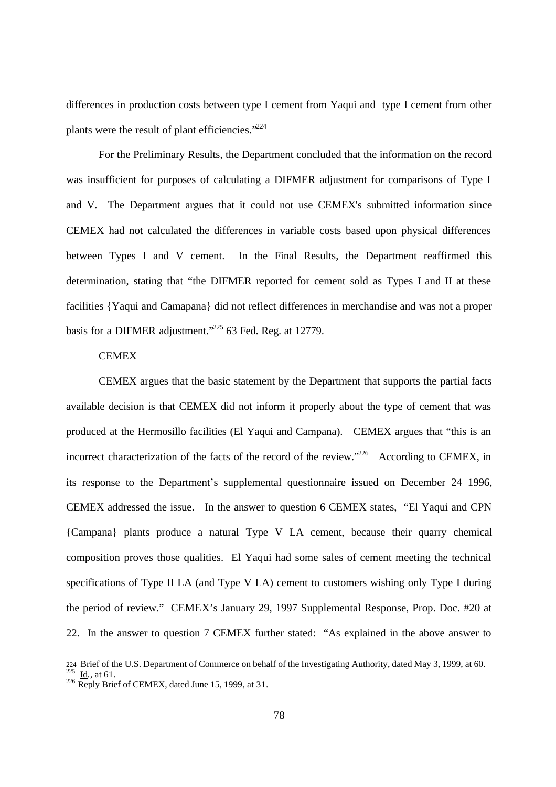differences in production costs between type I cement from Yaqui and type I cement from other plants were the result of plant efficiencies."<sup>224</sup>

For the Preliminary Results, the Department concluded that the information on the record was insufficient for purposes of calculating a DIFMER adjustment for comparisons of Type I and V. The Department argues that it could not use CEMEX's submitted information since CEMEX had not calculated the differences in variable costs based upon physical differences between Types I and V cement. In the Final Results, the Department reaffirmed this determination, stating that "the DIFMER reported for cement sold as Types I and II at these facilities {Yaqui and Camapana} did not reflect differences in merchandise and was not a proper basis for a DIFMER adjustment."<sup>225</sup> 63 Fed. Reg. at 12779.

# **CEMEX**

CEMEX argues that the basic statement by the Department that supports the partial facts available decision is that CEMEX did not inform it properly about the type of cement that was produced at the Hermosillo facilities (El Yaqui and Campana). CEMEX argues that "this is an incorrect characterization of the facts of the record of the review.<sup> $226$ </sup> According to CEMEX, in its response to the Department's supplemental questionnaire issued on December 24 1996, CEMEX addressed the issue. In the answer to question 6 CEMEX states, "El Yaqui and CPN {Campana} plants produce a natural Type V LA cement, because their quarry chemical composition proves those qualities. El Yaqui had some sales of cement meeting the technical specifications of Type II LA (and Type V LA) cement to customers wishing only Type I during the period of review." CEMEX's January 29, 1997 Supplemental Response, Prop. Doc. #20 at 22. In the answer to question 7 CEMEX further stated: "As explained in the above answer to

<sup>224</sup> Brief of the U.S. Department of Commerce on behalf of the Investigating Authority, dated May 3, 1999, at 60.<br><sup>225</sup> <u>Id</u>., at 61.

 $226$  Reply Brief of CEMEX, dated June 15, 1999, at 31.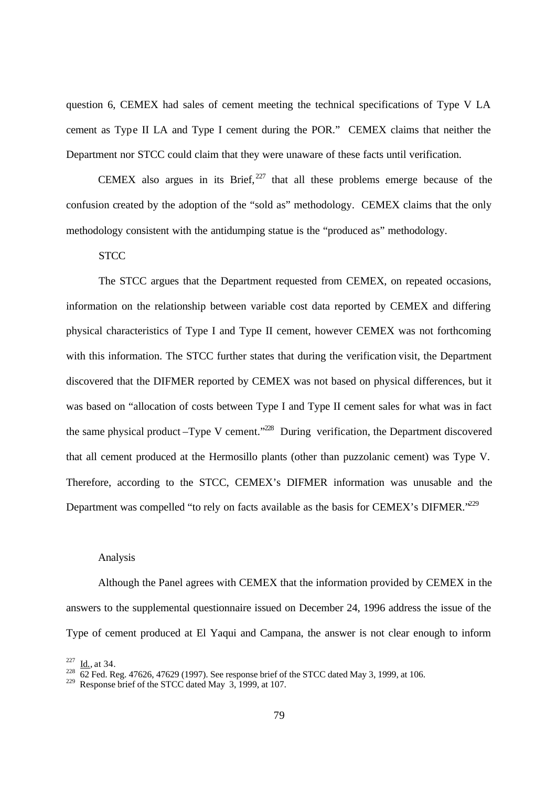question 6, CEMEX had sales of cement meeting the technical specifications of Type V LA cement as Type II LA and Type I cement during the POR." CEMEX claims that neither the Department nor STCC could claim that they were unaware of these facts until verification.

CEMEX also argues in its Brief,  $227$  that all these problems emerge because of the confusion created by the adoption of the "sold as" methodology. CEMEX claims that the only methodology consistent with the antidumping statue is the "produced as" methodology.

## **STCC**

The STCC argues that the Department requested from CEMEX, on repeated occasions, information on the relationship between variable cost data reported by CEMEX and differing physical characteristics of Type I and Type II cement, however CEMEX was not forthcoming with this information. The STCC further states that during the verification visit, the Department discovered that the DIFMER reported by CEMEX was not based on physical differences, but it was based on "allocation of costs between Type I and Type II cement sales for what was in fact the same physical product –Type V cement."<sup>228</sup> During verification, the Department discovered that all cement produced at the Hermosillo plants (other than puzzolanic cement) was Type V. Therefore, according to the STCC, CEMEX's DIFMER information was unusable and the Department was compelled "to rely on facts available as the basis for CEMEX's DIFMER."<sup>229</sup>

### Analysis

Although the Panel agrees with CEMEX that the information provided by CEMEX in the answers to the supplemental questionnaire issued on December 24, 1996 address the issue of the Type of cement produced at El Yaqui and Campana, the answer is not clear enough to inform

 $^{227}$  <u>Id.,</u> at 34.

 $\frac{228}{62}$  Fed. Reg. 47626, 47629 (1997). See response brief of the STCC dated May 3, 1999, at 106.

<sup>&</sup>lt;sup>229</sup> Response brief of the STCC dated May  $3,1999$ , at 107.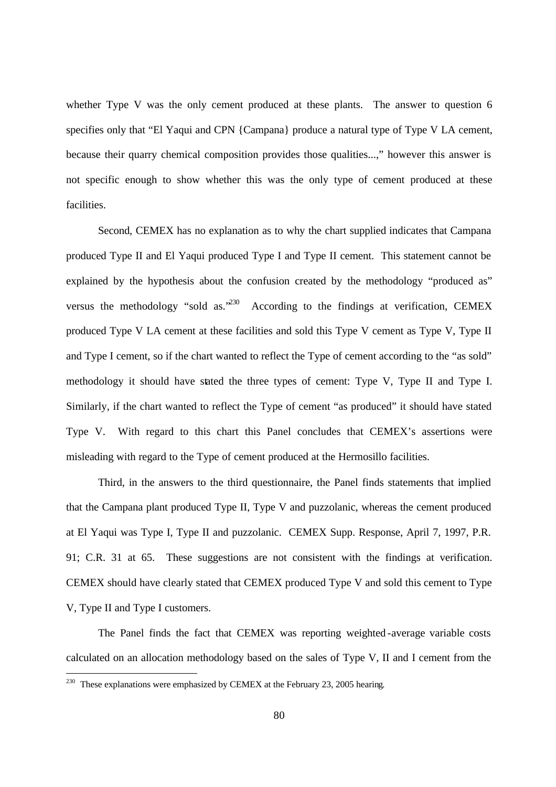whether Type V was the only cement produced at these plants. The answer to question 6 specifies only that "El Yaqui and CPN {Campana} produce a natural type of Type V LA cement, because their quarry chemical composition provides those qualities...," however this answer is not specific enough to show whether this was the only type of cement produced at these facilities.

Second, CEMEX has no explanation as to why the chart supplied indicates that Campana produced Type II and El Yaqui produced Type I and Type II cement. This statement cannot be explained by the hypothesis about the confusion created by the methodology "produced as" versus the methodology "sold as.<sup> $230$ </sup> According to the findings at verification, CEMEX produced Type V LA cement at these facilities and sold this Type V cement as Type V, Type II and Type I cement, so if the chart wanted to reflect the Type of cement according to the "as sold" methodology it should have stated the three types of cement: Type V, Type II and Type I. Similarly, if the chart wanted to reflect the Type of cement "as produced" it should have stated Type V. With regard to this chart this Panel concludes that CEMEX's assertions were misleading with regard to the Type of cement produced at the Hermosillo facilities.

Third, in the answers to the third questionnaire, the Panel finds statements that implied that the Campana plant produced Type II, Type V and puzzolanic, whereas the cement produced at El Yaqui was Type I, Type II and puzzolanic. CEMEX Supp. Response, April 7, 1997, P.R. 91; C.R. 31 at 65. These suggestions are not consistent with the findings at verification. CEMEX should have clearly stated that CEMEX produced Type V and sold this cement to Type V, Type II and Type I customers.

The Panel finds the fact that CEMEX was reporting weighted -average variable costs calculated on an allocation methodology based on the sales of Type V, II and I cement from the

<sup>&</sup>lt;sup>230</sup> These explanations were emphasized by CEMEX at the February 23, 2005 hearing.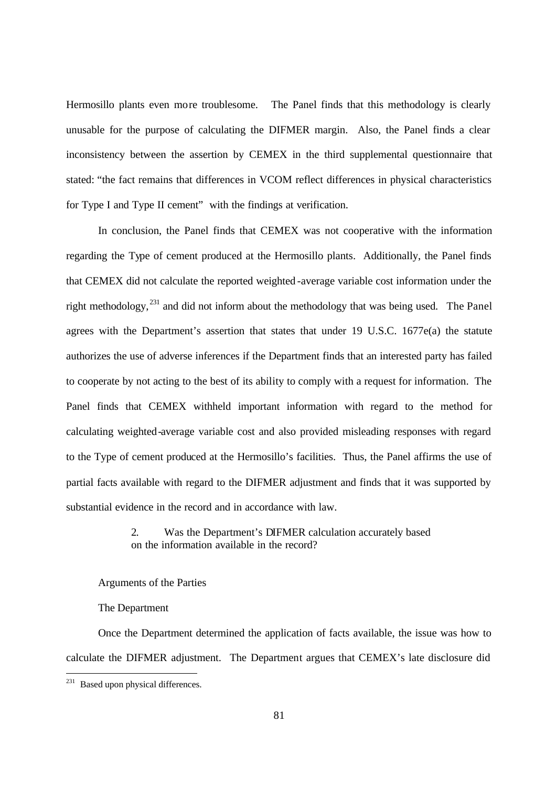Hermosillo plants even more troublesome. The Panel finds that this methodology is clearly unusable for the purpose of calculating the DIFMER margin. Also, the Panel finds a clear inconsistency between the assertion by CEMEX in the third supplemental questionnaire that stated: "the fact remains that differences in VCOM reflect differences in physical characteristics for Type I and Type II cement" with the findings at verification.

In conclusion, the Panel finds that CEMEX was not cooperative with the information regarding the Type of cement produced at the Hermosillo plants. Additionally, the Panel finds that CEMEX did not calculate the reported weighted -average variable cost information under the right methodology, <sup>231</sup> and did not inform about the methodology that was being used. The Panel agrees with the Department's assertion that states that under 19 U.S.C. 1677e(a) the statute authorizes the use of adverse inferences if the Department finds that an interested party has failed to cooperate by not acting to the best of its ability to comply with a request for information. The Panel finds that CEMEX withheld important information with regard to the method for calculating weighted-average variable cost and also provided misleading responses with regard to the Type of cement produced at the Hermosillo's facilities. Thus, the Panel affirms the use of partial facts available with regard to the DIFMER adjustment and finds that it was supported by substantial evidence in the record and in accordance with law.

# 2. Was the Department's DIFMER calculation accurately based on the information available in the record?

Arguments of the Parties

The Department

Once the Department determined the application of facts available, the issue was how to calculate the DIFMER adjustment. The Department argues that CEMEX's late disclosure did

 $231$  Based upon physical differences.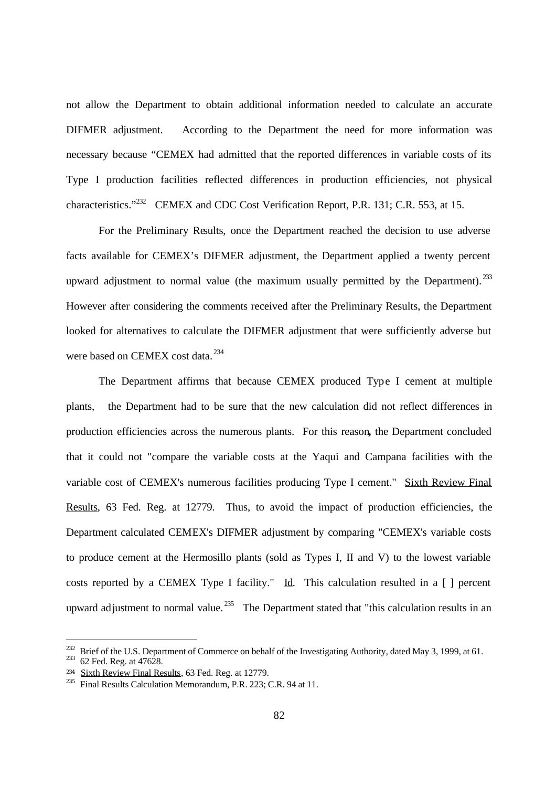not allow the Department to obtain additional information needed to calculate an accurate DIFMER adjustment. According to the Department the need for more information was necessary because "CEMEX had admitted that the reported differences in variable costs of its Type I production facilities reflected differences in production efficiencies, not physical characteristics."<sup>232</sup> CEMEX and CDC Cost Verification Report, P.R. 131; C.R. 553, at 15.

For the Preliminary Results, once the Department reached the decision to use adverse facts available for CEMEX's DIFMER adjustment, the Department applied a twenty percent upward adjustment to normal value (the maximum usually permitted by the Department).  $^{233}$ However after considering the comments received after the Preliminary Results, the Department looked for alternatives to calculate the DIFMER adjustment that were sufficiently adverse but were based on CEMEX cost data.<sup>234</sup>

The Department affirms that because CEMEX produced Type I cement at multiple plants, the Department had to be sure that the new calculation did not reflect differences in production efficiencies across the numerous plants. For this reason**,** the Department concluded that it could not "compare the variable costs at the Yaqui and Campana facilities with the variable cost of CEMEX's numerous facilities producing Type I cement." Sixth Review Final Results, 63 Fed. Reg. at 12779.Thus, to avoid the impact of production efficiencies, the Department calculated CEMEX's DIFMER adjustment by comparing "CEMEX's variable costs to produce cement at the Hermosillo plants (sold as Types I, II and V) to the lowest variable costs reported by a CEMEX Type I facility." Id. This calculation resulted in a  $\lceil \cdot \rceil$  percent upward adjustment to normal value.<sup>235</sup> The Department stated that "this calculation results in an

<sup>&</sup>lt;sup>232</sup> Brief of the U.S. Department of Commerce on behalf of the Investigating Authority, dated May 3, 1999, at 61.

 $233$  62 Fed. Reg. at 47628.

<sup>&</sup>lt;sup>234</sup> Sixth Review Final Results, 63 Fed. Reg. at 12779.

<sup>235</sup> Final Results Calculation Memorandum, P.R. 223; C.R. 94 at 11.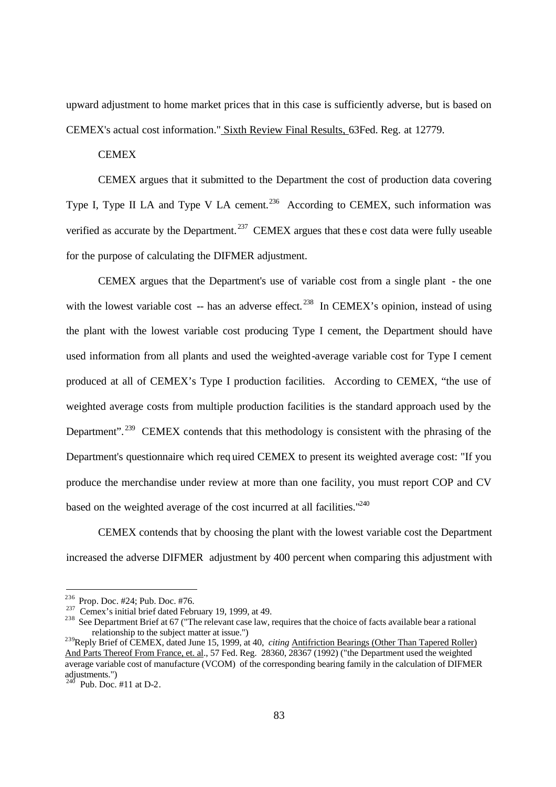upward adjustment to home market prices that in this case is sufficiently adverse, but is based on CEMEX's actual cost information." Sixth Review Final Results, 63Fed. Reg. at 12779.

### **CEMEX**

CEMEX argues that it submitted to the Department the cost of production data covering Type I, Type II LA and Type V LA cement.<sup>236</sup> According to CEMEX, such information was verified as accurate by the Department.<sup>237</sup> CEMEX argues that these cost data were fully useable for the purpose of calculating the DIFMER adjustment.

CEMEX argues that the Department's use of variable cost from a single plant - the one with the lowest variable cost -- has an adverse effect.<sup>238</sup> In CEMEX's opinion, instead of using the plant with the lowest variable cost producing Type I cement, the Department should have used information from all plants and used the weighted-average variable cost for Type I cement produced at all of CEMEX's Type I production facilities. According to CEMEX, "the use of weighted average costs from multiple production facilities is the standard approach used by the Department".<sup>239</sup> CEMEX contends that this methodology is consistent with the phrasing of the Department's questionnaire which req uired CEMEX to present its weighted average cost: "If you produce the merchandise under review at more than one facility, you must report COP and CV based on the weighted average of the cost incurred at all facilities."<sup>240</sup>

CEMEX contends that by choosing the plant with the lowest variable cost the Department increased the adverse DIFMER adjustment by 400 percent when comparing this adjustment with

<sup>236</sup> Prop. Doc. #24; Pub. Doc. #76.

<sup>&</sup>lt;sup>237</sup> Cemex's initial brief dated February 19, 1999, at 49.

<sup>&</sup>lt;sup>238</sup> See Department Brief at 67 ("The relevant case law, requires that the choice of facts available bear a rational relationship to the subject matter at issue.")

<sup>&</sup>lt;sup>239</sup>Reply Brief of CEMEX, dated June 15, 1999, at 40, *citing* Antifriction Bearings (Other Than Tapered Roller) And Parts Thereof From France, et. al., 57 Fed. Reg. 28360, 28367 (1992) ("the Department used the weighted average variable cost of manufacture (VCOM) of the corresponding bearing family in the calculation of DIFMER adjustments.")

Pub. Doc.  $\#11$  at D-2.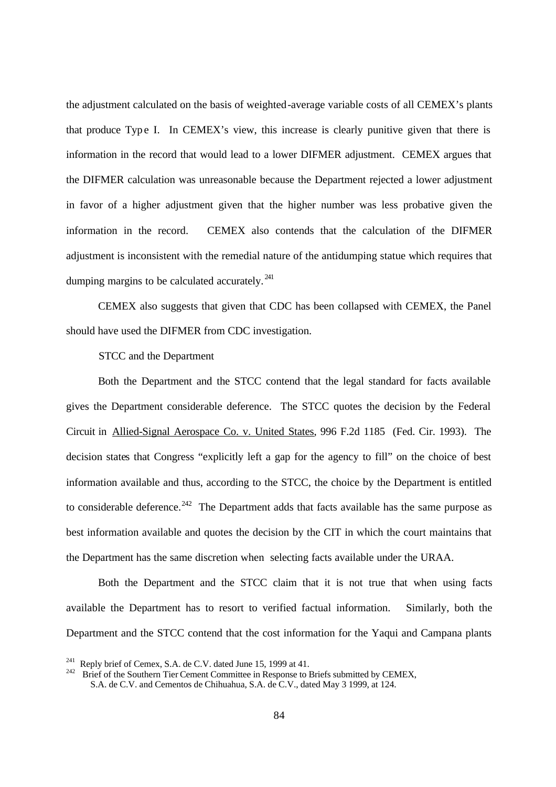the adjustment calculated on the basis of weighted-average variable costs of all CEMEX's plants that produce Typ e I. In CEMEX's view, this increase is clearly punitive given that there is information in the record that would lead to a lower DIFMER adjustment. CEMEX argues that the DIFMER calculation was unreasonable because the Department rejected a lower adjustment in favor of a higher adjustment given that the higher number was less probative given the information in the record. CEMEX also contends that the calculation of the DIFMER adjustment is inconsistent with the remedial nature of the antidumping statue which requires that dumping margins to be calculated accurately.  $^{241}$ 

CEMEX also suggests that given that CDC has been collapsed with CEMEX, the Panel should have used the DIFMER from CDC investigation.

### STCC and the Department

Both the Department and the STCC contend that the legal standard for facts available gives the Department considerable deference. The STCC quotes the decision by the Federal Circuit in Allied-Signal Aerospace Co. v. United States, 996 F.2d 1185 (Fed. Cir. 1993). The decision states that Congress "explicitly left a gap for the agency to fill" on the choice of best information available and thus, according to the STCC, the choice by the Department is entitled to considerable deference.<sup>242</sup> The Department adds that facts available has the same purpose as best information available and quotes the decision by the CIT in which the court maintains that the Department has the same discretion when selecting facts available under the URAA.

Both the Department and the STCC claim that it is not true that when using facts available the Department has to resort to verified factual information. Similarly, both the Department and the STCC contend that the cost information for the Yaqui and Campana plants

Reply brief of Cemex, S.A. de C.V. dated June 15, 1999 at 41.

<sup>242</sup> Brief of the Southern Tier Cement Committee in Response to Briefs submitted by CEMEX, S.A. de C.V. and Cementos de Chihuahua, S.A. de C.V., dated May 3 1999, at 124.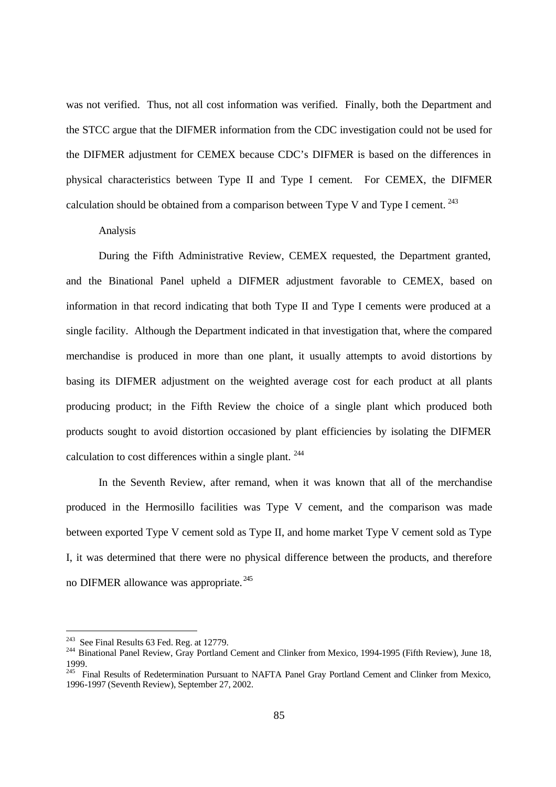was not verified. Thus, not all cost information was verified. Finally, both the Department and the STCC argue that the DIFMER information from the CDC investigation could not be used for the DIFMER adjustment for CEMEX because CDC's DIFMER is based on the differences in physical characteristics between Type II and Type I cement. For CEMEX, the DIFMER calculation should be obtained from a comparison between Type V and Type I cement.  $^{243}$ 

### Analysis

During the Fifth Administrative Review, CEMEX requested, the Department granted, and the Binational Panel upheld a DIFMER adjustment favorable to CEMEX, based on information in that record indicating that both Type II and Type I cements were produced at a single facility. Although the Department indicated in that investigation that, where the compared merchandise is produced in more than one plant, it usually attempts to avoid distortions by basing its DIFMER adjustment on the weighted average cost for each product at all plants producing product; in the Fifth Review the choice of a single plant which produced both products sought to avoid distortion occasioned by plant efficiencies by isolating the DIFMER calculation to cost differences within a single plant. <sup>244</sup>

In the Seventh Review, after remand, when it was known that all of the merchandise produced in the Hermosillo facilities was Type V cement, and the comparison was made between exported Type V cement sold as Type II, and home market Type V cement sold as Type I, it was determined that there were no physical difference between the products, and therefore no DIFMER allowance was appropriate. <sup>245</sup>

<sup>&</sup>lt;sup>243</sup> See Final Results 63 Fed. Reg. at 12779.

<sup>&</sup>lt;sup>244</sup> Binational Panel Review, Gray Portland Cement and Clinker from Mexico, 1994-1995 (Fifth Review), June 18, 1999.

<sup>&</sup>lt;sup>245</sup> Final Results of Redetermination Pursuant to NAFTA Panel Gray Portland Cement and Clinker from Mexico, 1996-1997 (Seventh Review), September 27, 2002.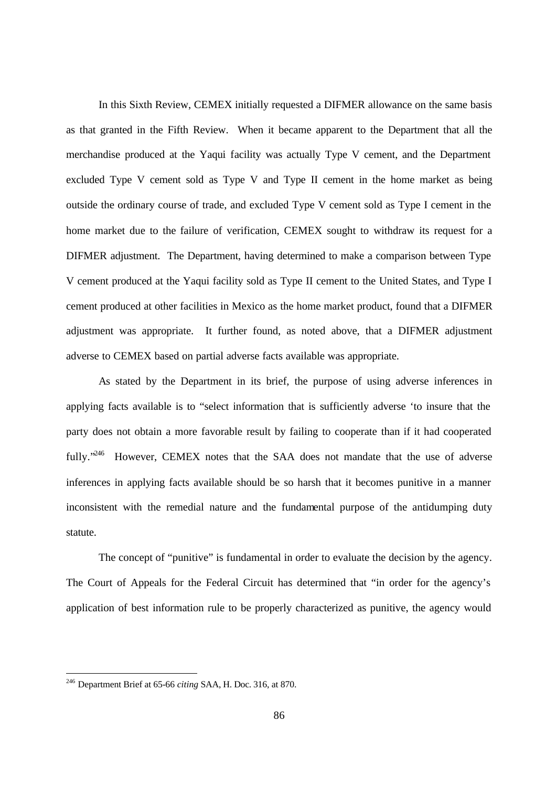In this Sixth Review, CEMEX initially requested a DIFMER allowance on the same basis as that granted in the Fifth Review. When it became apparent to the Department that all the merchandise produced at the Yaqui facility was actually Type V cement, and the Department excluded Type V cement sold as Type V and Type II cement in the home market as being outside the ordinary course of trade, and excluded Type V cement sold as Type I cement in the home market due to the failure of verification, CEMEX sought to withdraw its request for a DIFMER adjustment. The Department, having determined to make a comparison between Type V cement produced at the Yaqui facility sold as Type II cement to the United States, and Type I cement produced at other facilities in Mexico as the home market product, found that a DIFMER adjustment was appropriate. It further found, as noted above, that a DIFMER adjustment adverse to CEMEX based on partial adverse facts available was appropriate.

As stated by the Department in its brief, the purpose of using adverse inferences in applying facts available is to "select information that is sufficiently adverse 'to insure that the party does not obtain a more favorable result by failing to cooperate than if it had cooperated fully.<sup>246</sup> However, CEMEX notes that the SAA does not mandate that the use of adverse inferences in applying facts available should be so harsh that it becomes punitive in a manner inconsistent with the remedial nature and the fundamental purpose of the antidumping duty statute.

The concept of "punitive" is fundamental in order to evaluate the decision by the agency. The Court of Appeals for the Federal Circuit has determined that "in order for the agency's application of best information rule to be properly characterized as punitive, the agency would

<sup>246</sup> Department Brief at 65-66 *citing* SAA, H. Doc. 316, at 870.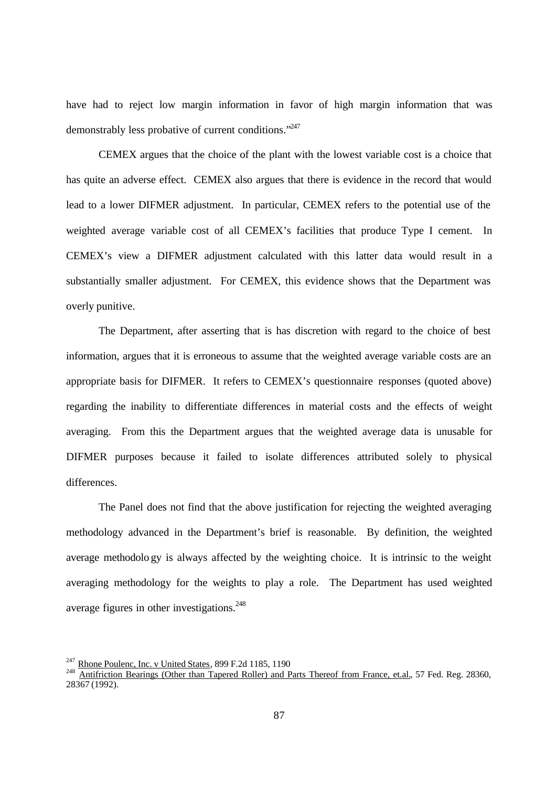have had to reject low margin information in favor of high margin information that was demonstrably less probative of current conditions."<sup>247</sup>

CEMEX argues that the choice of the plant with the lowest variable cost is a choice that has quite an adverse effect. CEMEX also argues that there is evidence in the record that would lead to a lower DIFMER adjustment. In particular, CEMEX refers to the potential use of the weighted average variable cost of all CEMEX's facilities that produce Type I cement. In CEMEX's view a DIFMER adjustment calculated with this latter data would result in a substantially smaller adjustment. For CEMEX, this evidence shows that the Department was overly punitive.

The Department, after asserting that is has discretion with regard to the choice of best information, argues that it is erroneous to assume that the weighted average variable costs are an appropriate basis for DIFMER. It refers to CEMEX's questionnaire responses (quoted above) regarding the inability to differentiate differences in material costs and the effects of weight averaging. From this the Department argues that the weighted average data is unusable for DIFMER purposes because it failed to isolate differences attributed solely to physical differences.

The Panel does not find that the above justification for rejecting the weighted averaging methodology advanced in the Department's brief is reasonable. By definition, the weighted average methodolo gy is always affected by the weighting choice. It is intrinsic to the weight averaging methodology for the weights to play a role. The Department has used weighted average figures in other investigations.<sup>248</sup>

 $^{247}$  Rhone Poulenc, Inc. v United States, 899 F.2d 1185, 1190

<sup>&</sup>lt;sup>248</sup> Antifriction Bearings (Other than Tapered Roller) and Parts Thereof from France, et.al., 57 Fed. Reg. 28360, 28367 (1992).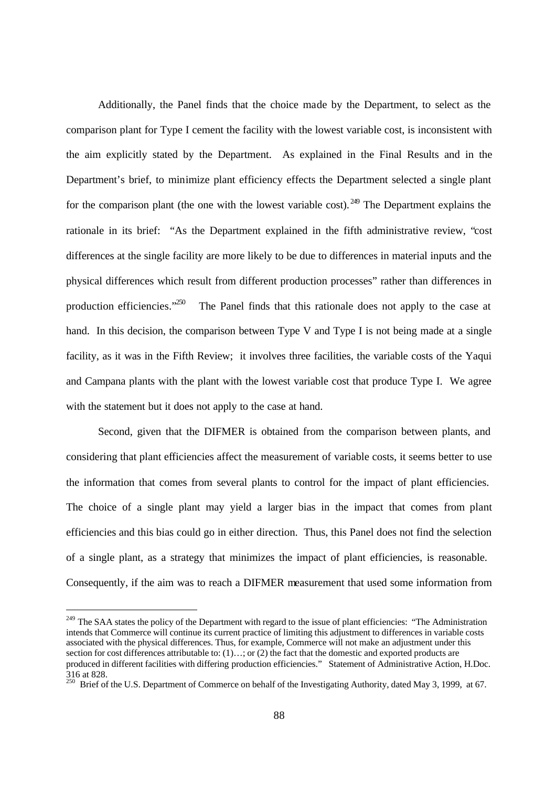Additionally, the Panel finds that the choice made by the Department, to select as the comparison plant for Type I cement the facility with the lowest variable cost, is inconsistent with the aim explicitly stated by the Department. As explained in the Final Results and in the Department's brief, to minimize plant efficiency effects the Department selected a single plant for the comparison plant (the one with the lowest variable cost). <sup>249</sup> The Department explains the rationale in its brief: "As the Department explained in the fifth administrative review, "cost differences at the single facility are more likely to be due to differences in material inputs and the physical differences which result from different production processes" rather than differences in production efficiencies. $1250$  The Panel finds that this rationale does not apply to the case at hand. In this decision, the comparison between Type V and Type I is not being made at a single facility, as it was in the Fifth Review; it involves three facilities, the variable costs of the Yaqui and Campana plants with the plant with the lowest variable cost that produce Type I. We agree with the statement but it does not apply to the case at hand.

Second, given that the DIFMER is obtained from the comparison between plants, and considering that plant efficiencies affect the measurement of variable costs, it seems better to use the information that comes from several plants to control for the impact of plant efficiencies. The choice of a single plant may yield a larger bias in the impact that comes from plant efficiencies and this bias could go in either direction. Thus, this Panel does not find the selection of a single plant, as a strategy that minimizes the impact of plant efficiencies, is reasonable. Consequently, if the aim was to reach a DIFMER measurement that used some information from

<sup>&</sup>lt;sup>249</sup> The SAA states the policy of the Department with regard to the issue of plant efficiencies: "The Administration intends that Commerce will continue its current practice of limiting this adjustment to differences in variable costs associated with the physical differences. Thus, for example, Commerce will not make an adjustment under this section for cost differences attributable to:  $(1)...;$  or  $(2)$  the fact that the domestic and exported products are produced in different facilities with differing production efficiencies." Statement of Administrative Action, H.Doc. 316 at 828.

<sup>&</sup>lt;sup>250</sup> Brief of the U.S. Department of Commerce on behalf of the Investigating Authority, dated May 3, 1999, at 67.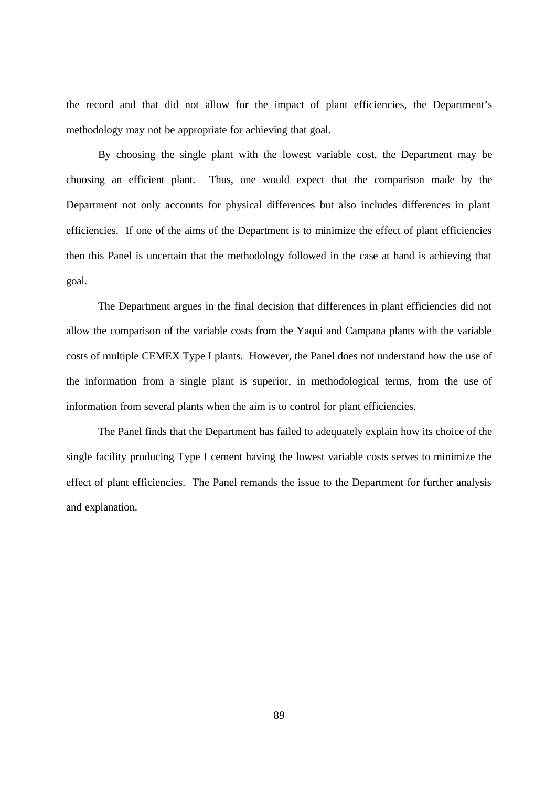the record and that did not allow for the impact of plant efficiencies, the Department's methodology may not be appropriate for achieving that goal.

By choosing the single plant with the lowest variable cost, the Department may be choosing an efficient plant. Thus, one would expect that the comparison made by the Department not only accounts for physical differences but also includes differences in plant efficiencies. If one of the aims of the Department is to minimize the effect of plant efficiencies then this Panel is uncertain that the methodology followed in the case at hand is achieving that goal.

The Department argues in the final decision that differences in plant efficiencies did not allow the comparison of the variable costs from the Yaqui and Campana plants with the variable costs of multiple CEMEX Type I plants. However, the Panel does not understand how the use of the information from a single plant is superior, in methodological terms, from the use of information from several plants when the aim is to control for plant efficiencies.

The Panel finds that the Department has failed to adequately explain how its choice of the single facility producing Type I cement having the lowest variable costs serves to minimize the effect of plant efficiencies. The Panel remands the issue to the Department for further analysis and explanation.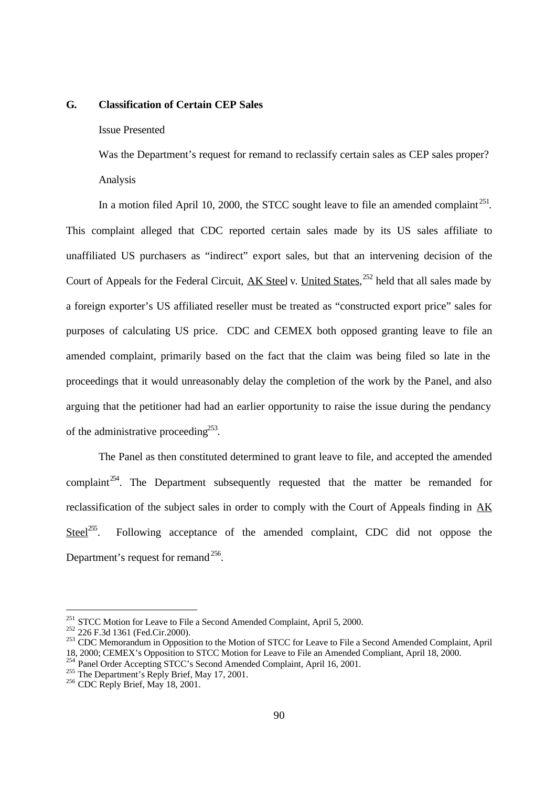### **G. Classification of Certain CEP Sales**

### Issue Presented

Was the Department's request for remand to reclassify certain sales as CEP sales proper? Analysis

In a motion filed April 10, 2000, the STCC sought leave to file an amended complaint<sup>251</sup>. This complaint alleged that CDC reported certain sales made by its US sales affiliate to unaffiliated US purchasers as "indirect" export sales, but that an intervening decision of the Court of Appeals for the Federal Circuit, **AK Steel** v. United States,<sup>252</sup> held that all sales made by a foreign exporter's US affiliated reseller must be treated as "constructed export price" sales for purposes of calculating US price. CDC and CEMEX both opposed granting leave to file an amended complaint, primarily based on the fact that the claim was being filed so late in the proceedings that it would unreasonably delay the completion of the work by the Panel, and also arguing that the petitioner had had an earlier opportunity to raise the issue during the pendancy of the administrative proceeding<sup>253</sup>.

The Panel as then constituted determined to grant leave to file, and accepted the amended complaint<sup>254</sup>. The Department subsequently requested that the matter be remanded for reclassification of the subject sales in order to comply with the Court of Appeals finding in AK Steel<sup>255</sup>. Following acceptance of the amended complaint, CDC did not oppose the Department's request for remand  $256$ .

<sup>&</sup>lt;sup>251</sup> STCC Motion for Leave to File a Second Amended Complaint, April 5, 2000.

<sup>&</sup>lt;sup>252</sup> 226 F.3d 1361 (Fed.Cir.2000).

<sup>&</sup>lt;sup>253</sup> CDC Memorandum in Opposition to the Motion of STCC for Leave to File a Second Amended Complaint, April 18, 2000; CEMEX's Opposition to STCC Motion for Leave to File an Amended Compliant, April 18, 2000.

Panel Order Accepting STCC's Second Amended Complaint, April 16, 2001.

<sup>&</sup>lt;sup>255</sup> The Department's Reply Brief, May 17, 2001.

 $256$  CDC Reply Brief, May 18, 2001.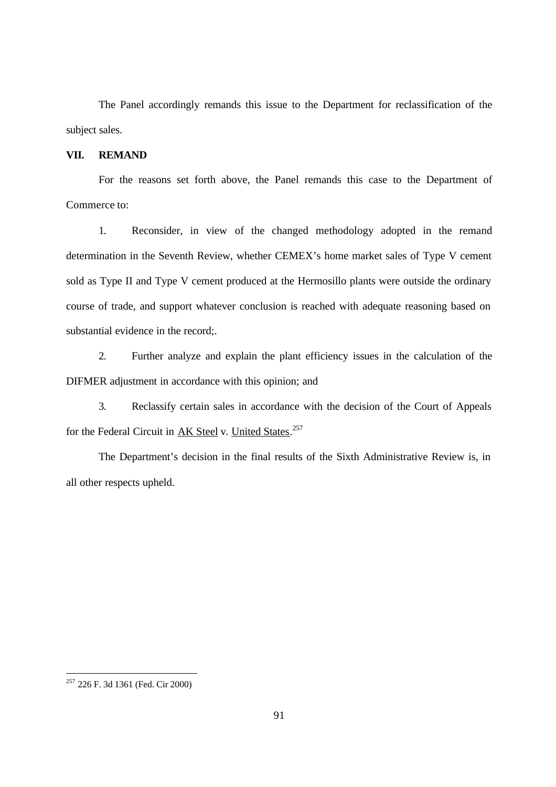The Panel accordingly remands this issue to the Department for reclassification of the subject sales.

### **VII. REMAND**

For the reasons set forth above, the Panel remands this case to the Department of Commerce to:

1. Reconsider, in view of the changed methodology adopted in the remand determination in the Seventh Review, whether CEMEX's home market sales of Type V cement sold as Type II and Type V cement produced at the Hermosillo plants were outside the ordinary course of trade, and support whatever conclusion is reached with adequate reasoning based on substantial evidence in the record;.

2. Further analyze and explain the plant efficiency issues in the calculation of the DIFMER adjustment in accordance with this opinion; and

3. Reclassify certain sales in accordance with the decision of the Court of Appeals for the Federal Circuit in AK Steel v. United States.<sup>257</sup>

The Department's decision in the final results of the Sixth Administrative Review is, in all other respects upheld.

<sup>&</sup>lt;sup>257</sup> 226 F. 3d 1361 (Fed. Cir 2000)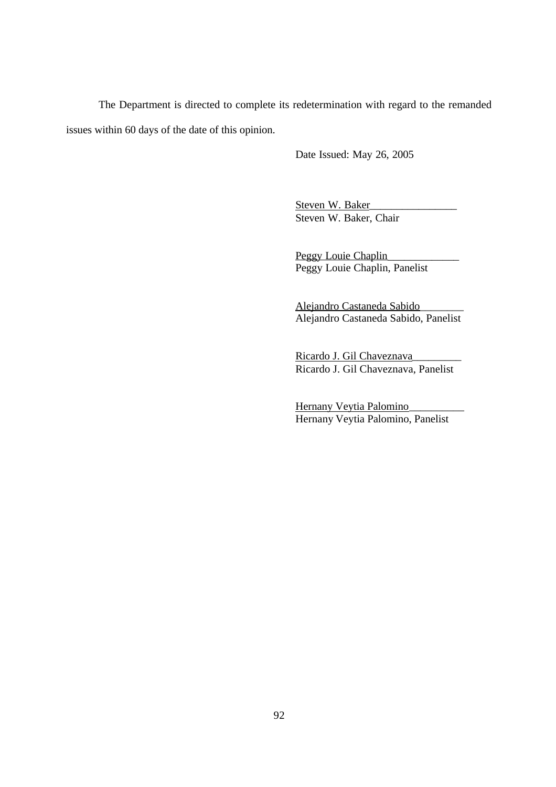The Department is directed to complete its redetermination with regard to the remanded issues within 60 days of the date of this opinion.

Date Issued: May 26, 2005

Steven W. Baker Steven W. Baker, Chair

Peggy Louie Chaplin Peggy Louie Chaplin, Panelist

Alejandro Castaneda Sabido\_\_\_\_\_\_\_\_ Alejandro Castaneda Sabido, Panelist

Ricardo J. Gil Chaveznava Ricardo J. Gil Chaveznava, Panelist

Hernany Veytia Palomino\_\_\_\_\_\_\_\_\_\_ Hernany Veytia Palomino, Panelist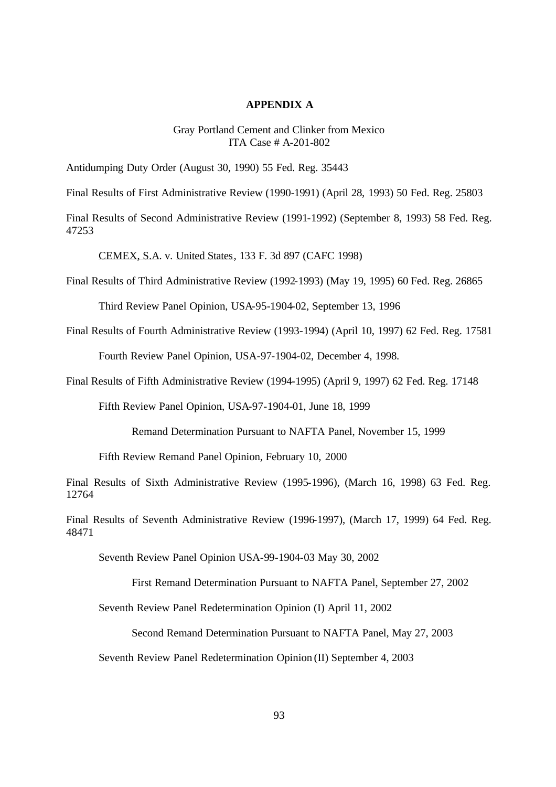#### **APPENDIX A**

### Gray Portland Cement and Clinker from Mexico ITA Case # A-201-802

Antidumping Duty Order (August 30, 1990) 55 Fed. Reg. 35443

Final Results of First Administrative Review (1990-1991) (April 28, 1993) 50 Fed. Reg. 25803

Final Results of Second Administrative Review (1991-1992) (September 8, 1993) 58 Fed. Reg. 47253

CEMEX, S.A. v. United States, 133 F. 3d 897 (CAFC 1998)

Final Results of Third Administrative Review (1992-1993) (May 19, 1995) 60 Fed. Reg. 26865

Third Review Panel Opinion, USA-95-1904-02, September 13, 1996

Final Results of Fourth Administrative Review (1993-1994) (April 10, 1997) 62 Fed. Reg. 17581

Fourth Review Panel Opinion, USA-97-1904-02, December 4, 1998.

Final Results of Fifth Administrative Review (1994-1995) (April 9, 1997) 62 Fed. Reg. 17148

Fifth Review Panel Opinion, USA-97-1904-01, June 18, 1999

Remand Determination Pursuant to NAFTA Panel, November 15, 1999

Fifth Review Remand Panel Opinion, February 10, 2000

Final Results of Sixth Administrative Review (1995-1996), (March 16, 1998) 63 Fed. Reg. 12764

Final Results of Seventh Administrative Review (1996-1997), (March 17, 1999) 64 Fed. Reg. 48471

Seventh Review Panel Opinion USA-99-1904-03 May 30, 2002

First Remand Determination Pursuant to NAFTA Panel, September 27, 2002

Seventh Review Panel Redetermination Opinion (I) April 11, 2002

Second Remand Determination Pursuant to NAFTA Panel, May 27, 2003

Seventh Review Panel Redetermination Opinion (II) September 4, 2003